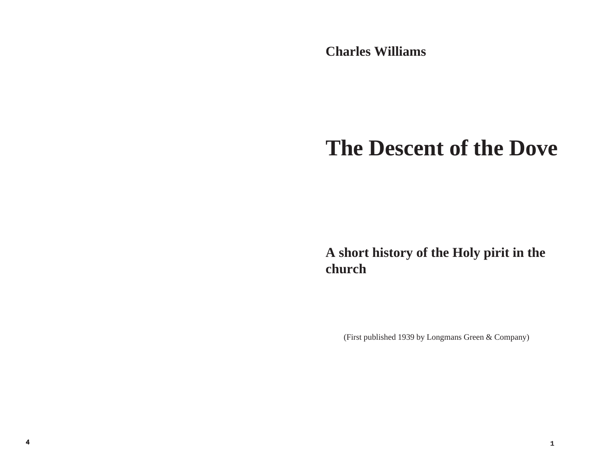**Charles Williams**

# **The Descent of the Dove**

**A short history of the Holy pirit in the church**

(First published 1939 by Longmans Green & Company)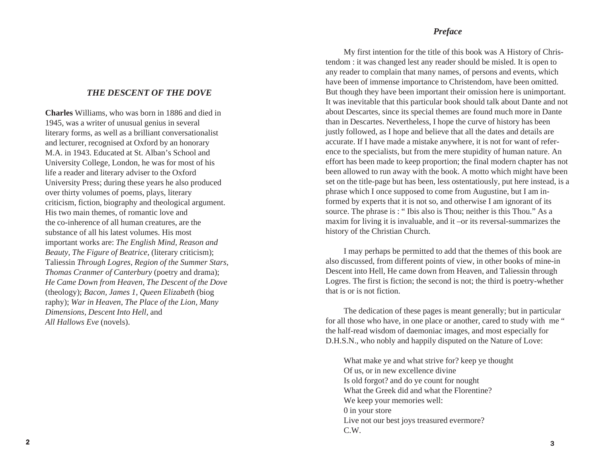# *THE DESCENT OF THE DOVE*

**Charles** Williams, who was born in 1886 and died in 1945, was a writer of unusual genius in several literary forms, as well as a brilliant conversationalist and lecturer, recognised at Oxford by an honorary M.A. in 1943. Educated at St. Alban's School and University College, London, he was for most of his life a reader and literary adviser to the Oxford University Press; during these years he also produced over thirty volumes of poems, plays, literary criticism, fiction, biography and theological argument. His two main themes, of romantic love and the co-inherence of all human creatures, are the substance of all his latest volumes. His most important works are: *The English Mind, Reason and Beauty, The Figure of Beatrice,* (literary criticism); Taliessin *Through Logres, Region of the Summer Stars, Thomas Cranmer of Canterbury* (poetry and drama); *He Came Down from Heaven, The Descent of the Dove* (theology); *Bacon, James 1, Queen Elizabeth* (biog raphy); *War in Heaven, The Place of the Lion, Many Dimensions, Descent Into Hell,* and *All Hallows Eve* (novels).

# *Preface*

My first intention for the title of this book was A History of Christendom : it was changed lest any reader should be misled. It is open to any reader to complain that many names, of persons and events, which have been of immense importance to Christendom, have been omitted. But though they have been important their omission here is unimportant. It was inevitable that this particular book should talk about Dante and not about Descartes, since its special themes are found much more in Dante than in Descartes. Nevertheless, I hope the curve of history has been justly followed, as I hope and believe that all the dates and details are accurate. If I have made a mistake anywhere, it is not for want of reference to the specialists, but from the mere stupidity of human nature. An effort has been made to keep proportion; the final modern chapter has not been allowed to run away with the book. A motto which might have been set on the title-page but has been, less ostentatiously, put here instead, is a phrase which I once supposed to come from Augustine, but I am informed by experts that it is not so, and otherwise I am ignorant of its source. The phrase is : " Ibis also is Thou; neither is this Thou." As a maxim for living it is invaluable, and it –or its reversal-summarizes the history of the Christian Church.

I may perhaps be permitted to add that the themes of this book are also discussed, from different points of view, in other books of mine-in Descent into Hell, He came down from Heaven, and Taliessin through Logres. The first is fiction; the second is not; the third is poetry-whether that is or is not fiction.

The dedication of these pages is meant generally; but in particular for all those who have, in one place or another, cared to study with me " the half-read wisdom of daemoniac images, and most especially for D.H.S.N., who nobly and happily disputed on the Nature of Love:

What make ye and what strive for? keep ye thought Of us, or in new excellence divine Is old forgot? and do ye count for nought What the Greek did and what the Florentine? We keep your memories well: 0 in your store Live not our best joys treasured evermore? C.W.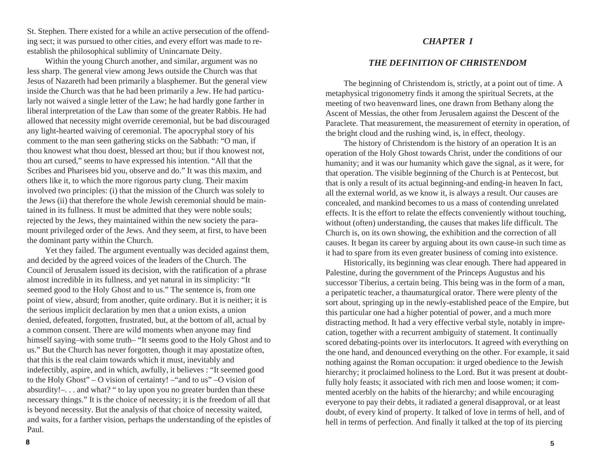St. Stephen. There existed for a while an active persecution of the offending sect; it was pursued to other cities, and every effort was made to reestablish the philosophical sublimity of Unincarnate Deity.

Within the young Church another, and similar, argument was no less sharp. The general view among Jews outside the Church was that Jesus of Nazareth had been primarily a blasphemer. But the general view inside the Church was that he had been primarily a Jew. He had particularly not waived a single letter of the Law; he had hardly gone farther in liberal interpretation of the Law than some of the greater Rabbis. He had allowed that necessity might override ceremonial, but be bad discouraged any light-hearted waiving of ceremonial. The apocryphal story of his comment to the man seen gathering sticks on the Sabbath: "O man, if thou knowest what thou doest, blessed art thou; but if thou knowest not, thou art cursed," seems to have expressed his intention. "All that the Scribes and Pharisees bid you, observe and do." It was this maxim, and others like it, to which the more rigorous party clung. Their maxim involved two principles: (i) that the mission of the Church was solely to the Jews (ii) that therefore the whole Jewish ceremonial should be maintained in its fullness. It must be admitted that they were noble souls; rejected by the Jews, they maintained within the new society the paramount privileged order of the Jews. And they seem, at first, to have been the dominant party within the Church.

Yet they failed. The argument eventually was decided against them, and decided by the agreed voices of the leaders of the Church. The Council of Jerusalem issued its decision, with the ratification of a phrase almost incredible in its fullness, and yet natural in its simplicity: "It seemed good to the Holy Ghost and to us." The sentence is, from one point of view, absurd; from another, quite ordinary. But it is neither; it is the serious implicit declaration by men that a union exists, a union denied, defeated, forgotten, frustrated, but, at the bottom of all, actual by a common consent. There are wild moments when anyone may find himself saying–with some truth– "It seems good to the Holy Ghost and to us." But the Church has never forgotten, though it may apostatize often, that this is the real claim towards which it must, inevitably and indefectibly, aspire, and in which, awfully, it believes : "It seemed good to the Holy Ghost" – O vision of certainty! –"and to us" –O vision of absurdity!–. . . and what? " to lay upon you no greater burden than these necessary things." It is the choice of necessity; it is the freedom of all that is beyond necessity. But the analysis of that choice of necessity waited, and waits, for a farther vision, perhaps the understanding of the epistles of Paul.

# *CHAPTER I*

## *THE DEFINITION OF CHRISTENDOM*

The beginning of Christendom is, strictly, at a point out of time. A metaphysical trigonometry finds it among the spiritual Secrets, at the meeting of two heavenward lines, one drawn from Bethany along the Ascent of Messias, the other from Jerusalem against the Descent of the Paraclete. That measurement, the measurement of eternity in operation, of the bright cloud and the rushing wind, is, in effect, theology.

The history of Christendom is the history of an operation It is an operation of the Holy Ghost towards Christ, under the conditions of our humanity; and it was our humanity which gave the signal, as it were, for that operation. The visible beginning of the Church is at Pentecost, but that is only a result of its actual beginning-and ending-in heaven In fact, all the external world, as we know it, is always a result. Our causes are concealed, and mankind becomes to us a mass of contending unrelated effects. It is the effort to relate the effects conveniently without touching, without (often) understanding, the causes that makes life difficult. The Church is, on its own showing, the exhibition and the correction of all causes. It began its career by arguing about its own cause-in such time as it had to spare from its even greater business of coming into existence.

Historically, its beginning was clear enough. There had appeared in Palestine, during the government of the Princeps Augustus and his successor Tiberius, a certain being. This being was in the form of a man, a peripatetic teacher, a thaumaturgical orator. There were plenty of the sort about, springing up in the newly-established peace of the Empire, but this particular one had a higher potential of power, and a much more distracting method. It had a very effective verbal style, notably in imprecation, together with a recurrent ambiguity of statement. It continually scored debating-points over its interlocutors. It agreed with everything on the one hand, and denounced everything on the other. For example, it said nothing against the Roman occupation: it urged obedience to the Jewish hierarchy; it proclaimed holiness to the Lord. But it was present at doubtfully holy feasts; it associated with rich men and loose women; it commented acerbly on the habits of the hierarchy; and while encouraging everyone to pay their debts, it radiated a general disapproval, or at least doubt, of every kind of property. It talked of love in terms of hell, and of hell in terms of perfection. And finally it talked at the top of its piercing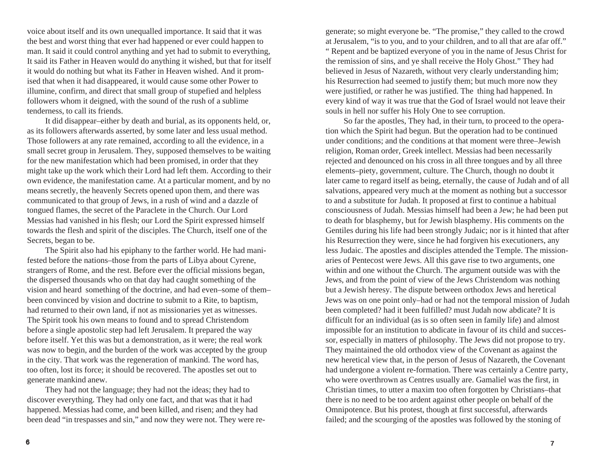voice about itself and its own unequalled importance. It said that it was the best and worst thing that ever had happened or ever could happen to man. It said it could control anything and yet had to submit to everything, It said its Father in Heaven would do anything it wished, but that for itself it would do nothing but what its Father in Heaven wished. And it promised that when it had disappeared, it would cause some other Power to illumine, confirm, and direct that small group of stupefied and helpless followers whom it deigned, with the sound of the rush of a sublime tenderness, to call its friends.

It did disappear–either by death and burial, as its opponents held, or, as its followers afterwards asserted, by some later and less usual method. Those followers at any rate remained, according to all the evidence, in a small secret group in Jerusalem. They, supposed themselves to be waiting for the new manifestation which had been promised, in order that they might take up the work which their Lord had left them. According to their own evidence, the manifestation came. At a particular moment, and by no means secretly, the heavenly Secrets opened upon them, and there was communicated to that group of Jews, in a rush of wind and a dazzle of tongued flames, the secret of the Paraclete in the Church. Our Lord Messias had vanished in his flesh; our Lord the Spirit expressed himself towards the flesh and spirit of the disciples. The Church, itself one of the Secrets, began to be.

The Spirit also had his epiphany to the farther world. He had manifested before the nations–those from the parts of Libya about Cyrene, strangers of Rome, and the rest. Before ever the official missions began, the dispersed thousands who on that day had caught something of the vision and heard something of the doctrine, and had even–some of them– been convinced by vision and doctrine to submit to a Rite, to baptism, had returned to their own land, if not as missionaries yet as witnesses. The Spirit took his own means to found and to spread Christendom before a single apostolic step had left Jerusalem. It prepared the way before itself. Yet this was but a demonstration, as it were; the real work was now to begin, and the burden of the work was accepted by the group in the city. That work was the regeneration of mankind. The word has, too often, lost its force; it should be recovered. The apostles set out to generate mankind anew.

They had not the language; they had not the ideas; they had to discover everything. They had only one fact, and that was that it had happened. Messias had come, and been killed, and risen; and they had been dead "in trespasses and sin," and now they were not. They were re-

generate; so might everyone be. "The promise," they called to the crowd at Jerusalem, "is to you, and to your children, and to all that are afar off." " Repent and be baptized everyone of you in the name of Jesus Christ for the remission of sins, and ye shall receive the Holy Ghost." They had believed in Jesus of Nazareth, without very clearly understanding him; his Resurrection had seemed to justify them; but much more now they were justified, or rather he was justified. The thing had happened. In every kind of way it was true that the God of Israel would not leave their souls in hell nor suffer his Holy One to see corruption.

So far the apostles, They had, in their turn, to proceed to the operation which the Spirit had begun. But the operation had to be continued under conditions; and the conditions at that moment were three–Jewish religion, Roman order, Greek intellect. Messias had been necessarily rejected and denounced on his cross in all three tongues and by all three elements–piety, government, culture. The Church, though no doubt it later came to regard itself as being, eternally, the cause of Judah and of all salvations, appeared very much at the moment as nothing but a successor to and a substitute for Judah. It proposed at first to continue a habitual consciousness of Judah. Messias himself had been a Jew; he had been put to death for blasphemy, but for Jewish blasphemy. His comments on the Gentiles during his life had been strongly Judaic; nor is it hinted that after his Resurrection they were, since he had forgiven his executioners, any less Judaic. The apostles and disciples attended the Temple. The missionaries of Pentecost were Jews. All this gave rise to two arguments, one within and one without the Church. The argument outside was with the Jews, and from the point of view of the Jews Christendom was nothing but a Jewish heresy. The dispute between orthodox Jews and heretical Jews was on one point only–had or had not the temporal mission of Judah been completed? had it been fulfilled? must Judah now abdicate? It is difficult for an individual (as is so often seen in family life) and almost impossible for an institution to abdicate in favour of its child and successor, especially in matters of philosophy. The Jews did not propose to try. They maintained the old orthodox view of the Covenant as against the new heretical view that, in the person of Jesus of Nazareth, the Covenant had undergone a violent re-formation. There was certainly a Centre party, who were overthrown as Centres usually are. Gamaliel was the first, in Christian times, to utter a maxim too often forgotten by Christians–that there is no need to be too ardent against other people on behalf of the Omnipotence. But his protest, though at first successful, afterwards failed; and the scourging of the apostles was followed by the stoning of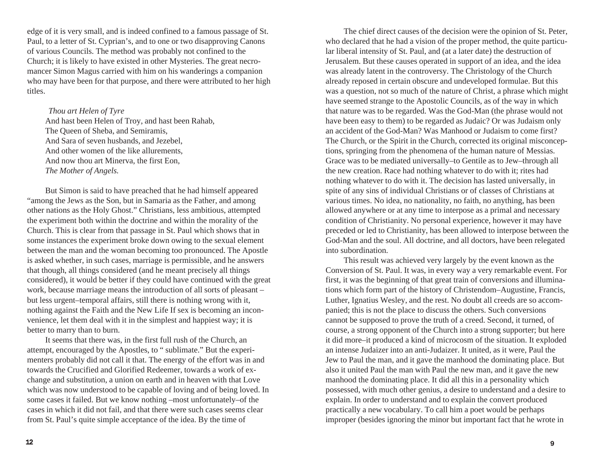edge of it is very small, and is indeed confined to a famous passage of St. Paul, to a letter of St. Cyprian's, and to one or two disapproving Canons of various Councils. The method was probably not confined to the Church; it is likely to have existed in other Mysteries. The great necromancer Simon Magus carried with him on his wanderings a companion who may have been for that purpose, and there were attributed to her high titles.

*Thou art Helen of Tyre*

And hast been Helen of Troy, and hast been Rahab, The Queen of Sheba, and Semiramis, And Sara of seven husbands, and Jezebel, And other women of the like allurements, And now thou art Minerva, the first Eon, *The Mother of Angels.*

But Simon is said to have preached that he had himself appeared "among the Jews as the Son, but in Samaria as the Father, and among other nations as the Holy Ghost." Christians, less ambitious, attempted the experiment both within the doctrine and within the morality of the Church. This is clear from that passage in St. Paul which shows that in some instances the experiment broke down owing to the sexual element between the man and the woman becoming too pronounced. The Apostle is asked whether, in such cases, marriage is permissible, and he answers that though, all things considered (and he meant precisely all things considered), it would be better if they could have continued with the great work, because marriage means the introduction of all sorts of pleasant – but less urgent–temporal affairs, still there is nothing wrong with it, nothing against the Faith and the New Life If sex is becoming an inconvenience, let them deal with it in the simplest and happiest way; it is better to marry than to burn.

It seems that there was, in the first full rush of the Church, an attempt, encouraged by the Apostles, to " sublimate." But the experimenters probably did not call it that. The energy of the effort was in and towards the Crucified and Glorified Redeemer, towards a work of exchange and substitution, a union on earth and in heaven with that Love which was now understood to be capable of loving and of being loved. In some cases it failed. But we know nothing –most unfortunately–of the cases in which it did not fail, and that there were such cases seems clear from St. Paul's quite simple acceptance of the idea. By the time of

The chief direct causes of the decision were the opinion of St. Peter, who declared that he had a vision of the proper method, the quite particular liberal intensity of St. Paul, and (at a later date) the destruction of Jerusalem. But these causes operated in support of an idea, and the idea was already latent in the controversy. The Christology of the Church already reposed in certain obscure and undeveloped formulae. But this was a question, not so much of the nature of Christ, a phrase which might have seemed strange to the Apostolic Councils, as of the way in which that nature was to be regarded. Was the God-Man (the phrase would not have been easy to them) to be regarded as Judaic? Or was Judaism only an accident of the God-Man? Was Manhood or Judaism to come first? The Church, or the Spirit in the Church, corrected its original misconceptions, springing from the phenomena of the human nature of Messias. Grace was to be mediated universally–to Gentile as to Jew–through all the new creation. Race had nothing whatever to do with it; rites had nothing whatever to do with it. The decision has lasted universally, in spite of any sins of individual Christians or of classes of Christians at various times. No idea, no nationality, no faith, no anything, has been allowed anywhere or at any time to interpose as a primal and necessary condition of Christianity. No personal experience, however it may have preceded or led to Christianity, has been allowed to interpose between the God-Man and the soul. All doctrine, and all doctors, have been relegated into subordination.

This result was achieved very largely by the event known as the Conversion of St. Paul. It was, in every way a very remarkable event. For first, it was the beginning of that great train of conversions and illuminations which form part of the history of Christendom–Augustine, Francis, Luther, Ignatius Wesley, and the rest. No doubt all creeds are so accompanied; this is not the place to discuss the others. Such conversions cannot be supposed to prove the truth of a creed. Second, it turned, of course, a strong opponent of the Church into a strong supporter; but here it did more–it produced a kind of microcosm of the situation. It exploded an intense Judaizer into an anti-Judaizer. It united, as it were, Paul the Jew to Paul the man, and it gave the manhood the dominating place. But also it united Paul the man with Paul the new man, and it gave the new manhood the dominating place. It did all this in a personality which possessed, with much other genius, a desire to understand and a desire to explain. In order to understand and to explain the convert produced practically a new vocabulary. To call him a poet would be perhaps improper (besides ignoring the minor but important fact that he wrote in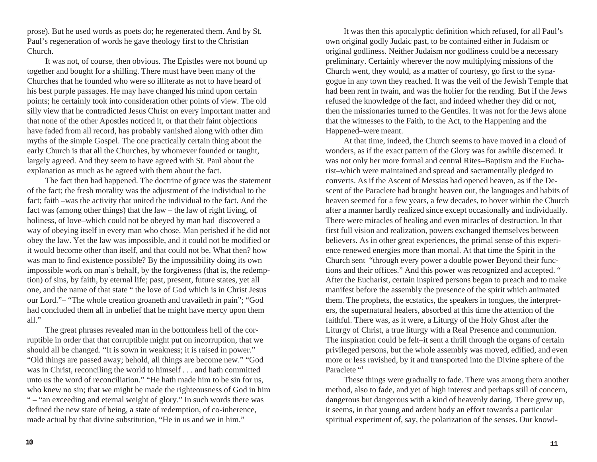prose). But he used words as poets do; he regenerated them. And by St. Paul's regeneration of words he gave theology first to the Christian Church.

It was not, of course, then obvious. The Epistles were not bound up together and bought for a shilling. There must have been many of the Churches that he founded who were so illiterate as not to have heard of his best purple passages. He may have changed his mind upon certain points; he certainly took into consideration other points of view. The old silly view that he contradicted Jesus Christ on every important matter and that none of the other Apostles noticed it, or that their faint objections have faded from all record, has probably vanished along with other dim myths of the simple Gospel. The one practically certain thing about the early Church is that all the Churches, by whomever founded or taught, largely agreed. And they seem to have agreed with St. Paul about the explanation as much as he agreed with them about the fact.

The fact then had happened. The doctrine of grace was the statement of the fact; the fresh morality was the adjustment of the individual to the fact; faith –was the activity that united the individual to the fact. And the fact was (among other things) that the law – the law of right living, of holiness, of love–which could not be obeyed by man had discovered a way of obeying itself in every man who chose. Man perished if he did not obey the law. Yet the law was impossible, and it could not be modified or it would become other than itself, and that could not be. What then? how was man to find existence possible? By the impossibility doing its own impossible work on man's behalf, by the forgiveness (that is, the redemption) of sins, by faith, by eternal life; past, present, future states, yet all one, and the name of that state " the love of God which is in Christ Jesus our Lord."– "The whole creation groaneth and travaileth in pain"; "God had concluded them all in unbelief that he might have mercy upon them all."

The great phrases revealed man in the bottomless hell of the corruptible in order that that corruptible might put on incorruption, that we should all be changed. "It is sown in weakness; it is raised in power." "Old things are passed away; behold, all things are become new." "God was in Christ, reconciling the world to himself . . . and hath committed unto us the word of reconciliation." "He hath made him to be sin for us, who knew no sin; that we might be made the righteousness of God in him " – "an exceeding and eternal weight of glory." In such words there was defined the new state of being, a state of redemption, of co-inherence, made actual by that divine substitution, "He in us and we in him."

It was then this apocalyptic definition which refused, for all Paul's own original godly Judaic past, to be contained either in Judaism or original godliness. Neither Judaism nor godliness could be a necessary preliminary. Certainly wherever the now multiplying missions of the Church went, they would, as a matter of courtesy, go first to the synagogue in any town they reached. It was the veil of the Jewish Temple that had been rent in twain, and was the holier for the rending. But if the Jews refused the knowledge of the fact, and indeed whether they did or not, then the missionaries turned to the Gentiles. It was not for the Jews alone that the witnesses to the Faith, to the Act, to the Happening and the Happened–were meant.

At that time, indeed, the Church seems to have moved in a cloud of wonders, as if the exact pattern of the Glory was for awhile discerned. It was not only her more formal and central Rites–Baptism and the Eucharist–which were maintained and spread and sacramentally pledged to converts. As if the Ascent of Messias had opened heaven, as if the Descent of the Paraclete had brought heaven out, the languages and habits of heaven seemed for a few years, a few decades, to hover within the Church after a manner hardly realized since except occasionally and individually. There were miracles of healing and even miracles of destruction. In that first full vision and realization, powers exchanged themselves between believers. As in other great experiences, the primal sense of this experience renewed energies more than mortal. At that time the Spirit in the Church sent "through every power a double power Beyond their functions and their offices." And this power was recognized and accepted. " After the Eucharist, certain inspired persons began to preach and to make manifest before the assembly the presence of the spirit which animated them. The prophets, the ecstatics, the speakers in tongues, the interpreters, the supernatural healers, absorbed at this time the attention of the faithful. There was, as it were, a Liturgy of the Holy Ghost after the Liturgy of Christ, a true liturgy with a Real Presence and communion. The inspiration could be felt–it sent a thrill through the organs of certain privileged persons, but the whole assembly was moved, edified, and even more or less ravished, by it and transported into the Divine sphere of the Paraclete "1

These things were gradually to fade. There was among them another method, also to fade, and yet of high interest and perhaps still of concern, dangerous but dangerous with a kind of heavenly daring. There grew up, it seems, in that young and ardent body an effort towards a particular spiritual experiment of, say, the polarization of the senses. Our knowl-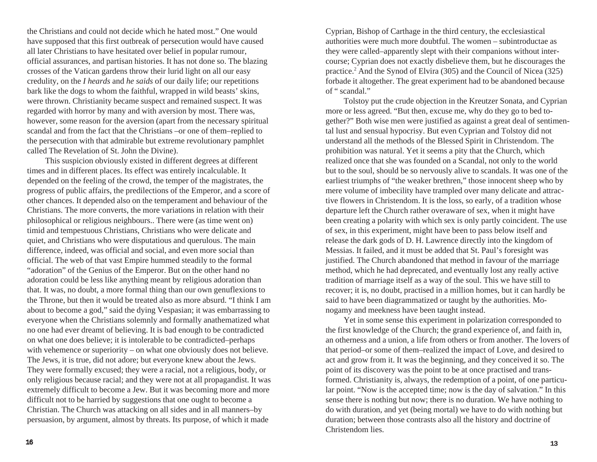the Christians and could not decide which he hated most." One would have supposed that this first outbreak of persecution would have caused all later Christians to have hesitated over belief in popular rumour, official assurances, and partisan histories. It has not done so. The blazing crosses of the Vatican gardens throw their lurid light on all our easy credulity, on the *I heards* and *he saids* of our daily life; our repetitions bark like the dogs to whom the faithful, wrapped in wild beasts' skins, were thrown. Christianity became suspect and remained suspect. It was regarded with horror by many and with aversion by most. There was, however, some reason for the aversion (apart from the necessary spiritual scandal and from the fact that the Christians –or one of them–replied to the persecution with that admirable but extreme revolutionary pamphlet called The Revelation of St. John the Divine).

This suspicion obviously existed in different degrees at different times and in different places. Its effect was entirely incalculable. It depended on the feeling of the crowd, the temper of the magistrates, the progress of public affairs, the predilections of the Emperor, and a score of other chances. It depended also on the temperament and behaviour of the Christians. The more converts, the more variations in relation with their philosophical or religious neighbours.. There were (as time went on) timid and tempestuous Christians, Christians who were delicate and quiet, and Christians who were disputatious and querulous. The main difference, indeed, was official and social, and even more social than official. The web of that vast Empire hummed steadily to the formal "adoration" of the Genius of the Emperor. But on the other hand no adoration could be less like anything meant by religious adoration than that. It was, no doubt, a more formal thing than our own genuflexions to the Throne, but then it would be treated also as more absurd. "I think I am about to become a god," said the dying Vespasian; it was embarrassing to everyone when the Christians solemnly and formally anathematized what no one had ever dreamt of believing. It is bad enough to be contradicted on what one does believe; it is intolerable to be contradicted–perhaps with vehemence or superiority – on what one obviously does not believe. The Jews, it is true, did not adore; but everyone knew about the Jews. They were formally excused; they were a racial, not a religious, body, or only religious because racial; and they were not at all propagandist. It was extremely difficult to become a Jew. But it was becoming more and more difficult not to be harried by suggestions that one ought to become a Christian. The Church was attacking on all sides and in all manners–by persuasion, by argument, almost by threats. Its purpose, of which it made

Cyprian, Bishop of Carthage in the third century, the ecclesiastical authorities were much more doubtful. The women – subintroductae as they were called–apparently slept with their companions without intercourse; Cyprian does not exactly disbelieve them, but he discourages the practice.2 And the Synod of Elvira (305) and the Council of Nicea (325) forbade it altogether. The great experiment had to be abandoned because of " scandal."

Tolstoy put the crude objection in the Kreutzer Sonata, and Cyprian more or less agreed. "But then, excuse me, why do they go to bed together?" Both wise men were justified as against a great deal of sentimental lust and sensual hypocrisy. But even Cyprian and Tolstoy did not understand all the methods of the Blessed Spirit in Christendom. The prohibition was natural. Yet it seems a pity that the Church, which realized once that she was founded on a Scandal, not only to the world but to the soul, should be so nervously alive to scandals. It was one of the earliest triumphs of "the weaker brethren," those innocent sheep who by mere volume of imbecility have trampled over many delicate and attractive flowers in Christendom. It is the loss, so early, of a tradition whose departure left the Church rather overaware of sex, when it might have been creating a polarity with which sex is only partly coincident. The use of sex, in this experiment, might have been to pass below itself and release the dark gods of D. H. Lawrence directly into the kingdom of Messias. It failed, and it must be added that St. Paul's foresight was justified. The Church abandoned that method in favour of the marriage method, which he had deprecated, and eventually lost any really active tradition of marriage itself as a way of the soul. This we have still to recover; it is, no doubt, practised in a million homes, but it can hardly be said to have been diagrammatized or taught by the authorities. Monogamy and meekness have been taught instead.

Yet in some sense this experiment in polarization corresponded to the first knowledge of the Church; the grand experience of, and faith in, an otherness and a union, a life from others or from another. The lovers of that period–or some of them–realized the impact of Love, and desired to act and grow from it. It was the beginning, and they conceived it so. The point of its discovery was the point to be at once practised and transformed. Christianity is, always, the redemption of a point, of one particular point. "Now is the accepted time; now is the day of salvation." In this sense there is nothing but now; there is no duration. We have nothing to do with duration, and yet (being mortal) we have to do with nothing but duration; between those contrasts also all the history and doctrine of Christendom lies.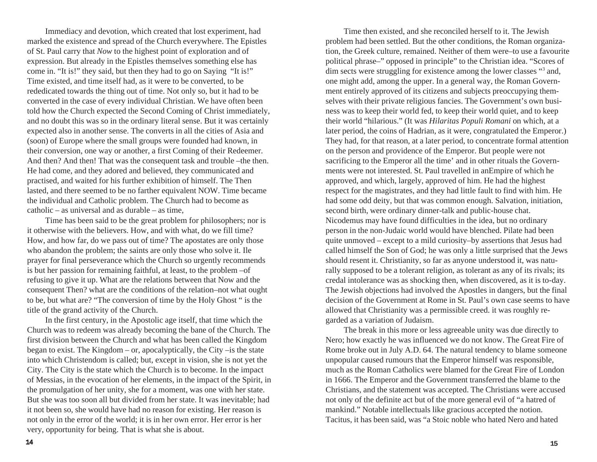Immediacy and devotion, which created that lost experiment, had marked the existence and spread of the Church everywhere. The Epistles of St. Paul carry that *Now* to the highest point of exploration and of expression. But already in the Epistles themselves something else has come in. "It is!" they said, but then they had to go on Saying "It is!" Time existed, and time itself had, as it were to be converted, to be rededicated towards the thing out of time. Not only so, but it had to be converted in the case of every individual Christian. We have often been told how the Church expected the Second Coming of Christ immediately, and no doubt this was so in the ordinary literal sense. But it was certainly expected also in another sense. The converts in all the cities of Asia and (soon) of Europe where the small groups were founded had known, in their conversion, one way or another, a first Coming of their Redeemer. And then? And then! That was the consequent task and trouble –the then. He had come, and they adored and believed, they communicated and practised, and waited for his further exhibition of himself. The Then lasted, and there seemed to be no farther equivalent NOW. Time became the individual and Catholic problem. The Church had to become as catholic – as universal and as durable – as time,

Time has been said to be the great problem for philosophers; nor is it otherwise with the believers. How, and with what, do we fill time? How, and how far, do we pass out of time? The apostates are only those who abandon the problem; the saints are only those who solve it. Ile prayer for final perseverance which the Church so urgently recommends is but her passion for remaining faithful, at least, to the problem –of refusing to give it up. What are the relations between that Now and the consequent Then? what are the conditions of the relation–not what ought to be, but what are? "The conversion of time by the Holy Ghost " is the title of the grand activity of the Church.

In the first century, in the Apostolic age itself, that time which the Church was to redeem was already becoming the bane of the Church. The first division between the Church and what has been called the Kingdom began to exist. The Kingdom – or, apocalyptically, the City –is the state into which Christendom is called; but, except in vision, she is not yet the City. The City is the state which the Church is to become. In the impact of Messias, in the evocation of her elements, in the impact of the Spirit, in the promulgation of her unity, she for a moment, was one with her state. But she was too soon all but divided from her state. It was inevitable; had it not been so, she would have had no reason for existing. Her reason is not only in the error of the world; it is in her own error. Her error is her very, opportunity for being. That is what she is about.

Time then existed, and she reconciled herself to it. The Jewish problem had been settled. But the other conditions, the Roman organization, the Greek culture, remained. Neither of them were–to use a favourite political phrase–" opposed in principle" to the Christian idea. "Scores of dim sects were struggling for existence among the lower classes "3 and, one might add, among the upper. In a general way, the Roman Government entirely approved of its citizens and subjects preoccupying themselves with their private religious fancies. The Government's own business was to keep their world fed, to keep their world quiet, and to keep their world "hilarious." (It was *Hilaritas Populi Romani* on which, at a later period, the coins of Hadrian, as it were, congratulated the Emperor.) They had, for that reason, at a later period, to concentrate formal attention on the person and providence of the Emperor. But people were not sacrificing to the Emperor all the time' and in other rituals the Governments were not interested. St. Paul travelled in anEmpire of which he approved, and which, largely, approved of him. He had the highest respect for the magistrates, and they had little fault to find with him. He had some odd deity, but that was common enough. Salvation, initiation, second birth, were ordinary dinner-talk and public-house chat. Nicodemus may have found difficulties in the idea, but no ordinary person in the non-Judaic world would have blenched. Pilate had been quite unmoved – except to a mild curiosity–by assertions that Jesus had called himself the Son of God; he was only a little surprised that the Jews should resent it. Christianity, so far as anyone understood it, was naturally supposed to be a tolerant religion, as tolerant as any of its rivals; its credal intolerance was as shocking then, when discovered, as it is to-day. The Jewish objections had involved the Apostles in dangers, but the final decision of the Government at Rome in St. Paul's own case seems to have allowed that Christianity was a permissible creed. it was roughly regarded as a variation of Judaism.

The break in this more or less agreeable unity was due directly to Nero; how exactly he was influenced we do not know. The Great Fire of Rome broke out in July A.D. 64. The natural tendency to blame someone unpopular caused rumours that the Emperor himself was responsible, much as the Roman Catholics were blamed for the Great Fire of London in 1666. The Emperor and the Government transferred the blame to the Christians, and the statement was accepted. The Christians were accused not only of the definite act but of the more general evil of "a hatred of mankind." Notable intellectuals like gracious accepted the notion. Tacitus, it has been said, was "a Stoic noble who hated Nero and hated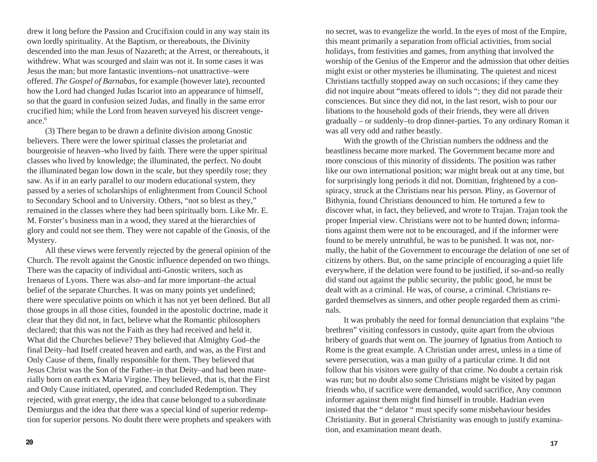drew it long before the Passion and Crucifixion could in any way stain its own lordly spirituality. At the Baptism, or thereabouts, the Divinity descended into the man Jesus of Nazareth; at the Arrest, or thereabouts, it withdrew. What was scourged and slain was not it. In some cases it was Jesus the man; but more fantastic inventions–not unattractive–were offered. *The Gospel of Barnabas*, for example (however late), recounted how the Lord had changed Judas Iscariot into an appearance of himself, so that the guard in confusion seized Judas, and finally in the same error crucified him; while the Lord from heaven surveyed his discreet vengeance.<sup>6</sup>

(3) There began to be drawn a definite division among Gnostic believers. There were the lower spiritual classes the proletariat and bourgeoisie of heaven–who lived by faith. There were the upper spiritual classes who lived by knowledge; the illuminated, the perfect. No doubt the illuminated began low down in the scale, but they speedily rose; they saw. As if in an early parallel to our modern educational system, they passed by a series of scholarships of enlightenment from Council School to Secondary School and to University. Others, "not so blest as they," remained in the classes where they had been spiritually born. Like Mr. E. M. Forster's business man in a wood, they stared at the hierarchies of glory and could not see them. They were not capable of the Gnosis, of the Mystery.

All these views were fervently rejected by the general opinion of the Church. The revolt against the Gnostic influence depended on two things. There was the capacity of individual anti-Gnostic writers, such as Irenaeus of Lyons. There was also–and far more important–the actual belief of the separate Churches. It was on many points yet undefined; there were speculative points on which it has not yet been defined. But all those groups in all those cities, founded in the apostolic doctrine, made it clear that they did not, in fact, believe what the Romantic philosophers declared; that this was not the Faith as they had received and held it. What did the Churches believe? They believed that Almighty God–the final Deity–had Itself created heaven and earth, and was, as the First and Only Cause of them, finally responsible for them. They believed that Jesus Christ was the Son of the Father–in that Deity–and had been materially born on earth ex Maria Virgine. They believed, that is, that the First and Only Cause initiated, operated, and concluded Redemption. They rejected, with great energy, the idea that cause belonged to a subordinate Demiurgus and the idea that there was a special kind of superior redemption for superior persons. No doubt there were prophets and speakers with

no secret, was to evangelize the world. In the eyes of most of the Empire, this meant primarily a separation from official activities, from social holidays, from festivities and games, from anything that involved the worship of the Genius of the Emperor and the admission that other deities might exist or other mysteries be illuminating. The quietest and nicest Christians tactfully stopped away on such occasions; if they came they did not inquire about "meats offered to idols "; they did not parade their consciences. But since they did not, in the last resort, wish to pour our libations to the household gods of their friends, they were all driven gradually – or suddenly–to drop dinner-parties. To any ordinary Roman it was all very odd and rather beastly.

With the growth of the Christian numbers the oddness and the beastliness became more marked. The Government became more and more conscious of this minority of dissidents. The position was rather like our own international position; war might break out at any time, but for surprisingly long periods it did not. Domitian, frightened by a conspiracy, struck at the Christians near his person. Pliny, as Governor of Bithynia, found Christians denounced to him. He tortured a few to discover what, in fact, they believed, and wrote to Trajan. Trajan took the proper Imperial view. Christians were not to be hunted down; informations against them were not to be encouraged, and if the informer were found to be merely untruthful, he was to be punished. It was not, normally, the habit of the Government to encourage the delation of one set of citizens by others. But, on the same principle of encouraging a quiet life everywhere, if the delation were found to be justified, if so-and-so really did stand out against the public security, the public good, he must be dealt with as a criminal. He was, of course, a criminal. Christians regarded themselves as sinners, and other people regarded them as criminals.

It was probably the need for formal denunciation that explains "the brethren" visiting confessors in custody, quite apart from the obvious bribery of guards that went on. The journey of Ignatius from Antioch to Rome is the great example. A Christian under arrest, unless in a time of severe persecution, was a man guilty of a particular crime. It did not follow that his visitors were guilty of that crime. No doubt a certain risk was run; but no doubt also some Christians might be visited by pagan friends who, if sacrifice were demanded, would sacrifice, Any common informer against them might find himself in trouble. Hadrian even insisted that the " delator " must specify some misbehaviour besides Christianity. But in general Christianity was enough to justify examination, and examination meant death.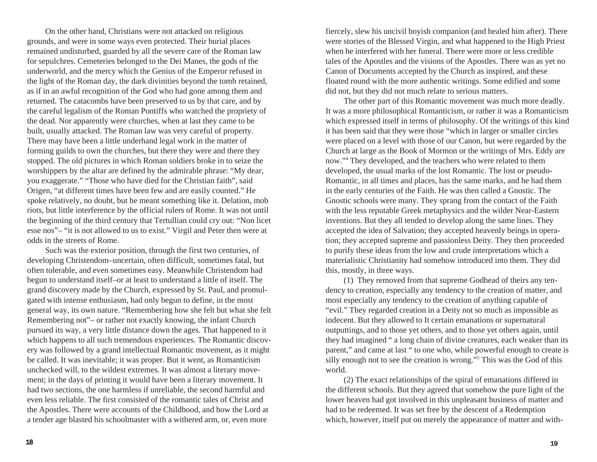On the other hand, Christians were not attacked on religious grounds, and were in some ways even protected. Their burial places remained undisturbed, guarded by all the severe care of the Roman law for sepulchres. Cemeteries belonged to the Dei Manes, the gods of the underworld, and the mercy which the Genius of the Emperor refused in the light of the Roman day, the dark divinities beyond the tomb retained, as if in an awful recognition of the God who had gone among them and returned. The catacombs have been preserved to us by that care, and by the careful legalism of the Roman Pontiffs who watched the propriety of the dead. Nor apparently were churches, when at last they came to be built, usually attacked. The Roman law was very careful of property. There may have been a little underhand legal work in the matter of forming guilds to own the churches, but there they were and there they stopped. The old pictures in which Roman soldiers broke in to seize the worshippers by the altar are defined by the admirable phrase: "My dear, you exaggerate." "Those who have died for the Christian faith", said Origen, "at different times have been few and are easily counted." He spoke relatively, no doubt, but he meant something like it. Delation, mob riots, but little interference by the official rulers of Rome. It was not until the beginning of the third century that Tertullian could cry out: "Non licet esse nos"– "it is not allowed to us to exist." Virgil and Peter then were at odds in the streets of Rome.

Such was the exterior position, through the first two centuries, of developing Christendom–uncertain, often difficult, sometimes fatal, but often tolerable, and even sometimes easy. Meanwhile Christendom had begun to understand itself–or at least to understand a little of itself. The grand discovery made by the Church, expressed by St. Paul, and promulgated with intense enthusiasm, had only begun to define, in the most general way, its own nature. "Remembering how she felt but what she felt Remembering not"– or rather not exactly knowing, the infant Church pursued its way, a very little distance down the ages. That happened to it which happens to all such tremendous experiences. The Romantic discovery was followed by a grand intellectual Romantic movement, as it might be called. It was inevitable; it was proper. But it went, as Romanticism unchecked will, to the wildest extremes. It was almost a literary movement; in the days of printing it would have been a literary movement. It had two sections, the one harmless if unreliable, the second harmful and even less reliable. The first consisted of the romantic tales of Christ and the Apostles. There were accounts of the Childhood, and how the Lord at a tender age blasted his schoolmaster with a withered arm, or, even more

fiercely, slew his uncivil boyish companion (and healed him after). There were stories of the Blessed Virgin, and what happened to the High Priest when he interfered with her funeral. There were more or less credible tales of the Apostles and the visions of the Apostles. There was as yet no Canon of Documents accepted by the Church as inspired, and these floated round with the more authentic writings. Some edified and some did not, but they did not much relate to serious matters.

The other part of this Romantic movement was much more deadly. It was a more philosophical Romanticism, or rather it was a Romanticism which expressed itself in terms of philosophy. Of the writings of this kind it has been said that they were those "which in larger or smaller circles were placed on a level with those of our Canon, but were regarded by the Church at large as the Book of Mormon or the writings of Mrs. Eddy are now."4 They developed, and the teachers who were related to them developed, the usual marks of the lost Romantic. The lost or pseudo-Romantic, in all times and places, has the same marks, and he had them in the early centuries of the Faith. He was then called a Gnostic. The Gnostic schools were many. They sprang from the contact of the Faith with the less reputable Greek metaphysics and the wilder Near-Eastern inventions. But they all tended to develop along the same lines. They accepted the idea of Salvation; they accepted heavenly beings in operation; they accepted supreme and passionless Deity. They then proceeded to purify these ideas from the low and crude interpretations which a materialistic Christianity had somehow introduced into them. They did this, mostly, in three ways.

(1) They removed from that supreme Godhead of theirs any tendency to creation, especially any tendency to the creation of matter, and most especially any tendency to the creation of anything capable of "evil." They regarded creation in a Deity not so much as impossible as indecent. But they allowed to It certain emanations or supernatural outputtings, and to those yet others, and to those yet others again, until they had imagined " a long chain of divine creatures, each weaker than its parent," and came at last " to one who, while powerful enough to create is silly enough not to see the creation is wrong."5 This was the God of this world.

(2) The exact relationships of the spiral of emanations differed in the different schools. But they agreed that somehow the pure light of the lower heaven had got involved in this unpleasant business of matter and had to be redeemed. It was set free by the descent of a Redemption which, however, itself put on merely the appearance of matter and with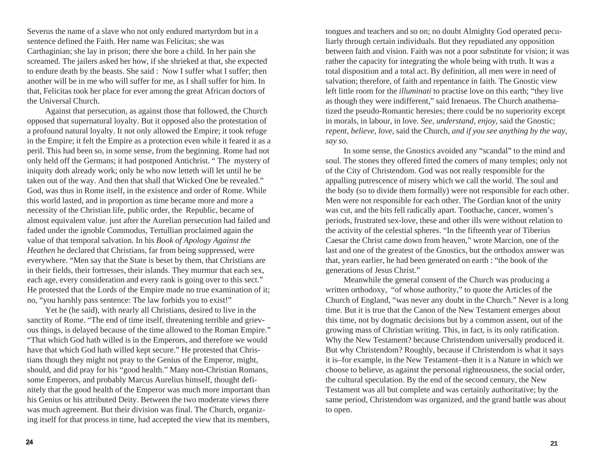Severus the name of a slave who not only endured martyrdom but in a sentence defined the Faith. Her name was Felicitas; she was

Carthaginian; she lay in prison; there she bore a child. In her pain she screamed. The jailers asked her how, if she shrieked at that, she expected to endure death by the beasts. She said : Now I suffer what I suffer; then another will be in me who will suffer for me, as I shall suffer for him. In that, Felicitas took her place for ever among the great African doctors of the Universal Church.

Against that persecution, as against those that followed, the Church opposed that supernatural loyalty. But it opposed also the protestation of a profound natural loyalty. It not only allowed the Empire; it took refuge in the Empire; it felt the Empire as a protection even while it feared it as a peril. This had been so, in some sense, from the beginning. Rome had not only held off the Germans; it had postponed Antichrist. " The mystery of iniquity doth already work; only he who now letteth will let until he be taken out of the way. And then that shall that Wicked One be revealed." God, was thus in Rome itself, in the existence and order of Rome. While this world lasted, and in proportion as time became more and more a necessity of the Christian life, public order, the Republic, became of almost equivalent value. just after the Aurelian persecution had failed and faded under the ignoble Commodus, Tertullian proclaimed again the value of that temporal salvation. In his *Book of Apology Against the Heathen* he declared that Christians, far from being suppressed, were everywhere. "Men say that the State is beset by them, that Christians are in their fields, their fortresses, their islands. They murmur that each sex, each age, every consideration and every rank is going over to this sect." He protested that the Lords of the Empire made no true examination of it; no, "you harshly pass sentence: The law forbids you to exist!"

Yet he (he said), with nearly all Christians, desired to live in the sanctity of Rome. "The end of time itself, threatening terrible and grievous things, is delayed because of the time allowed to the Roman Empire." "That which God hath willed is in the Emperors, and therefore we would have that which God hath willed kept secure." He protested that Christians though they might not pray to the Genius of the Emperor, might, should, and did pray for his "good health." Many non-Christian Romans, some Emperors, and probably Marcus Aurelius himself, thought definitely that the good health of the Emperor was much more important than his Genius or his attributed Deity. Between the two moderate views there was much agreement. But their division was final. The Church, organizing itself for that process in time, had accepted the view that its members,

tongues and teachers and so on; no doubt Almighty God operated peculiarly through certain individuals. But they repudiated any opposition between faith and vision. Faith was not a poor substitute for vision; it was rather the capacity for integrating the whole being with truth. It was a total disposition and a total act. By definition, all men were in need of salvation; therefore, of faith and repentance in faith. The Gnostic view left little room for the *illuminati* to practise love on this earth; "they live as though they were indifferent," said Irenaeus. The Church anathematized the pseudo-Romantic heresies; there could be no superiority except in morals, in labour, in love. *See, understand, enjoy*, said the Gnostic; *repent, believe, love*, said the Church, *and if you see anything by the way, say so.*

In some sense, the Gnostics avoided any "scandal" to the mind and soul. The stones they offered fitted the comers of many temples; only not of the City of Christendom. God was not really responsible for the appalling putrescence of misery which we call the world. The soul and the body (so to divide them formally) were not responsible for each other. Men were not responsible for each other. The Gordian knot of the unity was cut, and the bits fell radically apart. Toothache, cancer, women's periods, frustrated sex-love, these and other ills were without relation to the activity of the celestial spheres. "In the fifteenth year of Tiberius Caesar the Christ came down from heaven," wrote Marcion, one of the last and one of the greatest of the Gnostics, but the orthodox answer was that, years earlier, he had been generated on earth : "the book of the generations of Jesus Christ."

Meanwhile the general consent of the Church was producing a written orthodoxy, "of whose authority," to quote the Articles of the Church of England, "was never any doubt in the Church." Never is a long time. But it is true that the Canon of the New Testament emerges about this time, not by dogmatic decisions but by a common assent, out of the growing mass of Christian writing. This, in fact, is its only ratification. Why the New Testament? because Christendom universally produced it. But why Christendom? Roughly, because if Christendom is what it says it is–for example, in the New Testament–then it is a Nature in which we choose to believe, as against the personal righteousness, the social order, the cultural speculation. By the end of the second century, the New Testament was all but complete and was certainly authoritative; by the same period, Christendom was organized, and the grand battle was about to open.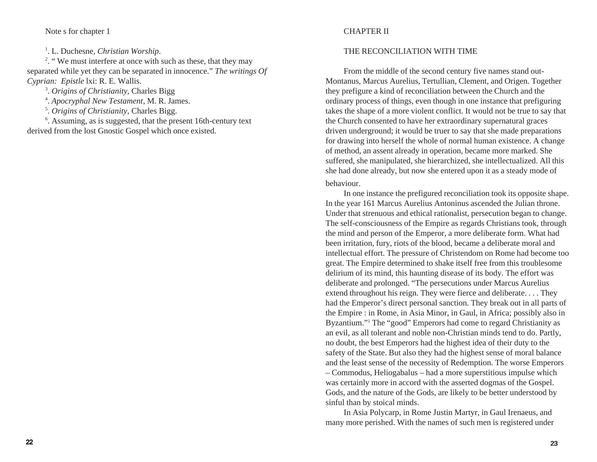# Note s for chapter 1

#### 1. L. Duchesne, *Christian Worship*.

2. " We must interfere at once with such as these, that they may separated while yet they can be separated in innocence." *The writings Of Cyprian: Epistle* lxi: R. E. Wallis.

3 . *Origins of Christianity*, Charles Bigg

4 . *Apocryphal New Testament*, M. R. James.

5 . *Origins of Christianity*, Charles Bigg.

6. Assuming, as is suggested, that the present 16th-century text derived from the lost Gnostic Gospel which once existed.

## CHAPTER II

#### THE RECONCILIATION WITH TIME

From the middle of the second century five names stand out-Montanus, Marcus Aurelius, Tertullian, Clement, and Origen. Together they prefigure a kind of reconciliation between the Church and the ordinary process of things, even though in one instance that prefiguring takes the shape of a more violent conflict. It would not be true to say that the Church consented to have her extraordinary supernatural graces driven underground; it would be truer to say that she made preparations for drawing into herself the whole of normal human existence. A change of method, an assent already in operation, became more marked. She suffered, she manipulated, she hierarchized, she intellectualized. All this she had done already, but now she entered upon it as a steady mode of

### behaviour.

In one instance the prefigured reconciliation took its opposite shape. In the year 161 Marcus Aurelius Antoninus ascended the Julian throne. Under that strenuous and ethical rationalist, persecution began to change. The self-consciousness of the Empire as regards Christians took, through the mind and person of the Emperor, a more deliberate form. What had been irritation, fury, riots of the blood, became a deliberate moral and intellectual effort. The pressure of Christendom on Rome had become too great. The Empire determined to shake itself free from this troublesome delirium of its mind, this haunting disease of its body. The effort was deliberate and prolonged. "The persecutions under Marcus Aurelius extend throughout his reign. They were fierce and deliberate. . . . They had the Emperor's direct personal sanction. They break out in all parts of the Empire : in Rome, in Asia Minor, in Gaul, in Africa; possibly also in Byzantium."<sup>1</sup> The "good" Emperors had come to regard Christianity as an evil, as all tolerant and noble non-Christian minds tend to do. Partly, no doubt, the best Emperors had the highest idea of their duty to the safety of the State. But also they had the highest sense of moral balance and the least sense of the necessity of Redemption. The worse Emperors – Commodus, Heliogabalus – had a more superstitious impulse which was certainly more in accord with the asserted dogmas of the Gospel. Gods, and the nature of the Gods, are likely to be better understood by sinful than by stoical minds.

In Asia Polycarp, in Rome Justin Martyr, in Gaul Irenaeus, and many more perished. With the names of such men is registered under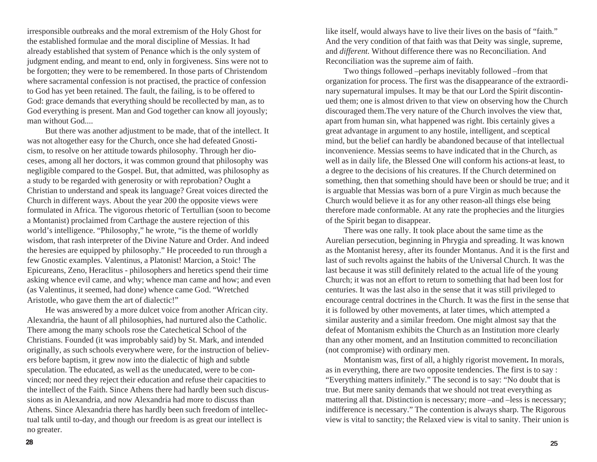irresponsible outbreaks and the moral extremism of the Holy Ghost for the established formulae and the moral discipline of Messias. It had already established that system of Penance which is the only system of judgment ending, and meant to end, only in forgiveness. Sins were not to be forgotten; they were to be remembered. In those parts of Christendom where sacramental confession is not practised, the practice of confession to God has yet been retained. The fault, the failing, is to be offered to God: grace demands that everything should be recollected by man, as to God everything is present. Man and God together can know all joyously; man without God....

But there was another adjustment to be made, that of the intellect. It was not altogether easy for the Church, once she had defeated Gnosticism, to resolve on her attitude towards philosophy. Through her dioceses, among all her doctors, it was common ground that philosophy was negligible compared to the Gospel. But, that admitted, was philosophy as a study to be regarded with generosity or with reprobation? Ought a Christian to understand and speak its language? Great voices directed the Church in different ways. About the year 200 the opposite views were formulated in Africa. The vigorous rhetoric of Tertullian (soon to become a Montanist) proclaimed from Carthage the austere rejection of this world's intelligence. "Philosophy," he wrote, "is the theme of worldly wisdom, that rash interpreter of the Divine Nature and Order. And indeed the heresies are equipped by philosophy." He proceeded to run through a few Gnostic examples. Valentinus, a Platonist! Marcion, a Stoic! The Epicureans, Zeno, Heraclitus - philosophers and heretics spend their time asking whence evil came, and why; whence man came and how; and even (as Valentinus, it seemed, had done) whence came God. "Wretched Aristotle, who gave them the art of dialectic!"

He was answered by a more dulcet voice from another African city. Alexandria, the haunt of all philosophies, had nurtured also the Catholic. There among the many schools rose the Catechetical School of the Christians. Founded (it was improbably said) by St. Mark, and intended originally, as such schools everywhere were, for the instruction of believers before baptism, it grew now into the dialectic of high and subtle speculation. The educated, as well as the uneducated, were to be convinced; nor need they reject their education and refuse their capacities to the intellect of the Faith. Since Athens there had hardly been such discussions as in Alexandria, and now Alexandria had more to discuss than Athens. Since Alexandria there has hardly been such freedom of intellectual talk until to-day, and though our freedom is as great our intellect is no greater.

like itself, would always have to live their lives on the basis of "faith." And the very condition of that faith was that Deity was single, supreme, and *different.* Without difference there was no Reconciliation. And Reconciliation was the supreme aim of faith.

Two things followed –perhaps inevitably followed –from that organization for process. The first was the disappearance of the extraordinary supernatural impulses. It may be that our Lord the Spirit discontinued them; one is almost driven to that view on observing how the Church discouraged them.The very nature of the Church involves the view that, apart from human sin, what happened was right. Ibis certainly gives a great advantage in argument to any hostile, intelligent, and sceptical mind, but the belief can hardly be abandoned because of that intellectual inconvenience. Messias seems to have indicated that in the Church, as well as in daily life, the Blessed One will conform his actions-at least, to a degree to the decisions of his creatures. If the Church determined on something, then that something should have been or should be true; and it is arguable that Messias was born of a pure Virgin as much because the Church would believe it as for any other reason-all things else being therefore made conformable. At any rate the prophecies and the liturgies of the Spirit began to disappear.

There was one rally. It took place about the same time as the Aurelian persecution, beginning in Phrygia and spreading. It was known as the Montanist heresy, after its founder Montanus. And it is the first and last of such revolts against the habits of the Universal Church. It was the last because it was still definitely related to the actual life of the young Church; it was not an effort to return to something that had been lost for centuries. It was the last also in the sense that it was still privileged to encourage central doctrines in the Church. It was the first in the sense that it is followed by other movements, at later times, which attempted a similar austerity and a similar freedom. One might almost say that the defeat of Montanism exhibits the Church as an Institution more clearly than any other moment, and an Institution committed to reconciliation (not compromise) with ordinary men.

Montanism was, first of all, a highly rigorist movement**.** In morals, as in everything, there are two opposite tendencies. The first is to say : "Everything matters infinitely." The second is to say: "No doubt that is true. But mere sanity demands that we should not treat everything as mattering all that. Distinction is necessary; more –and –less is necessary; indifference is necessary." The contention is always sharp. The Rigorous view is vital to sanctity; the Relaxed view is vital to sanity. Their union is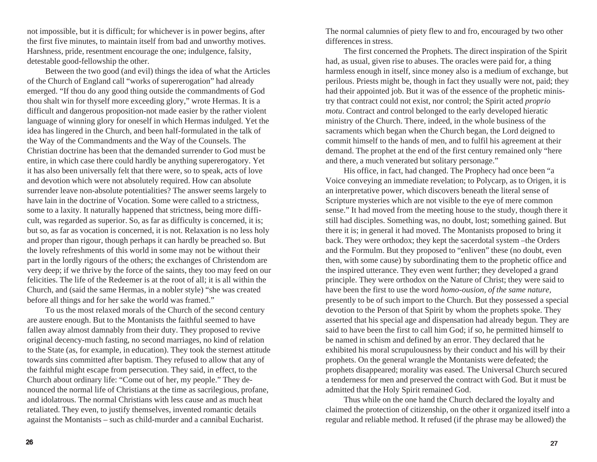not impossible, but it is difficult; for whichever is in power begins, after the first five minutes, to maintain itself from bad and unworthy motives. Harshness, pride, resentment encourage the one; indulgence, falsity, detestable good-fellowship the other.

Between the two good (and evil) things the idea of what the Articles of the Church of England call "works of supererogation" had already emerged. "If thou do any good thing outside the commandments of God thou shalt win for thyself more exceeding glory," wrote Hermas. It is a difficult and dangerous proposition-not made easier by the rather violent language of winning glory for oneself in which Hermas indulged. Yet the idea has lingered in the Church, and been half-formulated in the talk of the Way of the Commandments and the Way of the Counsels. The Christian doctrine has been that the demanded surrender to God must be entire, in which case there could hardly be anything supererogatory. Yet it has also been universally felt that there were, so to speak, acts of love and devotion which were not absolutely required. How can absolute surrender leave non-absolute potentialities? The answer seems largely to have lain in the doctrine of Vocation. Some were called to a strictness, some to a laxity. It naturally happened that strictness, being more difficult, was regarded as superior. So, as far as difficulty is concerned, it is; but so, as far as vocation is concerned, it is not. Relaxation is no less holy and proper than rigour, though perhaps it can hardly be preached so. But the lovely refreshments of this world in some may not be without their part in the lordly rigours of the others; the exchanges of Christendom are very deep; if we thrive by the force of the saints, they too may feed on our felicities. The life of the Redeemer is at the root of all; it is all within the Church, and (said the same Hermas, in a nobler style) "she was created before all things and for her sake the world was framed."

To us the most relaxed morals of the Church of the second century are austere enough. But to the Montanists the faithful seemed to have fallen away almost damnably from their duty. They proposed to revive original decency-much fasting, no second marriages, no kind of relation to the State (as, for example, in education). They took the sternest attitude towards sins committed after baptism. They refused to allow that any of the faithful might escape from persecution. They said, in effect, to the Church about ordinary life: "Come out of her, my people." They denounced the normal life of Christians at the time as sacrilegious, profane, and idolatrous. The normal Christians with less cause and as much heat retaliated. They even, to justify themselves, invented romantic details against the Montanists – such as child-murder and a cannibal Eucharist.

The normal calumnies of piety flew to and fro, encouraged by two other differences in stress.

The first concerned the Prophets. The direct inspiration of the Spirit had, as usual, given rise to abuses. The oracles were paid for, a thing harmless enough in itself, since money also is a medium of exchange, but perilous. Priests might be, though in fact they usually were not, paid; they had their appointed job. But it was of the essence of the prophetic ministry that contract could not exist, nor control; the Spirit acted *proprio motu*. Contract and control belonged to the early developed hieratic ministry of the Church. There, indeed, in the whole business of the sacraments which began when the Church began, the Lord deigned to commit himself to the hands of men, and to fulfil his agreement at their demand. The prophet at the end of the first century remained only "here and there, a much venerated but solitary personage."

His office, in fact, had changed. The Prophecy had once been "a Voice conveying an immediate revelation; to Polycarp, as to Origen, it is an interpretative power, which discovers beneath the literal sense of Scripture mysteries which are not visible to the eye of mere common sense." It had moved from the meeting house to the study, though there it still had disciples. Something was, no doubt, lost; something gained. But there it is; in general it had moved. The Montanists proposed to bring it back. They were orthodox; they kept the sacerdotal system –the Orders and the Formulm. But they proposed to "enliven" these (no doubt, even then, with some cause) by subordinating them to the prophetic office and the inspired utterance. They even went further; they developed a grand principle. They were orthodox on the Nature of Christ; they were said to have been the first to use the word *homo-ousion, of the same nature,* presently to be of such import to the Church. But they possessed a special devotion to the Person of that Spirit by whom the prophets spoke. They asserted that his special age and dispensation had already begun. They are said to have been the first to call him God; if so, he permitted himself to be named in schism and defined by an error. They declared that he exhibited his moral scrupulousness by their conduct and his will by their prophets. On the general wrangle the Montanists were defeated; the prophets disappeared; morality was eased. The Universal Church secured a tenderness for men and preserved the contract with God. But it must be admitted that the Holy Spirit remained God.

Thus while on the one hand the Church declared the loyalty and claimed the protection of citizenship, on the other it organized itself into a regular and reliable method. It refused (if the phrase may be allowed) the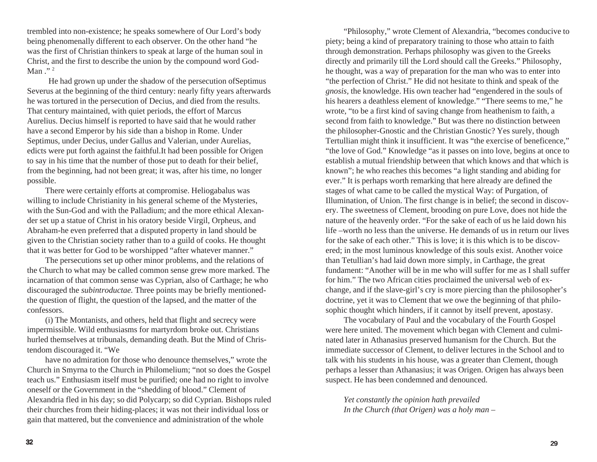trembled into non-existence; he speaks somewhere of Our Lord's body being phenomenally different to each observer. On the other hand "he was the first of Christian thinkers to speak at large of the human soul in Christ, and the first to describe the union by the compound word God-Man  $\cdot$ " <sup>2</sup>

He had grown up under the shadow of the persecution ofSeptimus Severus at the beginning of the third century: nearly fifty years afterwards he was tortured in the persecution of Decius, and died from the results. That century maintained, with quiet periods, the effort of Marcus Aurelius. Decius himself is reported to have said that he would rather have a second Emperor by his side than a bishop in Rome. Under Septimus, under Decius, under Gallus and Valerian, under Aurelias, edicts were put forth against the faithful.It had been possible for Origen to say in his time that the number of those put to death for their belief, from the beginning, had not been great; it was, after his time, no longer possible.

There were certainly efforts at compromise. Heliogabalus was willing to include Christianity in his general scheme of the Mysteries, with the Sun-God and with the Palladium; and the more ethical Alexander set up a statue of Christ in his oratory beside Virgil, Orpheus, and Abraham-he even preferred that a disputed property in land should be given to the Christian society rather than to a guild of cooks. He thought that it was better for God to be worshipped "after whatever manner."

The persecutions set up other minor problems, and the relations of the Church to what may be called common sense grew more marked. The incarnation of that common sense was Cyprian, also of Carthage; he who discouraged the *subintroductae.* Three points may be briefly mentionedthe question of flight, the question of the lapsed, and the matter of the confessors.

(i) The Montanists, and others, held that flight and secrecy were impermissible. Wild enthusiasms for martyrdom broke out. Christians hurled themselves at tribunals, demanding death. But the Mind of Christendom discouraged it. "We

have no admiration for those who denounce themselves," wrote the Church in Smyrna to the Church in Philomelium; "not so does the Gospel teach us." Enthusiasm itself must be purified; one had no right to involve oneself or the Government in the "shedding of blood." Clement of Alexandria fled in his day; so did Polycarp; so did Cyprian. Bishops ruled their churches from their hiding-places; it was not their individual loss or gain that mattered, but the convenience and administration of the whole

"Philosophy," wrote Clement of Alexandria, "becomes conducive to piety; being a kind of preparatory training to those who attain to faith through demonstration. Perhaps philosophy was given to the Greeks directly and primarily till the Lord should call the Greeks." Philosophy, he thought, was a way of preparation for the man who was to enter into "the perfection of Christ." He did not hesitate to think and speak of the *gnosis,* the knowledge. His own teacher had "engendered in the souls of his hearers a deathless element of knowledge." "There seems to me," he wrote, "to be a first kind of saving change from heathenism to faith, a second from faith to knowledge." But was there no distinction between the philosopher-Gnostic and the Christian Gnostic? Yes surely, though Tertullian might think it insufficient. It was "the exercise of beneficence," "the love of God." Knowledge "as it passes on into love, begins at once to establish a mutual friendship between that which knows and that which is known"; he who reaches this becomes "a light standing and abiding for ever." It is perhaps worth remarking that here already are defined the stages of what came to be called the mystical Way: of Purgation, of Illumination, of Union. The first change is in belief; the second in discovery. The sweetness of Clement, brooding on pure Love, does not hide the nature of the heavenly order. "For the sake of each of us he laid down his life –worth no less than the universe. He demands of us in return our lives for the sake of each other." This is love; it is this which is to be discovered; in the most luminous knowledge of this souls exist. Another voice than Tetullian's had laid down more simply, in Carthage, the great fundament: "Another will be in me who will suffer for me as I shall suffer for him." The two African cities proclaimed the universal web of exchange, and if the slave-girl's cry is more piercing than the philosopher's doctrine, yet it was to Clement that we owe the beginning of that philosophic thought which hinders, if it cannot by itself prevent, apostasy.

The vocabulary of Paul and the vocabulary of the Fourth Gospel were here united. The movement which began with Clement and culminated later in Athanasius preserved humanism for the Church. But the immediate successor of Clement, to deliver lectures in the School and to talk with his students in his house, was a greater than Clement, though perhaps a lesser than Athanasius; it was Origen. Origen has always been suspect. He has been condemned and denounced.

*Yet constantly the opinion hath prevailed In the Church (that Origen) was a holy man* –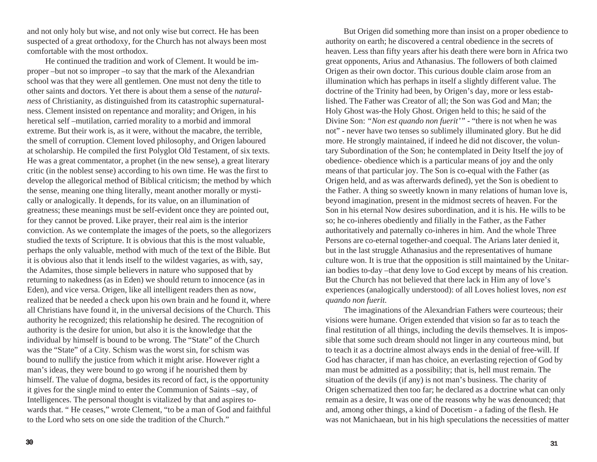and not only holy but wise, and not only wise but correct. He has been suspected of a great orthodoxy, for the Church has not always been most comfortable with the most orthodox.

He continued the tradition and work of Clement. It would be improper –but not so improper –to say that the mark of the Alexandrian school was that they were all gentlemen. One must not deny the title to other saints and doctors. Yet there is about them a sense of the *naturalness* of Christianity, as distinguished from its catastrophic supernaturalness. Clement insisted on repentance and morality; and Origen, in his heretical self –mutilation, carried morality to a morbid and immoral extreme. But their work is, as it were, without the macabre, the terrible, the smell of corruption. Clement loved philosophy, and Origen laboured at scholarship. He compiled the first Polyglot Old Testament, of six texts. He was a great commentator, a prophet (in the new sense), a great literary critic (in the noblest sense) according to his own time. He was the first to develop the allegorical method of Biblical criticism; the method by which the sense, meaning one thing literally, meant another morally or mystically or analogically. It depends, for its value, on an illumination of greatness; these meanings must be self-evident once they are pointed out, for they cannot be proved. Like prayer, their real aim is the interior conviction. As we contemplate the images of the poets, so the allegorizers studied the texts of Scripture. It is obvious that this is the most valuable, perhaps the only valuable, method with much of the text of the Bible. But it is obvious also that it lends itself to the wildest vagaries, as with, say, the Adamites, those simple believers in nature who supposed that by returning to nakedness (as in Eden) we should return to innocence (as in Eden), and vice versa. Origen, like all intelligent readers then as now, realized that be needed a check upon his own brain and he found it, where all Christians have found it, in the universal decisions of the Church. This authority he recognized; this relationship he desired. The recognition of authority is the desire for union, but also it is the knowledge that the individual by himself is bound to be wrong. The "State" of the Church was the "State" of a City. Schism was the worst sin, for schism was bound to nullify the justice from which it might arise. However right a man's ideas, they were bound to go wrong if he nourished them by himself. The value of dogma, besides its record of fact, is the opportunity it gives for the single mind to enter the Communion of Saints –say, of Intelligences. The personal thought is vitalized by that and aspires towards that. " He ceases," wrote Clement, "to be a man of God and faithful to the Lord who sets on one side the tradition of the Church."

But Origen did something more than insist on a proper obedience to authority on earth; he discovered a central obedience in the secrets of heaven. Less than fifty years after his death there were born in Africa two great opponents, Arius and Athanasius. The followers of both claimed Origen as their own doctor. This curious double claim arose from an illumination which has perhaps in itself a slightly different value. The doctrine of the Trinity had been, by Origen's day, more or less established. The Father was Creator of all; the Son was God and Man; the Holy Ghost was-the Holy Ghost. Origen held to this; he said of the Divine Son: *"Non est quando non fuerit'"* - "there is not when he was not" - never have two tenses so sublimely illuminated glory. But he did more. He strongly maintained, if indeed he did not discover, the voluntary Subordination of the Son; he contemplated in Deity Itself the joy of obedience- obedience which is a particular means of joy and the only means of that particular joy. The Son is co-equal with the Father (as Origen held, and as was afterwards defined), yet the Son is obedient to the Father. A thing so sweetly known in many relations of human love is, beyond imagination, present in the midmost secrets of heaven. For the Son in his eternal Now desires subordination, and it is his. He wills to be so; he co-inheres obediently and filially in the Father, as the Father authoritatively and paternally co-inheres in him. And the whole Three Persons are co-eternal together-and coequal. The Arians later denied it, but in the last struggle Athanasius and the representatives of humane culture won. It is true that the opposition is still maintained by the Unitarian bodies to-day –that deny love to God except by means of his creation. But the Church has not believed that there lack in Him any of love's experiences (analogically understood): of all Loves holiest loves, *non est quando non fuerit.*

The imaginations of the Alexandrian Fathers were courteous; their visions were humane. Origen extended that vision so far as to teach the final restitution of all things, including the devils themselves. It is impossible that some such dream should not linger in any courteous mind, but to teach it as a doctrine almost always ends in the denial of free-will. If God has character, if man has choice, an everlasting rejection of God by man must be admitted as a possibility; that is, hell must remain. The situation of the devils (if any) is not man's business. The charity of Origen schernatized then too far; he declared as a doctrine what can only remain as a desire, It was one of the reasons why he was denounced; that and, among other things, a kind of Docetism - a fading of the flesh. He was not Manichaean, but in his high speculations the necessities of matter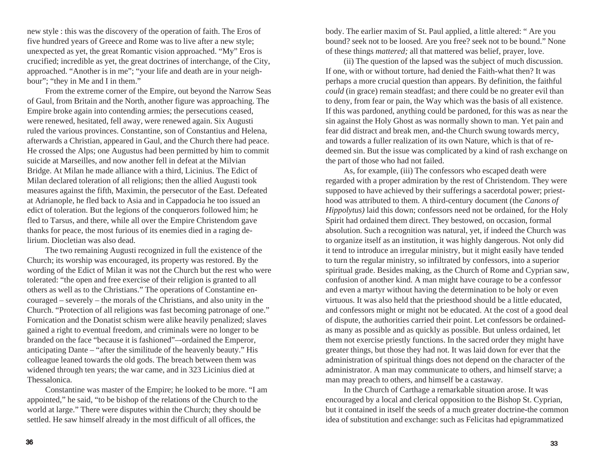new style : this was the discovery of the operation of faith. The Eros of five hundred years of Greece and Rome was to live after a new style; unexpected as yet, the great Romantic vision approached. "My" Eros is crucified; incredible as yet, the great doctrines of interchange, of the City, approached. "Another is in me"; "your life and death are in your neighbour"; "they in Me and I in them."

From the extreme corner of the Empire, out beyond the Narrow Seas of Gaul, from Britain and the North, another figure was approaching. The Empire broke again into contending armies; the persecutions ceased, were renewed, hesitated, fell away, were renewed again. Six Augusti ruled the various provinces. Constantine, son of Constantius and Helena, afterwards a Christian, appeared in Gaul, and the Church there had peace. He crossed the Alps; one Augustus had been permitted by him to commit suicide at Marseilles, and now another fell in defeat at the Milvian Bridge. At Milan he made alliance with a third, Licinius. The Edict of Milan declared toleration of all religions; then the allied Augusti took measures against the fifth, Maximin, the persecutor of the East. Defeated at Adrianople, he fled back to Asia and in Cappadocia he too issued an edict of toleration. But the legions of the conquerors followed him; he fled to Tarsus, and there, while all over the Empire Christendom gave thanks for peace, the most furious of its enemies died in a raging delirium. Diocletian was also dead.

The two remaining Augusti recognized in full the existence of the Church; its worship was encouraged, its property was restored. By the wording of the Edict of Milan it was not the Church but the rest who were tolerated: "the open and free exercise of their religion is granted to all others as well as to the Christians." The operations of Constantine encouraged – severely – the morals of the Christians, and also unity in the Church. "Protection of all religions was fast becoming patronage of one." Fornication and the Donatist schism were alike heavily penalized; slaves gained a right to eventual freedom, and criminals were no longer to be branded on the face "because it is fashioned"–-ordained the Emperor, anticipating Dante – "after the similitude of the heavenly beauty." His colleague leaned towards the old gods. The breach between them was widened through ten years; the war came, and in 323 Licinius died at Thessalonica.

Constantine was master of the Empire; he looked to be more. "I am appointed," he said, "to be bishop of the relations of the Church to the world at large." There were disputes within the Church; they should be settled. He saw himself already in the most difficult of all offices, the

body. The earlier maxim of St. Paul applied, a little altered: " Are you bound? seek not to be loosed. Are you free? seek not to be bound." None of these things *mattered;* all that mattered was belief, prayer, love.

(ii) The question of the lapsed was the subject of much discussion. If one, with or without torture, had denied the Faith-what then? It was perhaps a more crucial question than appears. By definition, the faithful *could* (in grace) remain steadfast; and there could be no greater evil than to deny, from fear or pain, the Way which was the basis of all existence. If this was pardoned, anything could be pardoned, for this was as near the sin against the Holy Ghost as was normally shown to man. Yet pain and fear did distract and break men, and-the Church swung towards mercy, and towards a fuller realization of its own Nature, which is that of redeemed sin. But the issue was complicated by a kind of rash exchange on the part of those who had not failed.

As, for example, (iii) The confessors who escaped death were regarded with a proper admiration by the rest of Christendom. They were supposed to have achieved by their sufferings a sacerdotal power; priesthood was attributed to them. A third-century document (the *Canons of Hippolytus)* laid this down; confessors need not be ordained, for the Holy Spirit had ordained them direct. They bestowed, on occasion, formal absolution. Such a recognition was natural, yet, if indeed the Church was to organize itself as an institution, it was highly dangerous. Not only did it tend to introduce an irregular ministry, but it might easily have tended to turn the regular ministry, so infiltrated by confessors, into a superior spiritual grade. Besides making, as the Church of Rome and Cyprian saw, confusion of another kind. A man might have courage to be a confessor and even a martyr without having the determination to be holy or even virtuous. It was also held that the priesthood should be a little educated, and confessors might or might not be educated. At the cost of a good deal of dispute, the authorities carried their point. Let confessors be ordainedas many as possible and as quickly as possible. But unless ordained, let them not exercise priestly functions. In the sacred order they might have greater things, but those they had not. It was laid down for ever that the administration of spiritual things does not depend on the character of the administrator. A man may communicate to others, and himself starve; a man may preach to others, and himself be a castaway.

In the Church of Carthage a remarkable situation arose. It was encouraged by a local and clerical opposition to the Bishop St. Cyprian, but it contained in itself the seeds of a much greater doctrine-the common idea of substitution and exchange: such as Felicitas had epigrammatized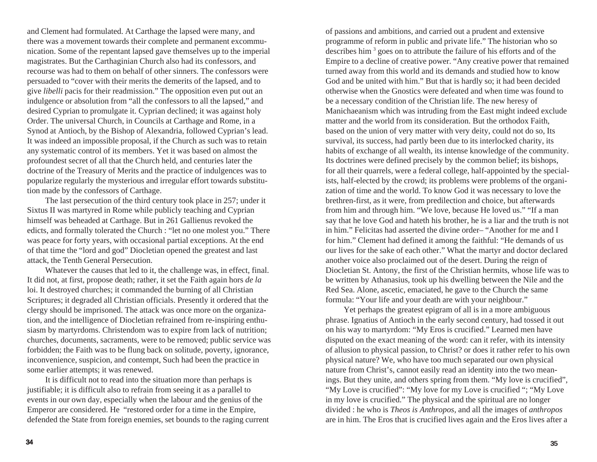and Clement had formulated. At Carthage the lapsed were many, and there was a movement towards their complete and permanent excommunication. Some of the repentant lapsed gave themselves up to the imperial magistrates. But the Carthaginian Church also had its confessors, and recourse was had to them on behalf of other sinners. The confessors were persuaded to "cover with their merits the demerits of the lapsed, and to give *libelli* pacis for their readmission." The opposition even put out an indulgence or absolution from "all the confessors to all the lapsed," and desired Cyprian to promulgate it. Cyprian declined; it was against holy Order. The universal Church, in Councils at Carthage and Rome, in a Synod at Antioch, by the Bishop of Alexandria, followed Cyprian's lead. It was indeed an impossible proposal, if the Church as such was to retain any systematic control of its members. Yet it was based on almost the profoundest secret of all that the Church held, and centuries later the doctrine of the Treasury of Merits and the practice of indulgences was to popularize regularly the mysterious and irregular effort towards substitution made by the confessors of Carthage.

The last persecution of the third century took place in 257; under it Sixtus II was martyred in Rome while publicly teaching and Cyprian himself was beheaded at Carthage. But in 261 Gallienus revoked the edicts, and formally tolerated the Church : "let no one molest you." There was peace for forty years, with occasional partial exceptions. At the end of that time the "lord and god" Diocletian opened the greatest and last attack, the Tenth General Persecution.

Whatever the causes that led to it, the challenge was, in effect, final. It did not, at first, propose death; rather, it set the Faith again hors *de la* loi. It destroyed churches; it commanded the burning of all Christian Scriptures; it degraded all Christian officials. Presently it ordered that the clergy should be imprisoned. The attack was once more on the organization, and the intelligence of Diocletian refrained from re-inspiring enthusiasm by martyrdoms. Christendom was to expire from lack of nutrition; churches, documents, sacraments, were to be removed; public service was forbidden; the Faith was to be flung back on solitude, poverty, ignorance, inconvenience, suspicion, and contempt, Such had been the practice in some earlier attempts; it was renewed.

It is difficult not to read into the situation more than perhaps is justifiable; it is difficult also to refrain from seeing it as a parallel to events in our own day, especially when the labour and the genius of the Emperor are considered. He "restored order for a time in the Empire, defended the State from foreign enemies, set bounds to the raging current

of passions and ambitions, and carried out a prudent and extensive programme of reform in public and private life." The historian who so describes him 3 goes on to attribute the failure of his efforts and of the Empire to a decline of creative power. "Any creative power that remained turned away from this world and its demands and studied how to know God and be united with him." But that is hardly so; it had been decided otherwise when the Gnostics were defeated and when time was found to be a necessary condition of the Christian life. The new heresy of Manichaeanism which was intruding from the East might indeed exclude matter and the world from its consideration. But the orthodox Faith, based on the union of very matter with very deity, could not do so, Its survival, its success, had partly been due to its interlocked charity, its habits of exchange of all wealth, its intense knowledge of the community. Its doctrines were defined precisely by the common belief; its bishops, for all their quarrels, were a federal college, half-appointed by the specialists, half-elected by the crowd; its problems were problems of the organization of time and the world. To know God it was necessary to love the brethren-first, as it were, from predilection and choice, but afterwards from him and through him. "We love, because He loved us." "If a man say that he love God and hateth his brother, he is a liar and the truth is not in him." Felicitas had asserted the divine order– "Another for me and I for him." Clement had defined it among the faithful: "He demands of us our lives for the sake of each other." What the martyr and doctor declared another voice also proclaimed out of the desert. During the reign of Diocletian St. Antony, the first of the Christian hermits, whose life was to be written by Athanasius, took up his dwelling between the Nile and the Red Sea. Alone, ascetic, emaciated, he gave to the Church the same formula: "Your life and your death are with your neighbour."

Yet perhaps the greatest epigram of all is in a more ambiguous phrase. Ignatius of Antioch in the early second century, had tossed it out on his way to martyrdom: "My Eros is crucified." Learned men have disputed on the exact meaning of the word: can it refer, with its intensity of allusion to physical passion, to Christ? or does it rather refer to his own physical nature? We, who have too much separated our own physical nature from Christ's, cannot easily read an identity into the two meanings. But they unite, and others spring from them. "My love is crucified", "My Love is crucified": "My love for my Love is crucified "; "My Love in my love is crucified." The physical and the spiritual are no longer divided : he who is *Theos is Anthropos,* and all the images of *anthropos* are in him. The Eros that is crucified lives again and the Eros lives after a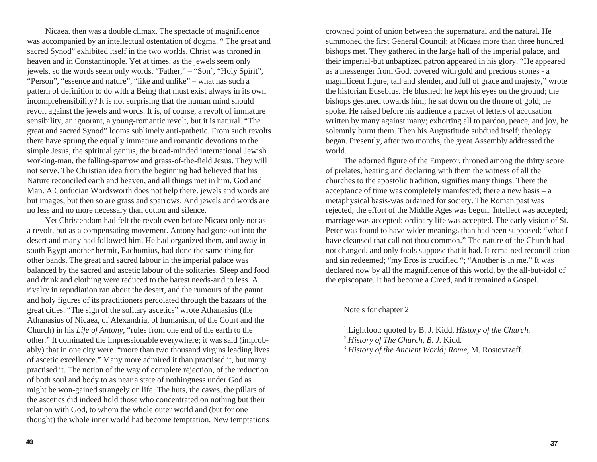Nicaea. then was a double climax. The spectacle of magnificence was accompanied by an intellectual ostentation of dogma. " The great and sacred Synod" exhibited itself in the two worlds. Christ was throned in heaven and in Constantinople. Yet at times, as the jewels seem only jewels, so the words seem only words. "Father," – "Son', "Holy Spirit", "Person", "essence and nature", "like and unlike" – what has such a pattern of definition to do with a Being that must exist always in its own incomprehensibility? It is not surprising that the human mind should revolt against the jewels and words. It is, of course, a revolt of immature sensibility, an ignorant, a young-romantic revolt, but it is natural. "The great and sacred Synod" looms sublimely anti-pathetic. From such revolts there have sprung the equally immature and romantic devotions to the simple Jesus, the spiritual genius, the broad-minded international Jewish working-man, the falling-sparrow and grass-of-the-field Jesus. They will not serve. The Christian idea from the beginning had believed that his Nature reconciled earth and heaven, and all things met in him, God and Man. A Confucian Wordsworth does not help there. jewels and words are but images, but then so are grass and sparrows. And jewels and words are no less and no more necessary than cotton and silence.

Yet Christendom had felt the revolt even before Nicaea only not as a revolt, but as a compensating movement. Antony had gone out into the desert and many had followed him. He had organized them, and away in south Egypt another hermit, Pachomius, had done the same thing for other bands. The great and sacred labour in the imperial palace was balanced by the sacred and ascetic labour of the solitaries. Sleep and food and drink and clothing were reduced to the barest needs-and to less. A rivalry in repudiation ran about the desert, and the rumours of the gaunt and holy figures of its practitioners percolated through the bazaars of the great cities. "The sign of the solitary ascetics" wrote Athanasius (the Athanasius of Nicaea, of Alexandria, of humanism, of the Court and the Church) in his *Life of Antony,* "rules from one end of the earth to the other." It dominated the impressionable everywhere; it was said (improbably) that in one city were "more than two thousand virgins leading lives of ascetic excellence." Many more admired it than practised it, but many practised it. The notion of the way of complete rejection, of the reduction of both soul and body to as near a state of nothingness under God as might be won-gained strangely on life. The huts, the caves, the pillars of the ascetics did indeed hold those who concentrated on nothing but their relation with God, to whom the whole outer world and (but for one thought) the whole inner world had become temptation. New temptations

crowned point of union between the supernatural and the natural. He summoned the first General Council; at Nicaea more than three hundred bishops met. They gathered in the large hall of the imperial palace, and their imperial-but unbaptized patron appeared in his glory. "He appeared as a messenger from God, covered with gold and precious stones - a magnificent figure, tall and slender, and full of grace and majesty," wrote the historian Eusebius. He blushed; he kept his eyes on the ground; the bishops gestured towards him; he sat down on the throne of gold; he spoke. He raised before his audience a packet of letters of accusation written by many against many; exhorting all to pardon, peace, and joy, he solemnly burnt them. Then his Augustitude subdued itself; theology began. Presently, after two months, the great Assembly addressed the world.

The adorned figure of the Emperor, throned among the thirty score of prelates, hearing and declaring with them the witness of all the churches to the apostolic tradition, signifies many things. There the acceptance of time was completely manifested; there a new basis – a metaphysical basis-was ordained for society. The Roman past was rejected; the effort of the Middle Ages was begun. Intellect was accepted; marriage was accepted; ordinary life was accepted. The early vision of St. Peter was found to have wider meanings than had been supposed: "what I have cleansed that call not thou common." The nature of the Church had not changed, and only fools suppose that it had. It remained reconciliation and sin redeemed; "my Eros is crucified "; "Another is in me." It was declared now by all the magnificence of this world, by the all-but-idol of the episcopate. It had become a Creed, and it remained a Gospel.

Note s for chapter 2

1.Lightfoot: quoted by B. J. Kidd, *History of the Church.*

2 .*History of The Church, B. J.* Kidd.

3 .*History of the Ancient World; Rome,* M. Rostovtzeff.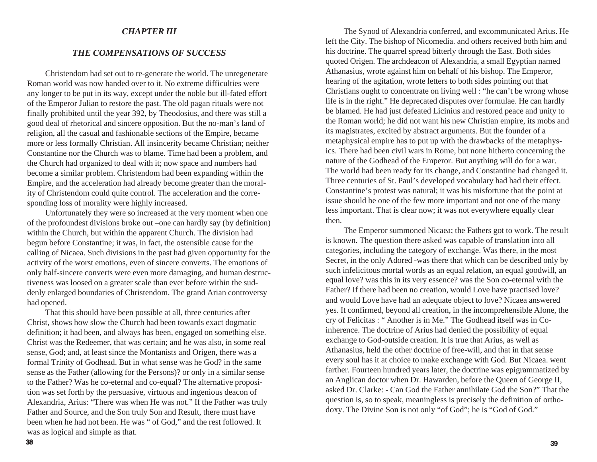# *CHAPTER III*

# *THE COMPENSATIONS OF SUCCESS*

Christendom had set out to re-generate the world. The unregenerate Roman world was now handed over to it. No extreme difficulties were any longer to be put in its way, except under the noble but ill-fated effort of the Emperor Julian to restore the past. The old pagan rituals were not finally prohibited until the year 392, by Theodosius, and there was still a good deal of rhetorical and sincere opposition. But the no-man's land of religion, all the casual and fashionable sections of the Empire, became more or less formally Christian. All insincerity became Christian; neither Constantine nor the Church was to blame. Time had been a problem, and the Church had organized to deal with it; now space and numbers had become a similar problem. Christendom had been expanding within the Empire, and the acceleration had already become greater than the morality of Christendom could quite control. The acceleration and the corresponding loss of morality were highly increased.

Unfortunately they were so increased at the very moment when one of the profoundest divisions broke out –one can hardly say (by definition) within the Church, but within the apparent Church. The division had begun before Constantine; it was, in fact, the ostensible cause for the calling of Nicaea. Such divisions in the past had given opportunity for the activity of the worst emotions, even of sincere converts. The emotions of only half-sincere converts were even more damaging, and human destructiveness was loosed on a greater scale than ever before within the suddenly enlarged boundaries of Christendom. The grand Arian controversy had opened.

That this should have been possible at all, three centuries after Christ, shows how slow the Church had been towards exact dogmatic definition; it had been, and always has been, engaged on something else. Christ was the Redeemer, that was certain; and he was also, in some real sense, God; and, at least since the Montanists and Origen, there was a formal Trinity of Godhead. But in what sense was he God? in the same sense as the Father (allowing for the Persons)? or only in a similar sense to the Father? Was he co-eternal and co-equal? The alternative proposition was set forth by the persuasive, virtuous and ingenious deacon of Alexandria, Arius: "There was when He was not." If the Father was truly Father and Source, and the Son truly Son and Result, there must have been when he had not been. He was " of God," and the rest followed. It was as logical and simple as that.

The Synod of Alexandria conferred, and excommunicated Arius. He left the City. The bishop of Nicomedia. and others received both him and his doctrine. The quarrel spread bitterly through the East. Both sides quoted Origen. The archdeacon of Alexandria, a small Egyptian named Athanasius, wrote against him on behalf of his bishop. The Emperor, hearing of the agitation, wrote letters to both sides pointing out that Christians ought to concentrate on living well : "he can't be wrong whose life is in the right." He deprecated disputes over formulae. He can hardly be blamed. He had just defeated Licinius and restored peace and unity to the Roman world; he did not want his new Christian empire, its mobs and its magistrates, excited by abstract arguments. But the founder of a metaphysical empire has to put up with the drawbacks of the metaphysics. There had been civil wars in Rome, but none hitherto concerning the nature of the Godhead of the Emperor. But anything will do for a war. The world had been ready for its change, and Constantine had changed it. Three centuries of St. Paul's developed vocabulary had had their effect. Constantine's protest was natural; it was his misfortune that the point at issue should be one of the few more important and not one of the many less important. That is clear now; it was not everywhere equally clear then.

The Emperor summoned Nicaea; the Fathers got to work. The result is known. The question there asked was capable of translation into all categories, including the category of exchange. Was there, in the most Secret, in the only Adored -was there that which can be described only by such infelicitous mortal words as an equal relation, an equal goodwill, an equal love? was this in its very essence? was the Son co-eternal with the Father? If there had been no creation, would Love have practised love? and would Love have had an adequate object to love? Nicaea answered yes. It confirmed, beyond all creation, in the incomprehensible Alone, the cry of Felicitas : " Another is in Me." The Godhead itself was in Coinherence. The doctrine of Arius had denied the possibility of equal exchange to God-outside creation. It is true that Arius, as well as Athanasius, held the other doctrine of free-will, and that in that sense every soul has it at choice to make exchange with God. But Nicaea. went farther. Fourteen hundred years later, the doctrine was epigrammatized by an Anglican doctor when Dr. Hawarden, before the Queen of George II, asked Dr. Clarke: - Can God the Father annihilate God the Son?" That the question is, so to speak, meaningless is precisely the definition of orthodoxy. The Divine Son is not only "of God"; he is "God of God."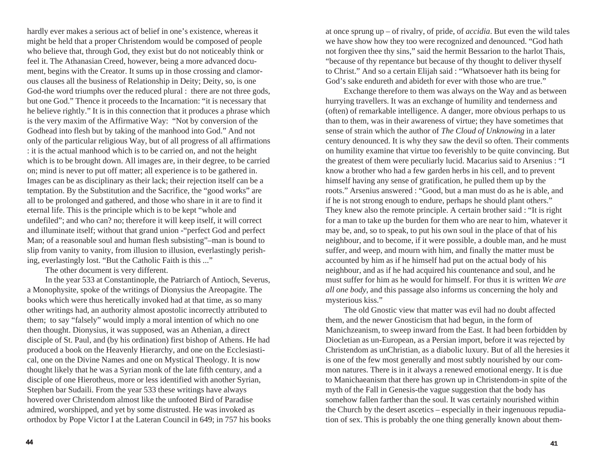hardly ever makes a serious act of belief in one's existence, whereas it might be held that a proper Christendom would be composed of people who believe that, through God, they exist but do not noticeably think or feel it. The Athanasian Creed, however, being a more advanced document, begins with the Creator. It sums up in those crossing and clamorous clauses all the business of Relationship in Deity; Deity, so, is one God-the word triumphs over the reduced plural : there are not three gods, but one God." Thence it proceeds to the Incarnation: "it is necessary that he believe rightly." It is in this connection that it produces a phrase which is the very maxim of the Affirmative Way: "Not by conversion of the Godhead into flesh but by taking of the manhood into God." And not only of the particular religious Way, but of all progress of all affirmations : it is the actual manhood which is to be carried on, and not the height which is to be brought down. All images are, in their degree, to be carried on; mind is never to put off matter; all experience is to be gathered in. Images can be as disciplinary as their lack; their rejection itself can be a temptation. By the Substitution and the Sacrifice, the "good works" are all to be prolonged and gathered, and those who share in it are to find it eternal life. This is the principle which is to be kept "whole and undefiled"; and who can? no; therefore it will keep itself, it will correct and illuminate itself; without that grand union -"perfect God and perfect Man; of a reasonable soul and human flesh subsisting"–man is bound to slip from vanity to vanity, from illusion to illusion, everlastingly perishing, everlastingly lost. "But the Catholic Faith is this ..."

The other document is very different.

In the year 533 at Constantinople, the Patriarch of Antioch, Severus, a Monophysite, spoke of the writings of Dionysius the Areopagite. The books which were thus heretically invoked had at that time, as so many other writings had, an authority almost apostolic incorrectly attributed to them; to say "falsely" would imply a moral intention of which no one then thought. Dionysius, it was supposed, was an Athenian, a direct disciple of St. Paul, and (by his ordination) first bishop of Athens. He had produced a book on the Heavenly Hierarchy, and one on the Ecclesiastical, one on the Divine Names and one on Mystical Theology. It is now thought likely that he was a Syrian monk of the late fifth century, and a disciple of one Hierotheus, more or less identified with another Syrian, Stephen bar Sudaili. From the year 533 these writings have always hovered over Christendom almost like the unfooted Bird of Paradise admired, worshipped, and yet by some distrusted. He was invoked as orthodox by Pope Victor I at the Lateran Council in 649; in 757 his books

at once sprung up – of rivalry, of pride, of *accidia*. But even the wild tales we have show how they too were recognized and denounced. "God hath not forgiven thee thy sins," said the hermit Bessarion to the harlot Thais, "because of thy repentance but because of thy thought to deliver thyself to Christ." And so a certain Elijah said : "Whatsoever hath its being for God's sake endureth and abideth for ever with those who are true."

Exchange therefore to them was always on the Way and as between hurrying travellers. It was an exchange of humility and tenderness and (often) of remarkable intelligence. A danger, more obvious perhaps to us than to them, was in their awareness of virtue; they have sometimes that sense of strain which the author of *The Cloud of Unknowing* in a later century denounced. It is why they saw the devil so often. Their comments on humility examine that virtue too feverishly to be quite convincing. But the greatest of them were peculiarly lucid. Macarius said to Arsenius : "I know a brother who had a few garden herbs in his cell, and to prevent himself having any sense of gratification, he pulled them up by the roots." Arsenius answered : "Good, but a man must do as he is able, and if he is not strong enough to endure, perhaps he should plant others." They knew also the remote principle. A certain brother said : "It is right for a man to take up the burden for them who are near to him, whatever it may be, and, so to speak, to put his own soul in the place of that of his neighbour, and to become, if it were possible, a double man, and he must suffer, and weep, and mourn with him, and finally the matter must be accounted by him as if he himself had put on the actual body of his neighbour, and as if he had acquired his countenance and soul, and he must suffer for him as he would for himself. For thus it is written *We are all one body,* and this passage also informs us concerning the holy and mysterious kiss."

The old Gnostic view that matter was evil had no doubt affected them, and the newer Gnosticism that had begun, in the form of Manichzeanism, to sweep inward from the East. It had been forbidden by Diocletian as un-European, as a Persian import, before it was rejected by Christendom as unChristian, as a diabolic luxury. But of all the heresies it is one of the few most generally and most subtly nourished by our common natures. There is in it always a renewed emotional energy. It is due to Manichaeanism that there has grown up in Christendom-in spite of the myth of the Fall in Genesis-the vague suggestion that the body has somehow fallen farther than the soul. It was certainly nourished within the Church by the desert ascetics – especially in their ingenuous repudiation of sex. This is probably the one thing generally known about them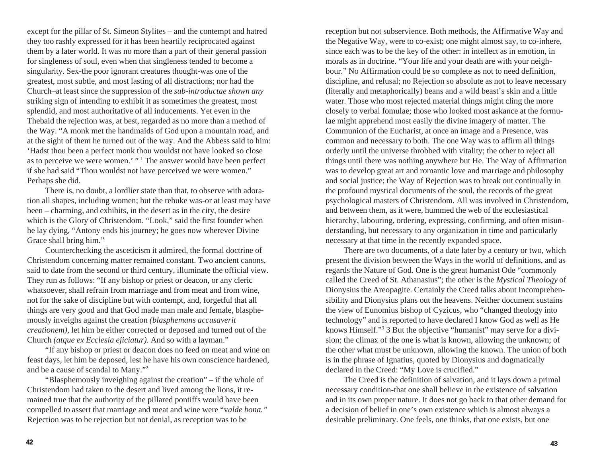except for the pillar of St. Simeon Stylites – and the contempt and hatred they too rashly expressed for it has been heartily reciprocated against them by a later world. It was no more than a part of their general passion for singleness of soul, even when that singleness tended to become a singularity. Sex-the poor ignorant creatures thought-was one of the greatest, most subtle, and most lasting of all distractions; nor had the Church–at least since the suppression of the *sub-introductae shown any* striking sign of intending to exhibit it as sometimes the greatest, most splendid, and most authoritative of all inducements. Yet even in the Thebaid the rejection was, at best, regarded as no more than a method of the Way. "A monk met the handmaids of God upon a mountain road, and at the sight of them he turned out of the way. And the Abbess said to him: 'Hadst thou been a perfect monk thou wouldst not have looked so close as to perceive we were women.' " 1 The answer would have been perfect if she had said "Thou wouldst not have perceived we were women." Perhaps she did.

There is, no doubt, a lordlier state than that, to observe with adoration all shapes, including women; but the rebuke was-or at least may have been – charming, and exhibits, in the desert as in the city, the desire which is the Glory of Christendom. "Look," said the first founder when he lay dying, "Antony ends his journey; he goes now wherever Divine Grace shall bring him."

Counterchecking the asceticism it admired, the formal doctrine of Christendom concerning matter remained constant. Two ancient canons, said to date from the second or third century, illuminate the official view. They run as follows: "If any bishop or priest or deacon, or any cleric whatsoever, shall refrain from marriage and from meat and from wine, not for the sake of discipline but with contempt, and, forgetful that all things are very good and that God made man male and female, blasphemously inveighs against the creation *(blasphemans accusaverit creationem),* let him be either corrected or deposed and turned out of the Church *(atque ex Ecclesia ejiciatur).* And so with a layman."

"If any bishop or priest or deacon does no feed on meat and wine on feast days, let him be deposed, lest he have his own conscience hardened, and be a cause of scandal to Many."2

"Blasphemously inveighing against the creation" – if the whole of Christendom had taken to the desert and lived among the lions, it remained true that the authority of the pillared pontiffs would have been compelled to assert that marriage and meat and wine were "v*alde bona."* Rejection was to be rejection but not denial, as reception was to be

reception but not subservience. Both methods, the Affirmative Way and the Negative Way, were to co-exist; one might almost say, to co-inhere, since each was to be the key of the other: in intellect as in emotion, in morals as in doctrine. "Your life and your death are with your neighbour." No Affirmation could be so complete as not to need definition, discipline, and refusal; no Rejection so absolute as not to leave necessary (literally and metaphorically) beans and a wild beast's skin and a little water. Those who most rejected material things might cling the more closely to verbal fomulae; those who looked most askance at the formulae might apprehend most easily the divine imagery of matter. The Communion of the Eucharist, at once an image and a Presence, was common and necessary to both. The one Way was to affirm all things orderly until the universe throbbed with vitality; the other to reject all things until there was nothing anywhere but He. The Way of Affirmation was to develop great art and romantic love and marriage and philosophy and social justice; the Way of Rejection was to break out continually in the profound mystical documents of the soul, the records of the great psychological masters of Christendom. All was involved in Christendom, and between them, as it were, hummed the web of the ecclesiastical hierarchy, labouring, ordering, expressing, confirming, and often misunderstanding, but necessary to any organization in time and particularly necessary at that time in the recently expanded space.

There are two documents, of a date later by a century or two, which present the division between the Ways in the world of definitions, and as regards the Nature of God. One is the great humanist Ode "commonly called the Creed of St. Athanasius"; the other is the *Mystical Theology* of Dionysius the Areopagite. Certainly the Creed talks about Incomprehensibility and Dionysius plans out the heavens. Neither document sustains the view of Eunomius bishop of Cyzicus, who "changed theology into technology" and is reported to have declared I know God as well as He knows Himself."3 3 But the objective "humanist" may serve for a division; the climax of the one is what is known, allowing the unknown; of the other what must be unknown, allowing the known. The union of both is in the phrase of Ignatius, quoted by Dionysius and dogmatically declared in the Creed: "My Love is crucified."

The Creed is the definition of salvation, and it lays down a primal necessary condition-that one shall believe in the existence of salvation and in its own proper nature. It does not go back to that other demand for a decision of belief in one's own existence which is almost always a desirable preliminary. One feels, one thinks, that one exists, but one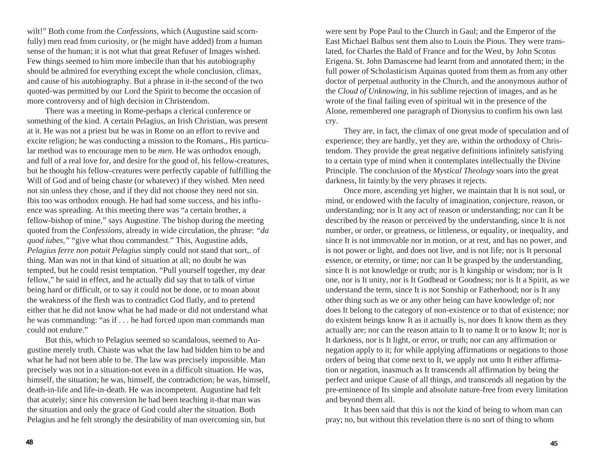wilt!" Both come from the *Confessions*, which (Augustine said scornfully) men read from curiosity, or (he might have added) from a human sense of the human; it is not what that great Refuser of Images wished. Few things seemed to him more imbecile than that his autobiography should be admired for everything except the whole conclusion, climax, and cause of his autobiography. But a phrase in it-the second of the two quoted-was permitted by our Lord the Spirit to become the occasion of more controversy and of high decision in Christendom.

There was a meeting in Rome-perhaps a clerical conference or something of the kind. A certain Pelagius, an Irish Christian, was present at it. He was not a priest but he was in Rome on an effort to revive and excite religion; he was conducting a mission to the Romans., His particular method was to encourage men to be *men.* He was orthodox enough, and full of a real love for, and desire for the good of, his fellow-creatures, but he thought his fellow-creatures were perfectly capable of fulfilling the Will of God and of being chaste (or whatever) if they wished. Men need not sin unless they chose, and if they did not choose they need not sin. Ibis too was orthodox enough. He had had some success, and his influence was spreading. At this meeting there was "a certain brother, a fellow-bishop of mine," says Augustine. The bishop during the meeting quoted from the *Confessions,* already in wide circulation, the phrase: *"da quod iubes,"* "give what thou commandest." This, Augustine adds, *Pelagius ferre non potuit Pelagius* simply could not stand that sort,. of thing. Man was not in that kind of situation at all; no doubt he was tempted, but he could resist temptation. "Pull yourself together, my dear fellow," he said in effect, and he actually did say that to talk of virtue being hard or difficult, or to say it could not be done, or to moan about the weakness of the flesh was to contradict God flatly, and to pretend either that he did not know what he had made or did not understand what he was commanding: "as if . . . he had forced upon man commands man could not endure."

But this, which to Pelagius seemed so scandalous, seemed to Augustine merely truth. Chaste was what the law had bidden him to be and what he had not been able to be. The law was precisely impossible. Man precisely was not in a situation-not even in a difficult situation. He was, himself, the situation; he was, himself, the contradiction; he was, himself, death-in-life and life-in-death. He was incompetent. Augustine had felt that acutely; since his conversion he had been teaching it-that man was the situation and only the grace of God could alter the situation. Both Pelagius and he felt strongly the desirability of man overcoming sin, but

were sent by Pope Paul to the Church in Gaul; and the Emperor of the East Michael Balbus sent them also to Louis the Pious. They were translated, for Charles the Bald of France and for the West, by John Scotus Erigena. St. John Damascene had learnt from and annotated them; in the full power of Scholasticism Aquinas quoted from them as from any other doctor of perpetual authority in the Church, and the anonymous author of the *Cloud of Unknowing,* in his sublime rejection of images, and as he wrote of the final failing even of spiritual wit in the presence of the Alone, remembered one paragraph of Dionysius to confirm his own last cry.

They are, in fact, the climax of one great mode of speculation and of experience; they are hardly, yet they are, within the orthodoxy of Christendom. They provide the great negative definitions infinitely satisfying to a certain type of mind when it contemplates intellectually the Divine Principle. The conclusion of the *Mystical Theology* soars into the great darkness, lit faintly by the very phrases it rejects.

Once more, ascending yet higher, we maintain that It is not soul, or mind, or endowed with the faculty of imagination, conjecture, reason, or understanding; nor is It any act of reason or understanding; nor can It be described by the reason or perceived by the understanding, since It is not number, or order, or greatness, or littleness, or equality, or inequality, and since It is not immovable nor in motion, or at rest, and has no power, and is not power or light, and does not live, and is not life; nor is It personal essence, or eternity, or time; nor can It be grasped by the understanding, since It is not knowledge or truth; nor is It kingship or wisdom; nor is It one, nor is It unity, nor is It Godhead or Goodness; nor is It a Spirit, as we understand the term, since It is not Sonship or Fatherhood; nor is It any other thing such as we or any other being can have knowledge of; nor does It belong to the category of non-existence or to that of existence; nor do existent beings know It as it actually is, nor does It know them as they actually are; nor can the reason attain to It to name It or to know It; nor is It darkness, nor is It light, or error, or truth; nor can any affirmation or negation apply to it; for while applying affirmations or negations to those orders of being that come next to It, we apply not unto It either affirmation or negation, inasmuch as It transcends all affirmation by being the perfect and unique Cause of all things, and transcends all negation by the pre-eminence of Its simple and absolute nature-free from every limitation and beyond them all.

It has been said that this is not the kind of being to whom man can pray; no, but without this revelation there is no sort of thing to whom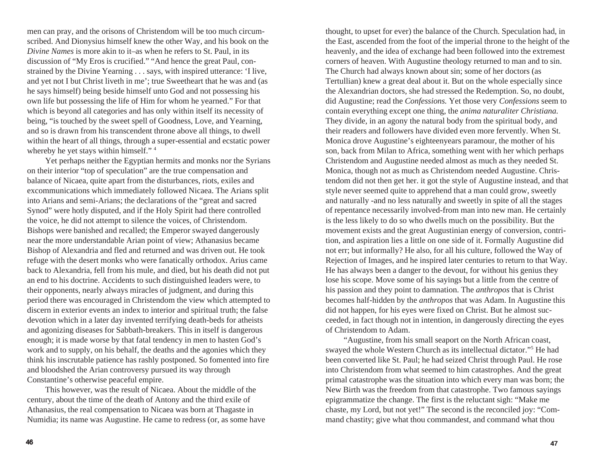men can pray, and the orisons of Christendom will be too much circumscribed. And Dionysius himself knew the other Way, and his book on the *Divine Names* is more akin to it–as when he refers to St. Paul, in its discussion of "My Eros is crucified." "And hence the great Paul, constrained by the Divine Yearning . . . says, with inspired utterance: 'I live, and yet not I but Christ liveth in me'; true Sweetheart that he was and (as he says himself) being beside himself unto God and not possessing his own life but possessing the life of Him for whom he yearned." For that which is beyond all categories and has only within itself its necessity of being, "is touched by the sweet spell of Goodness, Love, and Yearning, and so is drawn from his transcendent throne above all things, to dwell within the heart of all things, through a super-essential and ecstatic power whereby he yet stays within himself."<sup>4</sup>

Yet perhaps neither the Egyptian hermits and monks nor the Syrians on their interior "top of speculation" are the true compensation and balance of Nicaea, quite apart from the disturbances, riots, exiles and excommunications which immediately followed Nicaea. The Arians split into Arians and semi-Arians; the declarations of the "great and sacred Synod" were hotly disputed, and if the Holy Spirit had there controlled the voice, he did not attempt to silence the voices, of Christendom. Bishops were banished and recalled; the Emperor swayed dangerously near the more understandable Arian point of view; Athanasius became Bishop of Alexandria and fled and returned and was driven out. He took refuge with the desert monks who were fanatically orthodox. Arius came back to Alexandria, fell from his mule, and died, but his death did not put an end to his doctrine. Accidents to such distinguished leaders were, to their opponents, nearly always miracles of judgment, and during this period there was encouraged in Christendom the view which attempted to discern in exterior events an index to interior and spiritual truth; the false devotion which in a later day invented terrifying death-beds for atheists and agonizing diseases for Sabbath-breakers. This in itself is dangerous enough; it is made worse by that fatal tendency in men to hasten God's work and to supply, on his behalf, the deaths and the agonies which they think his inscrutable patience has rashly postponed. So fomented into fire and bloodshed the Arian controversy pursued its way through Constantine's otherwise peaceful empire.

This however, was the result of Nicaea. About the middle of the century, about the time of the death of Antony and the third exile of Athanasius, the real compensation to Nicaea was born at Thagaste in Numidia; its name was Augustine. He came to redress (or, as some have

46

thought, to upset for ever) the balance of the Church. Speculation had, in the East, ascended from the foot of the imperial throne to the height of the heavenly, and the idea of exchange had been followed into the extremest corners of heaven. With Augustine theology returned to man and to sin. The Church had always known about sin; some of her doctors (as Tertullian) knew a great deal about it. But on the whole especially since the Alexandrian doctors, she had stressed the Redemption. So, no doubt, did Augustine; read the *Confessions.* Yet those very *Confessions* seem to contain everything except one thing, the *anima naturaliter Christiana.* They divide, in an agony the natural body from the spiritual body, and their readers and followers have divided even more fervently. When St. Monica drove Augustine's eighteenyears paramour, the mother of his son, back from Milan to Africa, something went with her which perhaps Christendom and Augustine needed almost as much as they needed St. Monica, though not as much as Christendom needed Augustine. Christendom did not then get her. it got the style of Augustine instead, and that style never seemed quite to apprehend that a man could grow, sweetly and naturally -and no less naturally and sweetly in spite of all the stages of repentance necessarily involved-from man into new man. He certainly is the less likely to do so who dwells much on the possibility. But the movement exists and the great Augustinian energy of conversion, contrition, and aspiration lies a little on one side of it. Formally Augustine did not err; but informally? He also, for all his culture, followed the Way of Rejection of Images, and he inspired later centuries to return to that Way. He has always been a danger to the devout, for without his genius they lose his scope. Move some of his sayings but a little from the centre of his passion and they point to damnation. The *anthropos* that is Christ becomes half-hidden by the *anthropos* that was Adam. In Augustine this did not happen, for his eyes were fixed on Christ. But he almost succeeded, in fact though not in intention, in dangerously directing the eyes of Christendom to Adam.

"Augustine, from his small seaport on the North African coast, swayed the whole Western Church as its intellectual dictator."5 He had been converted like St. Paul; he had seized Christ through Paul. He rose into Christendom from what seemed to him catastrophes. And the great primal catastrophe was the situation into which every man was born; the New Birth was the freedom from that catastrophe. Two famous sayings epigrammatize the change. The first is the reluctant sigh: "Make me chaste, my Lord, but not yet!" The second is the reconciled joy: "Command chastity; give what thou commandest, and command what thou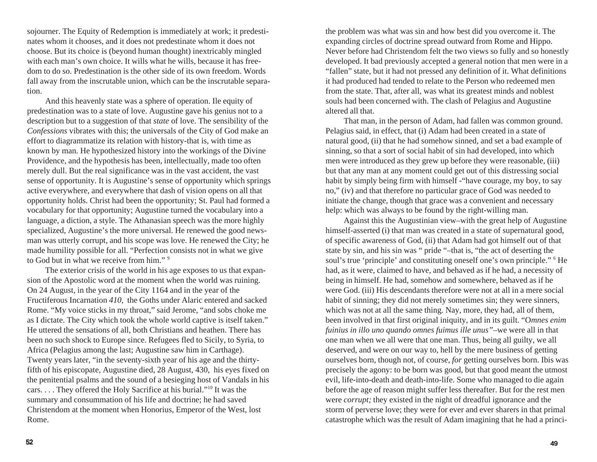sojourner. The Equity of Redemption is immediately at work; it predestinates whom it chooses, and it does not predestinate whom it does not choose. But its choice is (beyond human thought) inextricably mingled with each man's own choice. It wills what he wills, because it has freedom to do so. Predestination is the other side of its own freedom. Words fall away from the inscrutable union, which can be the inscrutable separation.

And this heavenly state was a sphere of operation. Ile equity of predestination was to a state of love. Augustine gave his genius not to a description but to a suggestion of that *state* of love. The sensibility of the *Confessions* vibrates with this; the universals of the City of God make an effort to diagrammatize its relation with history-that is, with time as known by man. He hypothesized history into the workings of the Divine Providence, and the hypothesis has been, intellectually, made too often merely dull. But the real significance was in the vast accident, the vast sense of opportunity. It is Augustine's sense of opportunity which springs active everywhere, and everywhere that dash of vision opens on all that opportunity holds. Christ had been the opportunity; St. Paul had formed a vocabulary for that opportunity; Augustine turned the vocabulary into a language, a diction, a style. The Athanasian speech was the more highly specialized, Augustine's the more universal. He renewed the good newsman was utterly corrupt, and his scope was love. He renewed the City; he made humility possible for all. "Perfection consists not in what we give to God but in what we receive from him." 9

The exterior crisis of the world in his age exposes to us that expansion of the Apostolic word at the moment when the world was ruining. On 24 August, in the year of the City 1164 and in the year of the Fructiferous Incarnation *410,* the Goths under Alaric entered and sacked Rome. "My voice sticks in my throat," said Jerome, "and sobs choke me as I dictate. The City which took the whole world captive is itself taken." He uttered the sensations of all, both Christians and heathen. There has been no such shock to Europe since. Refugees fled to Sicily, to Syria, to Africa (Pelagius among the last; Augustine saw him in Carthage). Twenty years later, "in the seventy-sixth year of his age and the thirtyfifth of his episcopate, Augustine died, 28 August, 430, his eyes fixed on the penitential psalms and the sound of a besieging host of Vandals in his cars. . . . They offered the Holy Sacrifice at his burial."10 It was the summary and consummation of his life and doctrine; he had saved Christendom at the moment when Honorius, Emperor of the West, lost Rome.

the problem was what was sin and how best did you overcome it. The expanding circles of doctrine spread outward from Rome and Hippo. Never before had Christendom felt the two views so fully and so honestly developed. It bad previously accepted a general notion that men were in a "fallen" state, but it had not pressed any definition of it. What definitions it had produced had tended to relate to the Person who redeemed men from the state. That, after all, was what its greatest minds and noblest souls had been concerned with. The clash of Pelagius and Augustine altered all that.

That man, in the person of Adam, had fallen was common ground. Pelagius said, in effect, that (i) Adam had been created in a state of natural good, (ii) that he had somehow sinned, and set a bad example of sinning, so that a sort of social habit of sin had developed, into which men were introduced as they grew up before they were reasonable, (iii) but that any man at any moment could get out of this distressing social habit by simply being firm with himself - "have courage, my boy, to say no," (iv) and that therefore no particular grace of God was needed to initiate the change, though that grace was a convenient and necessary help: which was always to be found by the right-willing man.

Against this the Augustinian view–with the great help of Augustine himself-asserted (i) that man was created in a state of supernatural good, of specific awareness of God, (ii) that Adam had got himself out of that state by sin, and his sin was " pride "–that is, "the act of deserting the soul's true 'principle' and constituting oneself one's own principle." <sup>6</sup> He had, as it were, claimed to have, and behaved as if he had, a necessity of being in himself. He had, somehow and somewhere, behaved as if he were God. (iii) His descendants therefore were not at all in a mere social habit of sinning; they did not merely sometimes sin; they were sinners, which was not at all the same thing. Nay, more, they had, all of them, been involved in that first original iniquity, and in its guilt. "O*mnes enim fuinius in illo uno quando omnes fuimus ille unus"*–we were all in that one man when we all were that one man. Thus, being all guilty, we all deserved, and were on our way to, hell by the mere business of getting ourselves born, though not, of course, *for* getting ourselves born. Ibis was precisely the agony: to be born was good, but that good meant the utmost evil, life-into-death and death-into-life. Some who managed to die again before the age of reason might suffer less thereafter. But for the rest men were *corrupt;* they existed in the night of dreadful ignorance and the storm of perverse love; they were for ever and ever sharers in that primal catastrophe which was the result of Adam imagining that he had a princi-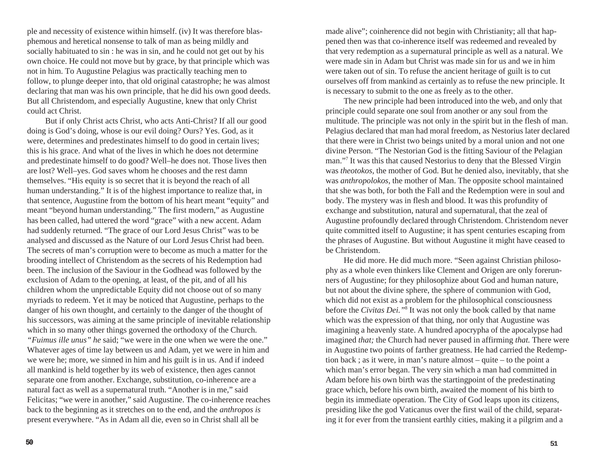ple and necessity of existence within himself. (iv) It was therefore blasphemous and heretical nonsense to talk of man as being mildly and socially habituated to sin : he was in sin, and he could not get out by his own choice. He could not move but by grace, by that principle which was not in him. To Augustine Pelagius was practically teaching men to follow, to plunge deeper into, that old original catastrophe; he was almost declaring that man was his own principle, that he did his own good deeds. But all Christendom, and especially Augustine, knew that only Christ could act Christ.

But if only Christ acts Christ, who acts Anti-Christ? If all our good doing is God's doing, whose is our evil doing? Ours? Yes. God, as it were, determines and predestinates himself to do good in certain lives; this is his grace. And what of the lives in which he does not determine and predestinate himself to do good? Well–he does not. Those lives then are lost? Well–yes. God saves whom he chooses and the rest damn themselves. "His equity is so secret that it is beyond the reach of all human understanding." It is of the highest importance to realize that, in that sentence, Augustine from the bottom of his heart meant "equity" and meant "beyond human understanding." The first modern," as Augustine has been called, had uttered the word "grace" with a new accent. Adam had suddenly returned. "The grace of our Lord Jesus Christ" was to be analysed and discussed as the Nature of our Lord Jesus Christ had been. The secrets of man's corruption were to become as much a matter for the brooding intellect of Christendom as the secrets of his Redemption had been. The inclusion of the Saviour in the Godhead was followed by the exclusion of Adam to the opening, at least, of the pit, and of all his children whom the unpredictable Equity did not choose out of so many myriads to redeem. Yet it may be noticed that Augustine, perhaps to the danger of his own thought, and certainly to the danger of the thought of his successors, was aiming at the same principle of inevitable relationship which in so many other things governed the orthodoxy of the Church. *"Fuimus ille unus" he* said; "we were in the one when we were the one." Whatever ages of time lay between us and Adam, yet we were in him and we were he; more, we sinned in him and his guilt is in us. And if indeed all mankind is held together by its web of existence, then ages cannot separate one from another. Exchange, substitution, co-inherence are a natural fact as well as a supernatural truth. "Another is in me," said Felicitas; "we were in another," said Augustine. The co-inherence reaches back to the beginning as it stretches on to the end, and the *anthropos is* present everywhere. "As in Adam all die, even so in Christ shall all be

made alive"; coinherence did not begin with Christianity; all that happened then was that co-inherence itself was redeemed and revealed by that very redemption as a supernatural principle as well as a natural. We were made sin in Adam but Christ was made sin for us and we in him were taken out of sin. To refuse the ancient heritage of guilt is to cut ourselves off from mankind as certainly as to refuse the new principle. It is necessary to submit to the one as freely as to the other.

The new principle had been introduced into the web, and only that principle could separate one soul from another or any soul from the multitude. The principle was not only in the spirit but in the flesh of man. Pelagius declared that man had moral freedom, as Nestorius later declared that there were in Christ two beings united by a moral union and not one divine Person. "The Nestorian God is the fitting Saviour of the Pelagian man."7 It was this that caused Nestorius to deny that the Blessed Virgin was *theotokos,* the mother of God. But he denied also, inevitably, that she was *anthropolokos,* the mother of Man. The opposite school maintained that she was both, for both the Fall and the Redemption were in soul and body. The mystery was in flesh and blood. It was this profundity of exchange and substitution, natural and supernatural, that the zeal of Augustine profoundly declared through Christendom. Christendom never quite committed itself to Augustine; it has spent centuries escaping from the phrases of Augustine. But without Augustine it might have ceased to be Christendom.

He did more. He did much more. "Seen against Christian philosophy as a whole even thinkers like Clement and Origen are only forerunners of Augustine; for they philosophize about God and human nature, but not about the divine sphere, the sphere of communion with God, which did not exist as a problem for the philosophical consciousness before the *Civitas Dei."*<sup>8</sup> It was not only the book called by that name which was the expression of that thing, nor only that Augustine was imagining a heavenly state. A hundred apocrypha of the apocalypse had imagined *that;* the Church had never paused in affirming *that.* There were in Augustine two points of farther greatness. He had carried the Redemption back ; as it were, in man's nature almost – quite – to the point a which man's error began. The very sin which a man had committed in Adam before his own birth was the startingpoint of the predestinating grace which, before his own birth, awaited the moment of his birth to begin its immediate operation. The City of God leaps upon its citizens, presiding like the god Vaticanus over the first wail of the child, separating it for ever from the transient earthly cities, making it a pilgrim and a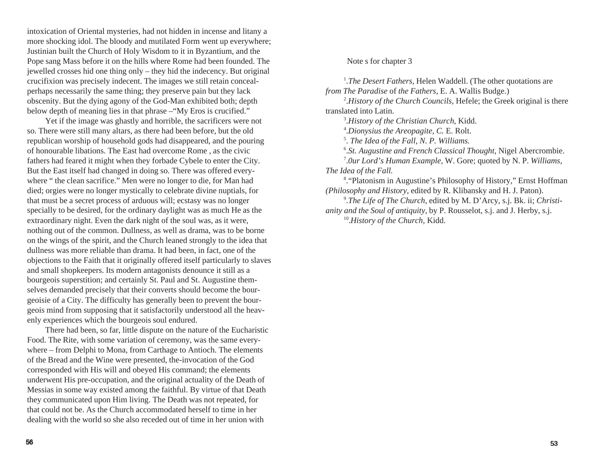intoxication of Oriental mysteries, had not hidden in incense and litany a more shocking idol. The bloody and mutilated Form went up everywhere; Justinian built the Church of Holy Wisdom to it in Byzantium, and the Pope sang Mass before it on the hills where Rome had been founded. The jewelled crosses hid one thing only – they hid the indecency. But original crucifixion was precisely indecent. The images we still retain concealperhaps necessarily the same thing; they preserve pain but they lack obscenity. But the dying agony of the God-Man exhibited both; depth below depth of meaning lies in that phrase –"My Eros is crucified."

Yet if the image was ghastly and horrible, the sacrificers were not so. There were still many altars, as there had been before, but the old republican worship of household gods had disappeared, and the pouring of honourable libations. The East had overcome Rome , as the civic fathers had feared it might when they forbade Cybele to enter the City. But the East itself had changed in doing so. There was offered everywhere " the clean sacrifice." Men were no longer to die, for Man had died; orgies were no longer mystically to celebrate divine nuptials, for that must be a secret process of arduous will; ecstasy was no longer specially to be desired, for the ordinary daylight was as much He as the extraordinary night. Even the dark night of the soul was, as it were, nothing out of the common. Dullness, as well as drama, was to be borne on the wings of the spirit, and the Church leaned strongly to the idea that dullness was more reliable than drama. It had been, in fact, one of the objections to the Faith that it originally offered itself particularly to slaves and small shopkeepers. Its modern antagonists denounce it still as a bourgeois superstition; and certainly St. Paul and St. Augustine themselves demanded precisely that their converts should become the bourgeoisie of a City. The difficulty has generally been to prevent the bourgeois mind from supposing that it satisfactorily understood all the heavenly experiences which the bourgeois soul endured.

There had been, so far, little dispute on the nature of the Eucharistic Food. The Rite, with some variation of ceremony, was the same everywhere – from Delphi to Mona, from Carthage to Antioch. The elements of the Bread and the Wine were presented, the-invocation of the God corresponded with His will and obeyed His command; the elements underwent His pre-occupation, and the original actuality of the Death of Messias in some way existed among the faithful. By virtue of that Death they communicated upon Him living. The Death was not repeated, for that could not be. As the Church accommodated herself to time in her dealing with the world so she also receded out of time in her union with

#### Note s for chapter 3

<sup>1</sup>. The Desert Fathers, Helen Waddell. (The other quotations are *from The Paradise* of *the Fathers,* E. A. Wallis Budge.)

2 .*History of the Church Councils,* Hefele; the Greek original is there translated into Latin.

3 .*History of the Christian Church*, Kidd.

4 .*Dionysius the Areopagite, C.* E. Rolt.

5 . *The Idea of the Fall, N. P. Williams.*

6 .*St. Augustine and French Classical Thought,* Nigel Abercrombie.

7 .*0ur Lord's Human Example,* W. Gore; quoted by N. P. *Williams, The Idea of the Fall.*

8."Platonism in Augustine's Philosophy of History," Ernst Hoffman *(Philosophy and History,* edited by R. Klibansky and H. J. Paton).

9 .*The Life of The Church,* edited by M. D'Arcy, s.j. Bk. ii; *Christianity and the Soul of antiquity,* by P. Rousselot, s.j. and J. Herby, s.j. 10 .*History of the Church,* Kidd.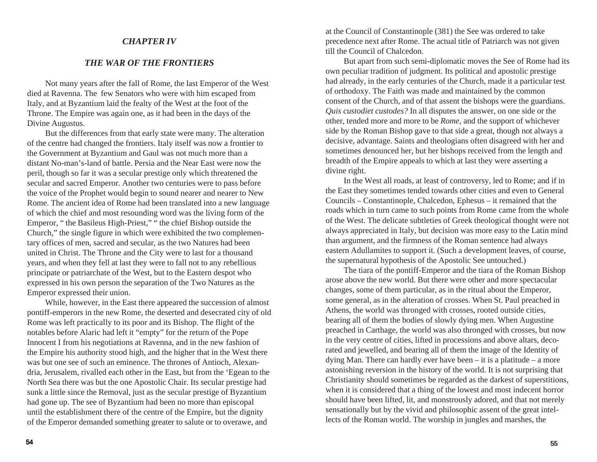# *CHAPTER IV*

#### *THE WAR OF THE FRONTIERS*

Not many years after the fall of Rome, the last Emperor of the West died at Ravenna. The few Senators who were with him escaped from Italy, and at Byzantium laid the fealty of the West at the foot of the Throne. The Empire was again one, as it had been in the days of the Divine Augustus.

But the differences from that early state were many. The alteration of the centre had changed the frontiers. Italy itself was now a frontier to the Government at Byzantium and Gaul was not much more than a distant No-man's-land of battle. Persia and the Near East were now the peril, though so far it was a secular prestige only which threatened the secular and sacred Emperor. Another two centuries were to pass before the voice of the Prophet would begin to sound nearer and nearer to New Rome. The ancient idea of Rome had been translated into a new language of which the chief and most resounding word was the living form of the Emperor, " the Basileus High-Priest," " the chief Bishop outside the Church," the single figure in which were exhibited the two complementary offices of men, sacred and secular, as the two Natures had been united in Christ. The Throne and the City were to last for a thousand years, and when they fell at last they were to fall not to any rebellious principate or patriarchate of the West, but to the Eastern despot who expressed in his own person the separation of the Two Natures as the Emperor expressed their union.

While, however, in the East there appeared the succession of almost pontiff-emperors in the new Rome, the deserted and desecrated city of old Rome was left practically to its poor and its Bishop. The flight of the notables before Alaric had left it "empty" for the return of the Pope Innocent I from his negotiations at Ravenna, and in the new fashion of the Empire his authority stood high, and the higher that in the West there was but one see of such an eminence. The thrones of Antioch, Alexandria, Jerusalem, rivalled each other in the East, but from the 'Egean to the North Sea there was but the one Apostolic Chair. Its secular prestige had sunk a little since the Removal, just as the secular prestige of Byzantium had gone up. The see of Byzantium had been no more than episcopal until the establishment there of the centre of the Empire, but the dignity of the Emperor demanded something greater to salute or to overawe, and

at the Council of Constantinople (381) the See was ordered to take precedence next after Rome. The actual title of Patriarch was not given till the Council of Chalcedon.

But apart from such semi-diplomatic moves the See of Rome had its own peculiar tradition of judgment. Its political and apostolic prestige had already, in the early centuries of the Church, made it a particular test of orthodoxy. The Faith was made and maintained by the common consent of the Church, and of that assent the bishops were the guardians. *Quis custodiet custodes?* In all disputes the answer, on one side or the other, tended more and more to be *Rome,* and the support of whichever side by the Roman Bishop gave to that side a great, though not always a decisive, advantage. Saints and theologians often disagreed with her and sometimes denounced her, but her bishops received from the length and breadth of the Empire appeals to which at last they were asserting a divine right.

In the West all roads, at least of controversy, led to Rome; and if in the East they sometimes tended towards other cities and even to General Councils – Constantinople, Chalcedon, Ephesus – it remained that the roads which in turn came to such points from Rome came from the whole of the West. The delicate subtleties of Greek theological thought were not always appreciated in Italy, but decision was more easy to the Latin mind than argument, and the firmness of the Roman sentence had always eastern Adullamites to support it. (Such a development leaves, of course, the supernatural hypothesis of the Apostolic See untouched.)

The tiara of the pontiff-Emperor and the tiara of the Roman Bishop arose above the new world. But there were other and more spectacular changes, some of them particular, as in the ritual about the Emperor, some general, as in the alteration of crosses. When St. Paul preached in Athens, the world was thronged with crosses, rooted outside cities, bearing all of them the bodies of slowly dying men. When Augustine preached in Carthage, the world was also thronged with crosses, but now in the very centre of cities, lifted in processions and above altars, decorated and jewelled, and bearing all of them the image of the Identity of dying Man. There can hardly ever have been – it is a platitude – a more astonishing reversion in the history of the world. It is not surprising that Christianity should sometimes be regarded as the darkest of superstitions, when it is considered that a thing of the lowest and most indecent horror should have been lifted, lit, and monstrously adored, and that not merely sensationally but by the vivid and philosophic assent of the great intellects of the Roman world. The worship in jungles and marshes, the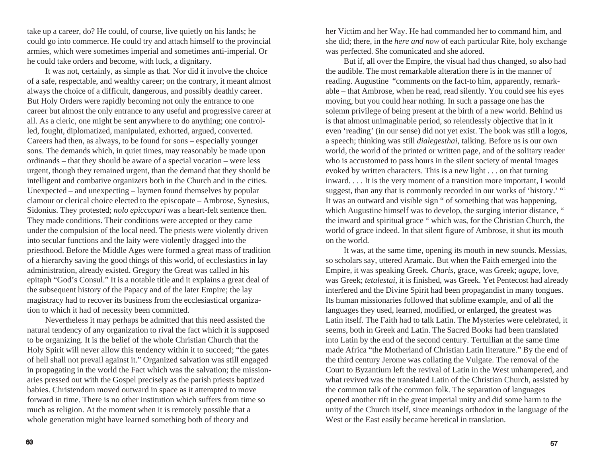take up a career, do? He could, of course, live quietly on his lands; he could go into commerce. He could try and attach himself to the provincial armies, which were sometimes imperial and sometimes anti-imperial. Or he could take orders and become, with luck, a dignitary.

It was not, certainly, as simple as that. Nor did it involve the choice of a safe, respectable, and wealthy career; on the contrary, it meant almost always the choice of a difficult, dangerous, and possibly deathly career. But Holy Orders were rapidly becoming not only the entrance to one career but almost the only entrance to any useful and progressive career at all. As a cleric, one might be sent anywhere to do anything; one controlled, fought, diplomatized, manipulated, exhorted, argued, converted. Careers had then, as always, to be found for sons – especially younger sons. The demands which, in quiet times, may reasonably be made upon ordinands – that they should be aware of a special vocation – were less urgent, though they remained urgent, than the demand that they should be intelligent and combative organizers both in the Church and in the cities. Unexpected – and unexpecting – laymen found themselves by popular clamour or clerical choice elected to the episcopate – Ambrose, Synesius, Sidonius. They protested; *nolo epiccopari* was a heart-felt sentence then. They made conditions. Their conditions were accepted or they came under the compulsion of the local need. The priests were violently driven into secular functions and the laity were violently dragged into the priesthood. Before the Middle Ages were formed a great mass of tradition of a hierarchy saving the good things of this world, of ecclesiastics in lay administration, already existed. Gregory the Great was called in his epitaph "God's Consul." It is a notable title and it explains a great deal of the subsequent history of the Papacy and of the later Empire; the lay magistracy had to recover its business from the ecclesiastical organization to which it had of necessity been committed.

Nevertheless it may perhaps be admitted that this need assisted the natural tendency of any organization to rival the fact which it is supposed to be organizing. It is the belief of the whole Christian Church that the Holy Spirit will never allow this tendency within it to succeed; "the gates of hell shall not prevail against it." Organized salvation was still engaged in propagating in the world the Fact which was the salvation; the missionaries pressed out with the Gospel precisely as the parish priests baptized babies. Christendom moved outward in space as it attempted to move forward in time. There is no other institution which suffers from time so much as religion. At the moment when it is remotely possible that a whole generation might have learned something both of theory and

her Victim and her Way. He had commanded her to command him, and she did; there, in the *here and now* of each particular Rite, holy exchange was perfected. She comunicated and she adored.

But if, all over the Empire, the visual had thus changed, so also had the audible. The most remarkable alteration there is in the manner of reading. Augustine "comments on the fact-to him, apparently, remarkable – that Ambrose, when he read, read silently. You could see his eyes moving, but you could hear nothing. In such a passage one has the solemn privilege of being present at the birth of a new world. Behind us is that almost unimaginable period, so relentlessly objective that in it even 'reading' (in our sense) did not yet exist. The book was still a logos, a speech; thinking was still *dialegesthai,* talking. Before us is our own world, the world of the printed or written page, and of the solitary reader who is accustomed to pass hours in the silent society of mental images evoked by written characters. This is a new light . . . on that turning inward. . . . It is the very moment of a transition more important, I would suggest, than any that is commonly recorded in our works of 'history.' "1 It was an outward and visible sign " of something that was happening, which Augustine himself was to develop, the surging interior distance, " the inward and spiritual grace " which was, for the Christian Church, the world of grace indeed. In that silent figure of Ambrose, it shut its mouth on the world.

It was, at the same time, opening its mouth in new sounds. Messias, so scholars say, uttered Aramaic. But when the Faith emerged into the Empire, it was speaking Greek. *Charis,* grace, was Greek; *agape,* love, was Greek; *tetalestai,* it is finished, was Greek. Yet Pentecost had already interfered and the Divine Spirit had been propagandist in many tongues. Its human missionaries followed that sublime example, and of all the languages they used, learned, modified, or enlarged, the greatest was Latin itself. The Faith had to talk Latin. The Mysteries were celebrated, it seems, both in Greek and Latin. The Sacred Books had been translated into Latin by the end of the second century. Tertullian at the same time made Africa "the Motherland of Christian Latin literature." By the end of the third century Jerome was collating the Vulgate. The removal of the Court to Byzantium left the revival of Latin in the West unhampered, and what revived was the translated Latin of the Christian Church, assisted by the common talk of the common folk. The separation of languages opened another rift in the great imperial unity and did some harm to the unity of the Church itself, since meanings orthodox in the language of the West or the East easily became heretical in translation.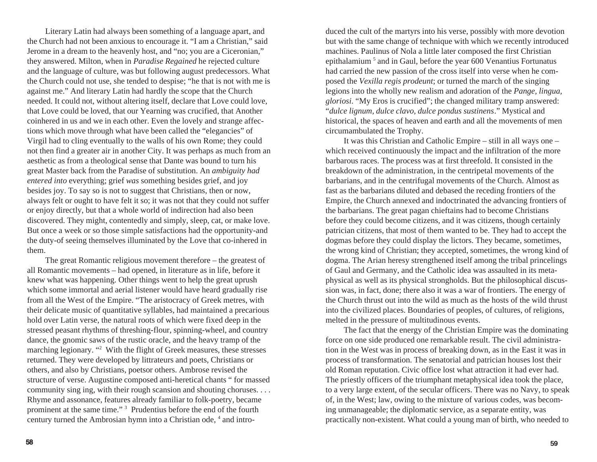Literary Latin had always been something of a language apart, and the Church had not been anxious to encourage it. "I am a Christian," said Jerome in a dream to the heavenly host, and "no; you are a Ciceronian," they answered. Milton, when in *Paradise Regained* he rejected culture and the language of culture, was but following august predecessors. What the Church could not use, she tended to despise; "he that is not with me is against me." And literary Latin had hardly the scope that the Church needed. It could not, without altering itself, declare that Love could love, that Love could be loved, that our Yearning was crucified, that Another coinhered in us and we in each other. Even the lovely and strange affections which move through what have been called the "elegancies" of Virgil had to cling eventually to the walls of his own Rome; they could not then find a greater air in another City. It was perhaps as much from an aesthetic as from a theological sense that Dante was bound to turn his great Master back from the Paradise of substitution. An *ambiguity had entered into* everything; grief *was* something besides grief, and joy besides joy. To say so is not to suggest that Christians, then or now, always felt or ought to have felt it so; it was not that they could not suffer or enjoy directly, but that a whole world of indirection had also been discovered. They might, contentedly and simply, sleep, cat, or make love. But once a week or so those simple satisfactions had the opportunity-and the duty-of seeing themselves illuminated by the Love that co-inhered in them.

The great Romantic religious movement therefore – the greatest of all Romantic movements – had opened, in literature as in life, before it knew what was happening. Other things went to help the great uprush which some immortal and aerial listener would have heard gradually rise from all the West of the Empire. "The aristocracy of Greek metres, with their delicate music of quantitative syllables, had maintained a precarious hold over Latin verse, the natural roots of which were fixed deep in the stressed peasant rhythms of threshing-flour, spinning-wheel, and country dance, the gnomic saws of the rustic oracle, and the heavy tramp of the marching legionary. "2 With the flight of Greek measures, these stresses returned. They were developed by littrateurs and poets, Christians or others, and also by Christians, poetsor others. Ambrose revised the structure of verse. Augustine composed anti-heretical chants " for massed community sing ing, with their rough scansion and shouting choruses. . . . Rhyme and assonance, features already familiar to folk-poetry, became prominent at the same time." 3 Prudentius before the end of the fourth century turned the Ambrosian hymn into a Christian ode, 4 and intro-

duced the cult of the martyrs into his verse, possibly with more devotion but with the same change of technique with which we recently introduced machines. Paulinus of Nola a little later composed the first Christian epithalamium 5 and in Gaul, before the year 600 Venantius Fortunatus had carried the new passion of the cross itself into verse when he composed the *Vexilla regis prodeunt*; or turned the march of the singing legions into the wholly new realism and adoration of the *Pange, lingua, gloriosi*. "My Eros is crucified"; the changed military tramp answered: "*dulce lignum, dulce clavo, dulce pondus sustinens*." Mystical and historical, the spaces of heaven and earth and all the movements of men circumambulated the Trophy.

It was this Christian and Catholic Empire – still in all ways one – which received continuously the impact and the infiltration of the more barbarous races. The process was at first threefold. It consisted in the breakdown of the administration, in the centripetal movements of the barbarians, and in the centrifugal movements of the Church. Almost as fast as the barbarians diluted and debased the receding frontiers of the Empire, the Church annexed and indoctrinated the advancing frontiers of the barbarians. The great pagan chieftains had to become Christians before they could become citizens, and it was citizens, though certainly patrician citizens, that most of them wanted to be. They had to accept the dogmas before they could display the lictors. They became, sometimes, the wrong kind of Christian; they accepted, sometimes, the wrong kind of dogma. The Arian heresy strengthened itself among the tribal princelings of Gaul and Germany, and the Catholic idea was assaulted in its metaphysical as well as its physical strongholds. But the philosophical discussion was, in fact, done; there also it was a war of frontiers. The energy of the Church thrust out into the wild as much as the hosts of the wild thrust into the civilized places. Boundaries of peoples, of cultures, of religions, melted in the pressure of multitudinous events.

The fact that the energy of the Christian Empire was the dominating force on one side produced one remarkable result. The civil administration in the West was in process of breaking down, as in the East it was in process of transformation. The senatorial and patrician houses lost their old Roman reputation. Civic office lost what attraction it had ever had. The priestly officers of the triumphant metaphysical idea took the place, to a very large extent, of the secular officers. There was no Navy, to speak of, in the West; law, owing to the mixture of various codes, was becoming unmanageable; the diplomatic service, as a separate entity, was practically non-existent. What could a young man of birth, who needed to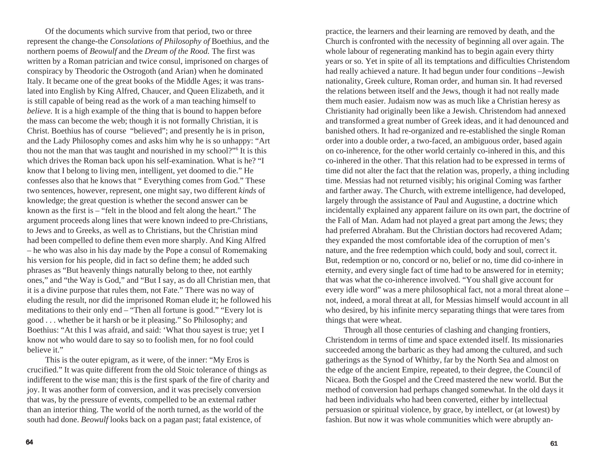Of the documents which survive from that period, two or three represent the change-the *Consolations of Philosophy of* Boethius, and the northern poems of *Beowulf* and the *Dream of the Rood.* The first was written by a Roman patrician and twice consul, imprisoned on charges of conspiracy by Theodoric the Ostrogoth (and Arian) when he dominated Italy. It became one of the great books of the Middle Ages; it was translated into English by King Alfred, Chaucer, and Queen Elizabeth, and it is still capable of being read as the work of a man teaching himself to *believe.* It is a high example of the thing that is bound to happen before the mass can become the web; though it is not formally Christian, it is Christ. Boethius has of course "believed"; and presently he is in prison, and the Lady Philosophy comes and asks him why he is so unhappy: "Art thou not the man that was taught and nourished in my school?"6 It is this which drives the Roman back upon his self-examination. What is he? "I know that I belong to living men, intelligent, yet doomed to die." He confesses also that he knows that " Everything comes from God." These two sentences, however, represent, one might say, two different *kinds* of knowledge; the great question is whether the second answer can be known as the first is – "felt in the blood and felt along the heart." The argument proceeds along lines that were known indeed to pre-Christians, to Jews and to Greeks, as well as to Christians, but the Christian mind had been compelled to define them even more sharply. And King Alfred – he who was also in his day made by the Pope a consul of Romemaking his version for his people, did in fact so define them; he added such phrases as "But heavenly things naturally belong to thee, not earthly ones," and "the Way is God," and "But I say, as do all Christian men, that it is a divine purpose that rules them, not Fate." There was no way of eluding the result, nor did the imprisoned Roman elude it; he followed his meditations to their only end – "Then all fortune is good." "Every lot is good . . . whether be it harsh or be it pleasing." So Philosophy; and Boethius: "At this I was afraid, and said: 'What thou sayest is true; yet I know not who would dare to say so to foolish men, for no fool could believe it."

This is the outer epigram, as it were, of the inner: "My Eros is crucified." It was quite different from the old Stoic tolerance of things as indifferent to the wise man; this is the first spark of the fire of charity and joy. It was another form of conversion, and it was precisely conversion that was, by the pressure of events, compelled to be an external rather than an interior thing. The world of the north turned, as the world of the south had done. *Beowulf* looks back on a pagan past; fatal existence, of

practice, the learners and their learning are removed by death, and the Church is confronted with the necessity of beginning all over again. The whole labour of regenerating mankind has to begin again every thirty years or so. Yet in spite of all its temptations and difficulties Christendom had really achieved a nature. It had begun under four conditions –Jewish nationality, Greek culture, Roman order, and human sin. It had reversed the relations between itself and the Jews, though it had not really made them much easier. Judaism now was as much like a Christian heresy as Christianity had originally been like a Jewish. Christendom had annexed and transformed a great number of Greek ideas, and it had denounced and banished others. It had re-organized and re-established the single Roman order into a double order, a two-faced, an ambiguous order, based again on co-inherence, for the other world certainly co-inhered in this, and this co-inhered in the other. That this relation had to be expressed in terms of time did not alter the fact that the relation was, properly, a thing including time. Messias had not returned visibly; his original Coming was farther and farther away. The Church, with extreme intelligence, had developed, largely through the assistance of Paul and Augustine, a doctrine which incidentally explained any apparent failure on its own part, the doctrine of the Fall of Man. Adam had not played a great part among the Jews; they had preferred Abraham. But the Christian doctors had recovered Adam; they expanded the most comfortable idea of the corruption of men's nature, and the free redemption which could, body and soul, correct it. But, redemption or no, concord or no, belief or no, time did co-inhere in eternity, and every single fact of time had to be answered for in eternity; that was what the co-inherence involved. "You shall give account for every idle word" was a mere philosophical fact, not a moral threat alone – not, indeed, a moral threat at all, for Messias himself would account in all who desired, by his infinite mercy separating things that were tares from things that were wheat.

Through all those centuries of clashing and changing frontiers, Christendom in terms of time and space extended itself. Its missionaries succeeded among the barbaric as they had among the cultured, and such gatherings as the Synod of Whitby, far by the North Sea and almost on the edge of the ancient Empire, repeated, to their degree, the Council of Nicaea. Both the Gospel and the Creed mastered the new world. But the method of conversion had perhaps changed somewhat. In the old days it had been individuals who had been converted, either by intellectual persuasion or spiritual violence, by grace, by intellect, or (at lowest) by fashion. But now it was whole communities which were abruptly an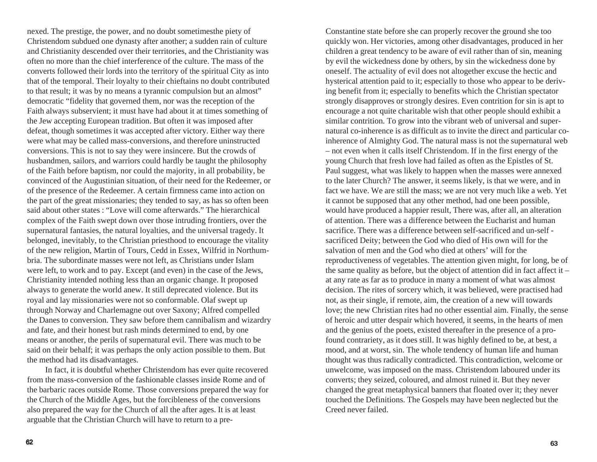nexed. The prestige, the power, and no doubt sometimesthe piety of Christendom subdued one dynasty after another; a sudden rain of culture and Christianity descended over their territories, and the Christianity was often no more than the chief interference of the culture. The mass of the converts followed their lords into the territory of the spiritual City as into that of the temporal. Their loyalty to their chieftains no doubt contributed to that result; it was by no means a tyrannic compulsion but an almost" democratic "fidelity that governed them, nor was the reception of the Faith always subservient; it must have had about it at times something of the Jew accepting European tradition. But often it was imposed after defeat, though sometimes it was accepted after victory. Either way there were what may be called mass-conversions, and therefore uninstructed conversions. This is not to say they were insincere. But the crowds of husbandmen, sailors, and warriors could hardly be taught the philosophy of the Faith before baptism, nor could the majority, in all probability, be convinced of the Augustinian situation, of their need for the Redeemer, or of the presence of the Redeemer. A certain firmness came into action on the part of the great missionaries; they tended to say, as has so often been said about other states : "Love will come afterwards." The hierarchical complex of the Faith swept down over those intruding frontiers, over the supernatural fantasies, the natural loyalties, and the universal tragedy. It belonged, inevitably, to the Christian priesthood to encourage the vitality of the new religion, Martin of Tours, Cedd in Essex, Wilfrid in Northumbria. The subordinate masses were not left, as Christians under Islam were left, to work and to pay. Except (and even) in the case of the Jews, Christianity intended nothing less than an organic change. It proposed always to generate the world anew. It still deprecated violence. But its royal and lay missionaries were not so conformable. Olaf swept up through Norway and Charlemagne out over Saxony; Alfred compelled the Danes to conversion. They saw before them cannibalism and wizardry and fate, and their honest but rash minds determined to end, by one means or another, the perils of supernatural evil. There was much to be said on their behalf; it was perhaps the only action possible to them. But the method had its disadvantages.

In fact, it is doubtful whether Christendom has ever quite recovered from the mass-conversion of the fashionable classes inside Rome and of the barbaric races outside Rome. Those conversions prepared the way for the Church of the Middle Ages, but the forcibleness of the conversions also prepared the way for the Church of all the after ages. It is at least arguable that the Christian Church will have to return to a prequickly won. Her victories, among other disadvantages, produced in her children a great tendency to be aware of evil rather than of sin, meaning by evil the wickedness done by others, by sin the wickedness done by oneself. The actuality of evil does not altogether excuse the hectic and hysterical attention paid to it; especially to those who appear to be deriving benefit from it; especially to benefits which the Christian spectator strongly disapproves or strongly desires. Even contrition for sin is apt to encourage a not quite charitable wish that other people should exhibit a similar contrition. To grow into the vibrant web of universal and supernatural co-inherence is as difficult as to invite the direct and particular coinherence of Almighty God. The natural mass is not the supernatural web – not even when it calls itself Christendom. If in the first energy of the young Church that fresh love had failed as often as the Epistles of St. Paul suggest, what was likely to happen when the masses were annexed to the later Church? The answer, it seems likely, is that we were, and in fact we have. We are still the mass; we are not very much like a web. Yet it cannot be supposed that any other method, had one been possible, would have produced a happier result, There was, after all, an alteration of attention. There was a difference between the Eucharist and human sacrifice. There was a difference between self-sacrificed and un-self sacrificed Deity; between the God who died of His own will for the salvation of men and the God who died at others' will for the reproductiveness of vegetables. The attention given might, for long, be of the same quality as before, but the object of attention did in fact affect it – at any rate as far as to produce in many a moment of what was almost decision. The rites of sorcery which, it was believed, were practised had not, as their single, if remote, aim, the creation of a new will towards love; the new Christian rites had no other essential aim. Finally, the sense of heroic and utter despair which hovered, it seems, in the hearts of men and the genius of the poets, existed thereafter in the presence of a profound contrariety, as it does still. It was highly defined to be, at best, a mood, and at worst, sin. The whole tendency of human life and human thought was thus radically contradicted. This contradiction, welcome or unwelcome, was imposed on the mass. Christendom laboured under its converts; they seized, coloured, and almost ruined it. But they never changed the great metaphysical banners that floated over it; they never touched the Definitions. The Gospels may have been neglected but the Creed never failed.

Constantine state before she can properly recover the ground she too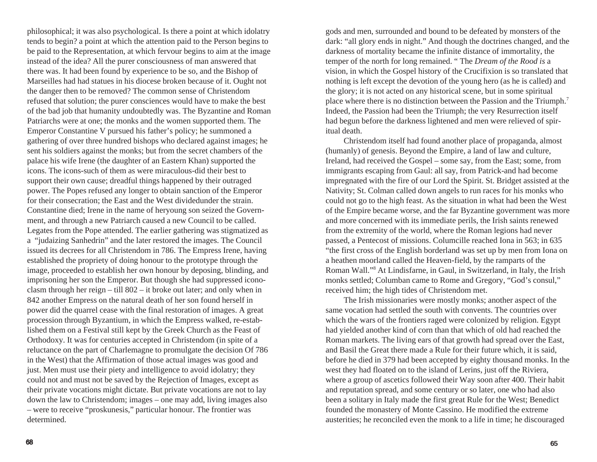philosophical; it was also psychological. Is there a point at which idolatry tends to begin? a point at which the attention paid to the Person begins to be paid to the Representation, at which fervour begins to aim at the image instead of the idea? All the purer consciousness of man answered that there was. It had been found by experience to be so, and the Bishop of Marseilles had had statues in his diocese broken because of it. Ought not the danger then to be removed? The common sense of Christendom refused that solution; the purer consciences would have to make the best of the bad job that humanity undoubtedly was. The Byzantine and Roman Patriarchs were at one; the monks and the women supported them. The Emperor Constantine V pursued his father's policy; he summoned a gathering of over three hundred bishops who declared against images; he sent his soldiers against the monks; but from the secret chambers of the palace his wife Irene (the daughter of an Eastern Khan) supported the icons. The icons-such of them as were miraculous-did their best to support their own cause; dreadful things happened by their outraged power. The Popes refused any longer to obtain sanction of the Emperor for their consecration; the East and the West dividedunder the strain. Constantine died; Irene in the name of heryoung son seized the Government, and through a new Patriarch caused a new Council to be called. Legates from the Pope attended. The earlier gathering was stigmatized as <sup>a</sup>"judaizing Sanhedrin" and the later restored the images. The Council issued its decrees for all Christendom in 786. The Empress Irene, having established the propriety of doing honour to the prototype through the image, proceeded to establish her own honour by deposing, blinding, and imprisoning her son the Emperor. But though she had suppressed iconoclasm through her reign – till 802 – it broke out later; and only when in 842 another Empress on the natural death of her son found herself in power did the quarrel cease with the final restoration of images. A great procession through Byzantium, in which the Empress walked, re-established them on a Festival still kept by the Greek Church as the Feast of Orthodoxy. It was for centuries accepted in Christendom (in spite of a reluctance on the part of Charlemagne to promulgate the decision Of 786 in the West) that the Affirmation of those actual images was good and just. Men must use their piety and intelligence to avoid idolatry; they could not and must not be saved by the Rejection of Images, except as their private vocations might dictate. But private vocations are not to lay down the law to Christendom; images – one may add, living images also – were to receive "proskunesis," particular honour. The frontier was determined.

68

gods and men, surrounded and bound to be defeated by monsters of the dark: "all glory ends in night." And though the doctrines changed, and the darkness of mortality became the infinite distance of immortality, the temper of the north for long remained. " The *Dream of the Rood is* <sup>a</sup> vision, in which the Gospel history of the Crucifixion is so translated that nothing is left except the devotion of the young hero (as he is called) and the glory; it is not acted on any historical scene, but in some spiritual place where there is no distinction between the Passion and the Triumph.7 Indeed, the Passion had been the Triumph; the very Resurrection itself had begun before the darkness lightened and men were relieved of spiritual death.

Christendom itself had found another place of propaganda, almost (humanly) of genesis. Beyond the Empire, a land of law and culture, Ireland, had received the Gospel – some say, from the East; some, from immigrants escaping from Gaul: all say, from Patrick-and had become impregnated with the fire of our Lord the Spirit. St. Bridget assisted at the Nativity; St. Colman called down angels to run races for his monks who could not go to the high feast. As the situation in what had been the West of the Empire became worse, and the far Byzantine government was more and more concerned with its immediate perils, the Irish saints renewed from the extremity of the world, where the Roman legions had never passed, a Pentecost of missions. Columcille reached Iona in 563; in 635 "the first cross of the English borderland was set up by men from Iona on a heathen moorland called the Heaven-field, by the ramparts of the Roman Wall."8 At Lindisfarne, in Gaul, in Switzerland, in Italy, the Irish monks settled; Columban came to Rome and Gregory, "God's consul," received him; the high tides of Christendom met.

The Irish missionaries were mostly monks; another aspect of the same vocation had settled the south with convents. The countries over which the wars of the frontiers raged were colonized by religion. Egypt had yielded another kind of corn than that which of old had reached the Roman markets. The living ears of that growth had spread over the East, and Basil the Great there made a Rule for their future which, it is said, before he died in 379 had been accepted by eighty thousand monks. In the west they had floated on to the island of Lerins, just off the Riviera, where a group of ascetics followed their Way soon after 400. Their habit and reputation spread, and some century or so later, one who had also been a solitary in Italy made the first great Rule for the West; Benedict founded the monastery of Monte Cassino. He modified the extreme austerities; he reconciled even the monk to a life in time; he discouraged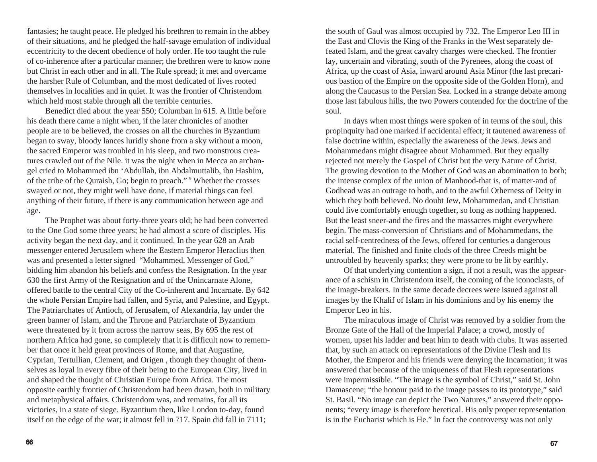fantasies; he taught peace. He pledged his brethren to remain in the abbey of their situations, and he pledged the half-savage emulation of individual eccentricity to the decent obedience of holy order. He too taught the rule of co-inherence after a particular manner; the brethren were to know none but Christ in each other and in all. The Rule spread; it met and overcame the harsher Rule of Columban, and the most dedicated of lives rooted themselves in localities and in quiet. It was the frontier of Christendom which held most stable through all the terrible centuries.

Benedict died about the year 550; Columban in 615. A little before his death there came a night when, if the later chronicles of another people are to be believed, the crosses on all the churches in Byzantium began to sway, bloody lances luridly shone from a sky without a moon, the sacred Emperor was troubled in his sleep, and two monstrous creatures crawled out of the Nile. it was the night when in Mecca an archangel cried to Mohammed ibn 'Abdullah, ibn Abdalmuttalib, ibn Hashim, of the tribe of the Quraish, Go; begin to preach." 9 Whether the crosses swayed or not, they might well have done, if material things can feel anything of their future, if there is any communication between age and age.

The Prophet was about forty-three years old; he had been converted to the One God some three years; he had almost a score of disciples. His activity began the next day, and it continued. In the year 628 an Arab messenger entered Jerusalem where the Eastern Emperor Heraclius then was and presented a letter signed "Mohammed, Messenger of God," bidding him abandon his beliefs and confess the Resignation. In the year 630 the first Army of the Resignation and of the Unincarnate Alone, offered battle to the central City of the Co-inherent and Incarnate. By 642 the whole Persian Empire had fallen, and Syria, and Palestine, and Egypt. The Patriarchates of Antioch, of Jerusalem, of Alexandria, lay under the green banner of Islam, and the Throne and Patriarchate of Byzantium were threatened by it from across the narrow seas, By 695 the rest of northern Africa had gone, so completely that it is difficult now to remember that once it held great provinces of Rome, and that Augustine, Cyprian, Tertullian, Clement, and Origen , though they thought of themselves as loyal in every fibre of their being to the European City, lived in and shaped the thought of Christian Europe from Africa. The most opposite earthly frontier of Christendom had been drawn, both in military and metaphysical affairs. Christendom was, and remains, for all its victories, in a state of siege. Byzantium then, like London to-day, found itself on the edge of the war; it almost fell in 717. Spain did fall in 7111;

the south of Gaul was almost occupied by 732. The Emperor Leo III in the East and Clovis the King of the Franks in the West separately defeated Islam, and the great cavalry charges were checked. The frontier lay, uncertain and vibrating, south of the Pyrenees, along the coast of Africa, up the coast of Asia, inward around Asia Minor (the last precarious bastion of the Empire on the opposite side of the Golden Horn), and along the Caucasus to the Persian Sea. Locked in a strange debate among those last fabulous hills, the two Powers contended for the doctrine of the soul.

In days when most things were spoken of in terms of the soul, this propinquity had one marked if accidental effect; it tautened awareness of false doctrine within, especially the awareness of the Jews. Jews and Mohammedans might disagree about Mohammed. But they equally rejected not merely the Gospel of Christ but the very Nature of Christ. The growing devotion to the Mother of God was an abomination to both; the intense complex of the union of Manhood-that is, of matter-and of Godhead was an outrage to both, and to the awful Otherness of Deity in which they both believed. No doubt Jew, Mohammedan, and Christian could live comfortably enough together, so long as nothing happened. But the least sneer-and the fires and the massacres might everywhere begin. The mass-conversion of Christians and of Mohammedans, the racial self-centredness of the Jews, offered for centuries a dangerous material. The finished and finite clods of the three Creeds might be untroubled by heavenly sparks; they were prone to be lit by earthly.

Of that underlying contention a sign, if not a result, was the appearance of a schism in Christendom itself, the coming of the iconoclasts, of the image-breakers. In the same decade decrees were issued against all images by the Khalif of Islam in his dominions and by his enemy the Emperor Leo in his.

The miraculous image of Christ was removed by a soldier from the Bronze Gate of the Hall of the Imperial Palace; a crowd, mostly of women, upset his ladder and beat him to death with clubs. It was asserted that, by such an attack on representations of the Divine Flesh and Its Mother, the Emperor and his friends were denying the Incarnation; it was answered that because of the uniqueness of that Flesh representations were impermissible. "The image is the symbol of Christ," said St. John Damascene; "the honour paid to the image passes to its prototype," said St. Basil. "No image can depict the Two Natures," answered their opponents; "every image is therefore heretical. His only proper representation is in the Eucharist which is He." In fact the controversy was not only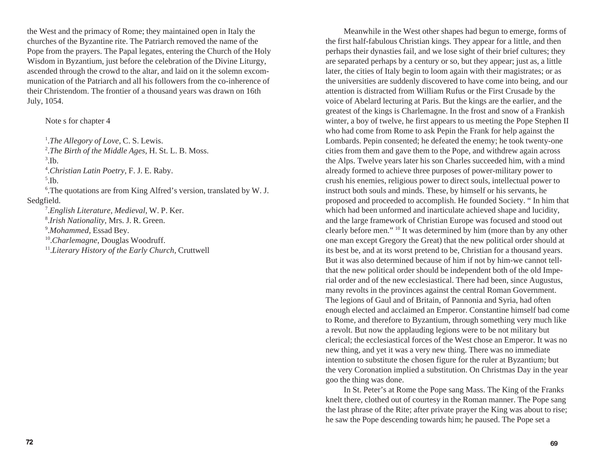the West and the primacy of Rome; they maintained open in Italy the churches of the Byzantine rite. The Patriarch removed the name of the Pope from the prayers. The Papal legates, entering the Church of the Holy Wisdom in Byzantium, just before the celebration of the Divine Liturgy, ascended through the crowd to the altar, and laid on it the solemn excommunication of the Patriarch and all his followers from the co-inherence of their Christendom. The frontier of a thousand years was drawn on 16th July, 1054.

Note s for chapter 4

 .*The Allegory of Love,* C. S. Lewis. .*The Birth of the Middle Ages,* H. St. L. B. Moss.  $3$ . Ib. .*Christian Latin Poetry,* F. J. E. Raby.  $5$ . Ib. 6.The quotations are from King Alfred's version, translated by W. J. Sedgfield. .*English Literature, Medieval,* W. P. Ker. .*Irish Nationality,* Mrs. J. R. Green. .*Mohammed,* Essad Bey. .*Charlemagne*, Douglas Woodruff.

11 .*Literary History of the Early Church,* Cruttwell

Meanwhile in the West other shapes had begun to emerge, forms of the first half-fabulous Christian kings. They appear for a little, and then perhaps their dynasties fail, and we lose sight of their brief cultures; they are separated perhaps by a century or so, but they appear; just as, a little later, the cities of Italy begin to loom again with their magistrates; or as the universities are suddenly discovered to have come into being, and our attention is distracted from William Rufus or the First Crusade by the voice of Abelard lecturing at Paris. But the kings are the earlier, and the greatest of the kings is Charlemagne. In the frost and snow of a Frankish winter, a boy of twelve, he first appears to us meeting the Pope Stephen II who had come from Rome to ask Pepin the Frank for help against the Lombards. Pepin consented; he defeated the enemy; he took twenty-one cities from them and gave them to the Pope, and withdrew again across the Alps. Twelve years later his son Charles succeeded him, with a mind already formed to achieve three purposes of power-military power to crush his enemies, religious power to direct souls, intellectual power to instruct both souls and minds. These, by himself or his servants, he proposed and proceeded to accomplish. He founded Society. " In him that which had been unformed and inarticulate achieved shape and lucidity, and the large framework of Christian Europe was focused and stood out clearly before men." 10 It was determined by him (more than by any other one man except Gregory the Great) that the new political order should at its best be, and at its worst pretend to be, Christian for a thousand years. But it was also determined because of him if not by him-we cannot tellthat the new political order should be independent both of the old Imperial order and of the new ecclesiastical. There had been, since Augustus, many revolts in the provinces against the central Roman Government. The legions of Gaul and of Britain, of Pannonia and Syria, had often enough elected and acclaimed an Emperor. Constantine himself bad come to Rome, and therefore to Byzantium, through something very much like a revolt. But now the applauding legions were to be not military but clerical; the ecclesiastical forces of the West chose an Emperor. It was no new thing, and yet it was a very new thing. There was no immediate intention to substitute the chosen figure for the ruler at Byzantium; but the very Coronation implied a substitution. On Christmas Day in the year goo the thing was done.

In St. Peter's at Rome the Pope sang Mass. The King of the Franks knelt there, clothed out of courtesy in the Roman manner. The Pope sang the last phrase of the Rite; after private prayer the King was about to rise; he saw the Pope descending towards him; he paused. The Pope set a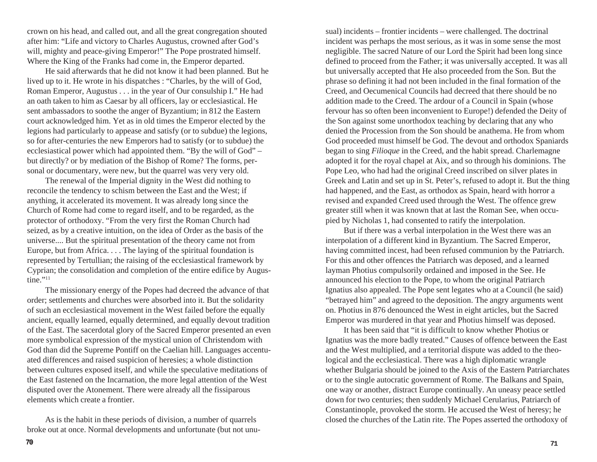crown on his head, and called out, and all the great congregation shouted after him: "Life and victory to Charles Augustus, crowned after God's will, mighty and peace-giving Emperor!" The Pope prostrated himself. Where the King of the Franks had come in, the Emperor departed.

He said afterwards that he did not know it had been planned. But he lived up to it. He wrote in his dispatches : "Charles, by the will of God, Roman Emperor, Augustus . . . in the year of Our consulship I." He had an oath taken to him as Caesar by all officers, lay or ecclesiastical. He sent ambassadors to soothe the anger of Byzantium; in 812 the Eastern court acknowledged him. Yet as in old times the Emperor elected by the legions had particularly to appease and satisfy (or to subdue) the legions, so for after-centuries the new Emperors had to satisfy (or to subdue) the ecclesiastical power which had appointed them. "By the will of God" – but directly? or by mediation of the Bishop of Rome? The forms, personal or documentary, were new, but the quarrel was very very old.

The renewal of the Imperial dignity in the West did nothing to reconcile the tendency to schism between the East and the West; if anything, it accelerated its movement. It was already long since the Church of Rome had come to regard itself, and to be regarded, as the protector of orthodoxy. "From the very first the Roman Church had seized, as by a creative intuition, on the idea of Order as the basis of the universe.... But the spiritual presentation of the theory came not from Europe, but from Africa. . . . The laying of the spiritual foundation is represented by Tertullian; the raising of the ecclesiastical framework by Cyprian; the consolidation and completion of the entire edifice by Augus $time$ ."<sup>11</sup>

The missionary energy of the Popes had decreed the advance of that order; settlements and churches were absorbed into it. But the solidarity of such an ecclesiastical movement in the West failed before the equally ancient, equally learned, equally determined, and equally devout tradition of the East. The sacerdotal glory of the Sacred Emperor presented an even more symbolical expression of the mystical union of Christendom with God than did the Supreme Pontiff on the Caelian hill. Languages accentuated differences and raised suspicion of heresies; a whole distinction between cultures exposed itself, and while the speculative meditations of the East fastened on the Incarnation, the more legal attention of the West disputed over the Atonement. There were already all the fissiparous elements which create a frontier.

As is the habit in these periods of division, a number of quarrels broke out at once. Normal developments and unfortunate (but not unu-

sual) incidents – frontier incidents – were challenged. The doctrinal incident was perhaps the most serious, as it was in some sense the most negligible. The sacred Nature of our Lord the Spirit had been long since defined to proceed from the Father; it was universally accepted. It was all but universally accepted that He also proceeded from the Son. But the phrase so defining it had not been included in the final formation of the Creed, and Oecumenical Councils had decreed that there should be no addition made to the Creed. The ardour of a Council in Spain (whose fervour has so often been inconvenient to Europe!) defended the Deity of the Son against some unorthodox teaching by declaring that any who denied the Procession from the Son should be anathema. He from whom God proceeded must himself be God. The devout and orthodox Spaniards began to sing *Filioque* in the Creed, and the habit spread. Charlemagne adopted it for the royal chapel at Aix, and so through his dominions. The Pope Leo, who had had the original Creed inscribed on silver plates in Greek and Latin and set up in St. Peter's, refused to adopt it. But the thing had happened, and the East, as orthodox as Spain, heard with horror a revised and expanded Creed used through the West. The offence grew greater still when it was known that at last the Roman See, when occupied by Nicholas 1, had consented to ratify the interpolation.

But if there was a verbal interpolation in the West there was an interpolation of a different kind in Byzantium. The Sacred Emperor, having committed incest, had been refused communion by the Patriarch. For this and other offences the Patriarch was deposed, and a learned layman Photius compulsorily ordained and imposed in the See. He announced his election to the Pope, to whom the original Patriarch Ignatius also appealed. The Pope sent legates who at a Council (he said) "betrayed him" and agreed to the deposition. The angry arguments went on. Photius in 876 denounced the West in eight articles, but the Sacred Emperor was murdered in that year and Photius himself was deposed.

It has been said that "it is difficult to know whether Photius or Ignatius was the more badly treated." Causes of offence between the East and the West multiplied, and a territorial dispute was added to the theological and the ecclesiastical. There was a high diplomatic wrangle whether Bulgaria should be joined to the Axis of the Eastern Patriarchates or to the single autocratic government of Rome. The Balkans and Spain, one way or another, distract Europe continually. An uneasy peace settled down for two centuries; then suddenly Michael Cerularius, Patriarch of Constantinople, provoked the storm. He accused the West of heresy; he closed the churches of the Latin rite. The Popes asserted the orthodoxy of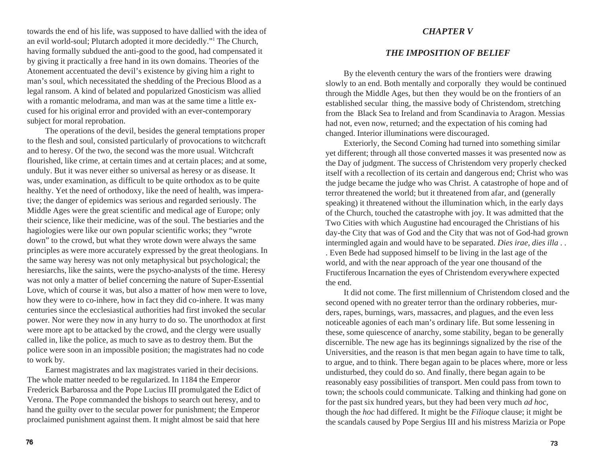# *CHAPTER V*

towards the end of his life, was supposed to have dallied with the idea of an evil world-soul; Plutarch adopted it more decidedly."1 The Church, having formally subdued the anti-good to the good, had compensated it by giving it practically a free hand in its own domains. Theories of the Atonement accentuated the devil's existence by giving him a right to man's soul, which necessitated the shedding of the Precious Blood as a legal ransom. A kind of belated and popularized Gnosticism was allied with a romantic melodrama, and man was at the same time a little excused for his original error and provided with an ever-contemporary subject for moral reprobation.

The operations of the devil, besides the general temptations proper to the flesh and soul, consisted particularly of provocations to witchcraft and to heresy. Of the two, the second was the more usual. Witchcraft flourished, like crime, at certain times and at certain places; and at some, unduly. But it was never either so universal as heresy or as disease. It was, under examination, as difficult to be quite orthodox as to be quite healthy. Yet the need of orthodoxy, like the need of health, was imperative; the danger of epidemics was serious and regarded seriously. The Middle Ages were the great scientific and medical age of Europe; only their science, like their medicine, was of the soul. The bestiaries and the hagiologies were like our own popular scientific works; they "wrote down" to the crowd, but what they wrote down were always the same principles as were more accurately expressed by the great theologians. In the same way heresy was not only metaphysical but psychological; the heresiarchs, like the saints, were the psycho-analysts of the time. Heresy was not only a matter of belief concerning the nature of Super-Essential Love, which of course it was, but also a matter of how men were to love, how they were to co-inhere, how in fact they did co-inhere. It was many centuries since the ecclesiastical authorities had first invoked the secular power. Nor were they now in any hurry to do so. The unorthodox at first were more apt to be attacked by the crowd, and the clergy were usually called in, like the police, as much to save as to destroy them. But the police were soon in an impossible position; the magistrates had no code to work by.

Earnest magistrates and lax magistrates varied in their decisions. The whole matter needed to be regularized. In 1184 the Emperor Frederick Barbarossa and the Pope Lucius III promulgated the Edict of Verona. The Pope commanded the bishops to search out heresy, and to hand the guilty over to the secular power for punishment; the Emperor proclaimed punishment against them. It might almost be said that here

# *THE IMPOSITION OF BELIEF*

By the eleventh century the wars of the frontiers were drawing slowly to an end. Both mentally and corporally they would be continued through the Middle Ages, but then they would be on the frontiers of an established secular thing, the massive body of Christendom, stretching from the Black Sea to Ireland and from Scandinavia to Aragon. Messias had not, even now, returned; and the expectation of his coming had changed. Interior illuminations were discouraged.

Exteriorly, the Second Coming had turned into something similar yet different; through all those converted masses it was presented now as the Day of judgment. The success of Christendom very properly checked itself with a recollection of its certain and dangerous end; Christ who was the judge became the judge who was Christ. A catastrophe of hope and of terror threatened the world; but it threatened from afar, and (generally speaking) it threatened without the illumination which, in the early days of the Church, touched the catastrophe with joy. It was admitted that the Two Cities with which Augustine had encouraged the Christians of his day-the City that was of God and the City that was not of God-had grown intermingled again and would have to be separated. *Dies irae, dies illa* . . . Even Bede had supposed himself to be living in the last age of the world, and with the near approach of the year one thousand of the Fructiferous Incarnation the eyes of Christendom everywhere expected the end.

It did not come. The first millennium of Christendom closed and the second opened with no greater terror than the ordinary robberies, murders, rapes, burnings, wars, massacres, and plagues, and the even less noticeable agonies of each man's ordinary life. But some lessening in these, some quiescence of anarchy, some stability, began to be generally discernible. The new age has its beginnings signalized by the rise of the Universities, and the reason is that men began again to have time to talk, to argue, and to think. There began again to be places where, more or less undisturbed, they could do so. And finally, there began again to be reasonably easy possibilities of transport. Men could pass from town to town; the schools could communicate. Talking and thinking had gone on for the past six hundred years, but they had been very much *ad hoc,* though the *hoc* had differed. It might be the *Filioque* clause; it might be the scandals caused by Pope Sergius III and his mistress Marizia or Pope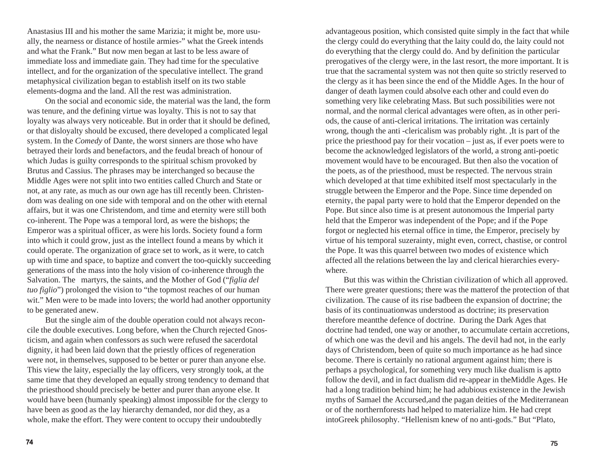Anastasius III and his mother the same Marizia; it might be, more usually, the nearness or distance of hostile armies-" what the Greek intends and what the Frank." But now men began at last to be less aware of immediate loss and immediate gain. They had time for the speculative intellect, and for the organization of the speculative intellect. The grand metaphysical civilization began to establish itself on its two stable elements-dogma and the land. All the rest was administration.

On the social and economic side, the material was the land, the form was tenure, and the defining virtue was loyalty. This is not to say that loyalty was always very noticeable. But in order that it should be defined, or that disloyalty should be excused, there developed a complicated legal system. In the *Comedy* of Dante, the worst sinners are those who have betrayed their lords and benefactors, and the feudal breach of honour of which Judas is guilty corresponds to the spiritual schism provoked by Brutus and Cassius. The phrases may be interchanged so because the Middle Ages were not split into two entities called Church and State or not, at any rate, as much as our own age has till recently been. Christendom was dealing on one side with temporal and on the other with eternal affairs, but it was one Christendom, and time and eternity were still both co-inherent. The Pope was a temporal lord, as were the bishops; the Emperor was a spiritual officer, as were his lords. Society found a form into which it could grow, just as the intellect found a means by which it could operate. The organization of grace set to work, as it were, to catch up with time and space, to baptize and convert the too-quickly succeeding generations of the mass into the holy vision of co-inherence through the Salvation. The martyrs, the saints, and the Mother of God ("*figlia del tuo figlio*") prolonged the vision to "the topmost reaches of our human wit." Men were to be made into lovers; the world had another opportunity to be generated anew.

But the single aim of the double operation could not always reconcile the double executives. Long before, when the Church rejected Gnosticism, and again when confessors as such were refused the sacerdotal dignity, it had been laid down that the priestly offices of regeneration were not, in themselves, supposed to be better or purer than anyone else. This view the laity, especially the lay officers, very strongly took, at the same time that they developed an equally strong tendency to demand that the priesthood should precisely be better and purer than anyone else. It would have been (humanly speaking) almost impossible for the clergy to have been as good as the lay hierarchy demanded, nor did they, as a whole, make the effort. They were content to occupy their undoubtedly

advantageous position, which consisted quite simply in the fact that while the clergy could do everything that the laity could do, the laity could not do everything that the clergy could do. And by definition the particular prerogatives of the clergy were, in the last resort, the more important. It is true that the sacramental system was not then quite so strictly reserved to the clergy as it has been since the end of the Middle Ages. In the hour of danger of death laymen could absolve each other and could even do something very like celebrating Mass. But such possibilities were not normal, and the normal clerical advantages were often, as in other periods, the cause of anti-clerical irritations. The irritation was certainly wrong, though the anti -clericalism was probably right. ,It is part of the price the priesthood pay for their vocation – just as, if ever poets were to become the acknowledged legislators of the world, a strong anti-poetic movement would have to be encouraged. But then also the vocation of the poets, as of the priesthood, must be respected. The nervous strain which developed at that time exhibited itself most spectacularly in the struggle between the Emperor and the Pope. Since time depended on eternity, the papal party were to hold that the Emperor depended on the Pope. But since also time is at present autonomous the Imperial party held that the Emperor was independent of the Pope; and if the Pope forgot or neglected his eternal office in time, the Emperor, precisely by virtue of his temporal suzerainty, might even, correct, chastise, or control the Pope. It was this quarrel between two modes of existence which affected all the relations between the lay and clerical hierarchies everywhere.

But this was within the Christian civilization of which all approved. There were greater questions; there was the matterof the protection of that civilization. The cause of its rise badbeen the expansion of doctrine; the basis of its continuationwas understood as doctrine; its preservation therefore meantthe defence of doctrine. During the Dark Ages that doctrine had tended, one way or another, to accumulate certain accretions, of which one was the devil and his angels. The devil had not, in the early days of Christendom, been of quite so much importance as he had since become. There is certainly no rational argument against him; there is perhaps a psychological, for something very much like dualism is aptto follow the devil, and in fact dualism did re-appear in theMiddle Ages. He had a long tradition behind him; he had adubious existence in the Jewish myths of Samael the Accursed,and the pagan deities of the Mediterranean or of the northernforests had helped to materialize him. He had crept intoGreek philosophy. "Hellenism knew of no anti-gods." But "Plato,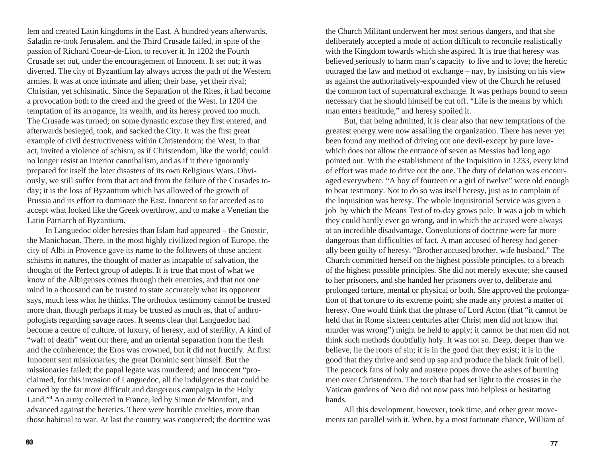lem and created Latin kingdoms in the East. A hundred years afterwards, Saladin re-took Jerusalem, and the Third Crusade failed, in spite of the passion of Richard Coeur-de-Lion, to recover it. In 1202 the Fourth Crusade set out, under the encouragement of Innocent. It set out; it was diverted. The city of Byzantium lay always across the path of the Western armies. It was at once intimate and alien; their base, yet their rival; Christian, yet schismatic. Since the Separation of the Rites, it had become a provocation both to the creed and the greed of the West. In 1204 the temptation of its arrogance, its wealth, and its heresy proved too much. The Crusade was turned; on some dynastic excuse they first entered, and afterwards besieged, took, and sacked the City. It was the first great example of civil destructiveness within Christendom; the West, in that act, invited a violence of schism, as if Christendom, like the world, could no longer resist an interior cannibalism, and as if it there ignorantly prepared for itself the later disasters of its own Religious Wars. Obviously, we still suffer from that act and from the failure of the Crusades today; it is the loss of Byzantium which has allowed of the growth of Prussia and its effort to dominate the East. Innocent so far acceded as to accept what looked like the Greek overthrow, and to make a Venetian the Latin Patriarch of Byzantium.

In Languedoc older heresies than Islam had appeared – the Gnostic, the Manichaean. There, in the most highly civilized region of Europe, the city of Albi in Provence gave its name to the followers of those ancient schisms in natures, the thought of matter as incapable of salvation, the thought of the Perfect group of adepts. It is true that most of what we know of the Albigenses comes through their enemies, and that not one mind in a thousand can be trusted to state accurately what its opponent says, much less what he thinks. The orthodox testimony cannot be trusted more than, though perhaps it may be trusted as much as, that of anthropologists regarding savage races. It seems clear that Languedoc had become a centre of culture, of luxury, of heresy, and of sterility. A kind of "waft of death" went out there, and an oriental separation from the flesh and the coinherence; the Eros was crowned, but it did not fructify. At first Innocent sent missionaries; the great Dominic sent himself. But the missionaries failed; the papal legate was murdered; and Innocent "proclaimed, for this invasion of Languedoc, all the indulgences that could be earned by the far more difficult and dangerous campaign in the Holy Land."4 An army collected in France, led by Simon de Montfort, and advanced against the heretics. There were horrible cruelties, more than those habitual to war. At last the country was conquered; the doctrine was

the Church Militant underwent her most serious dangers, and that she deliberately accepted a mode of action difficult to reconcile realistically with the Kingdom towards which she aspired. It is true that heresy was believed seriously to harm man's capacity to live and to love; the heretic outraged the law and method of exchange – nay, by insisting on his view as against the authoritatively-expounded view of the Church he refused the common fact of supernatural exchange. It was perhaps bound to seem necessary that he should himself be cut off. "Life is the means by which man enters beatitude," and heresy spoiled it.

But, that being admitted, it is clear also that new temptations of the greatest energy were now assailing the organization. There has never yet been found any method of driving out one devil-except by pure lovewhich does not allow the entrance of seven as Messias had long ago pointed out. With the establishment of the Inquisition in 1233, every kind of effort was made to drive out the one. The duty of delation was encouraged everywhere. "A boy of fourteen or a girl of twelve" were old enough to bear testimony. Not to do so was itself heresy, just as to complain of the Inquisition was heresy. The whole Inquisitorial Service was given a job by which the Means Test of to-day grows pale. It was a job in which they could hardly ever go wrong, and in which the accused were always at an incredible disadvantage. Convolutions of doctrine were far more dangerous than difficulties of fact. A man accused of heresy had generally been guilty of heresy. "Brother accused brother, wife husband." The Church committed herself on the highest possible principles, to a breach of the highest possible principles. She did not merely execute; she caused to her prisoners, and she handed her prisoners over to, deliberate and prolonged torture, mental or physical or both. She approved the prolongation of that torture to its extreme point; she made any protest a matter of heresy. One would think that the phrase of Lord Acton (that "it cannot be held that in Rome sixteen centuries after Christ men did not know that murder was wrong") might be held to apply; it cannot be that men did not think such methods doubtfully holy. It was not so. Deep, deeper than we believe, lie the roots of sin; it is in the good that they exist; it is in the good that they thrive and send up sap and produce the black fruit of hell. The peacock fans of holy and austere popes drove the ashes of burning men over Christendom. The torch that had set light to the crosses in the Vatican gardens of Nero did not now pass into helpless or hesitating hands.

All this development, however, took time, and other great movements ran parallel with it. When, by a most fortunate chance, William of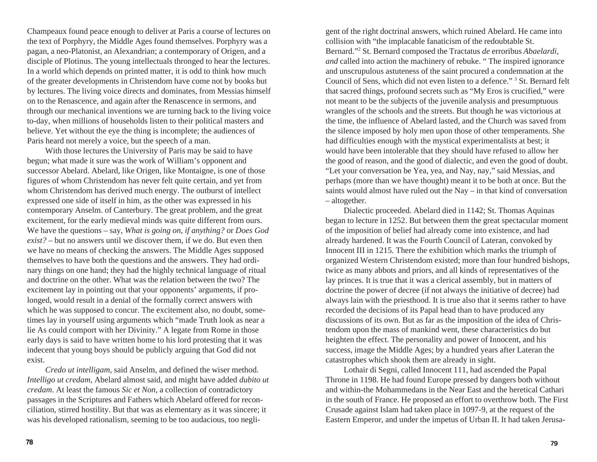Champeaux found peace enough to deliver at Paris a course of lectures on the text of Porphyry, the Middle Ages found themselves. Porphyry was a pagan, a neo-Platonist, an Alexandrian; a contemporary of Origen, and a disciple of Plotinus. The young intellectuals thronged to hear the lectures. In a world which depends on printed matter, it is odd to think how much of the greater developments in Christendom have come not by books but by lectures. The living voice directs and dominates, from Messias himself on to the Renascence, and again after the Renascence in sermons, and through our mechanical inventions we are turning back to the living voice to-day, when millions of households listen to their political masters and believe. Yet without the eye the thing is incomplete; the audiences of Paris heard not merely a voice, but the speech of a man.

With those lectures the University of Paris may be said to have begun; what made it sure was the work of William's opponent and successor Abelard. Abelard, like Origen, like Montaigne, is one of those figures of whom Christendom has never felt quite certain, and yet from whom Christendom has derived much energy. The outburst of intellect expressed one side of itself in him, as the other was expressed in his contemporary Anselm. of Canterbury. The great problem, and the great excitement, for the early medieval minds was quite different from ours. We have the questions – say, *What is going on, if anything?* or *Does God exist?* – but no answers until we discover them, if we do. But even then we have no means of checking the answers. The Middle Ages supposed themselves to have both the questions and the answers. They had ordinary things on one hand; they had the highly technical language of ritual and doctrine on the other. What was the relation between the two? The excitement lay in pointing out that your opponents' arguments, if prolonged, would result in a denial of the formally correct answers with which he was supposed to concur. The excitement also, no doubt, sometimes lay in yourself using arguments which "made Truth look as near a lie As could comport with her Divinity." A legate from Rome in those early days is said to have written home to his lord protesting that it was indecent that young boys should be publicly arguing that God did not exist.

*Credo ut intelligam*, said Anselm, and defined the wiser method. *Intelligo ut credam*, Abelard almost said, and might have added *dubito ut credam*. At least the famous *Sic et Non,* a collection of contradictory passages in the Scriptures and Fathers which Abelard offered for reconciliation, stirred hostility. But that was as elementary as it was sincere; it was his developed rationalism, seeming to be too audacious, too negli-

gent of the right doctrinal answers, which ruined Abelard. He came into collision with "the implacable fanaticism of the redoubtable St. Bernard."2 St. Bernard composed the Tractatus *de* erroribus *Abaelardi, and* called into action the machinery of rebuke. " The inspired ignorance and unscrupulous astuteness of the saint procured a condemnation at the Council of Sens, which did not even listen to a defence." 3 St. Bernard felt that sacred things, profound secrets such as "My Eros is crucified," were not meant to be the subjects of the juvenile analysis and presumptuous wrangles of the schools and the streets. But though he was victorious at the time, the influence of Abelard lasted, and the Church was saved from the silence imposed by holy men upon those of other temperaments. She had difficulties enough with the mystical experimentalists at best; it would have been intolerable that they should have refused to allow her the good of reason, and the good of dialectic, and even the good of doubt. "Let your conversation be Yea, yea, and Nay, nay," said Messias, and perhaps (more than we have thought) meant it to be both at once. But the saints would almost have ruled out the Nay – in that kind of conversation – altogether.

Dialectic proceeded. Abelard died in 1142; St. Thomas Aquinas began to lecture in 1252. But between them the great spectacular moment of the imposition of belief had already come into existence, and had already hardened. It was the Fourth Council of Lateran, convoked by Innocent III in 1215. There the exhibition which marks the triumph of organized Western Christendom existed; more than four hundred bishops, twice as many abbots and priors, and all kinds of representatives of the lay princes. It is true that it was a clerical assembly, but in matters of doctrine the power of decree (if not always the initiative of decree) had always lain with the priesthood. It is true also that it seems rather to have recorded the decisions of its Papal head than to have produced any discussions of its own. But as far as the imposition of the idea of Christendom upon the mass of mankind went, these characteristics do but heighten the effect. The personality and power of Innocent, and his success, image the Middle Ages; by a hundred years after Lateran the catastrophes which shook them are already in sight.

Lothair di Segni, called Innocent 111, had ascended the Papal Throne in 1198. He had found Europe pressed by dangers both without and within-the Mohammedans in the Near East and the heretical Cathari in the south of France. He proposed an effort to overthrow both. The First Crusade against Islam had taken place in 1097-9, at the request of the Eastern Emperor, and under the impetus of Urban II. It had taken Jerusa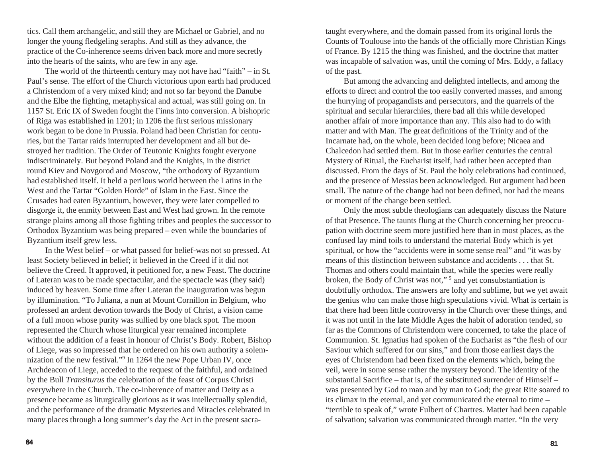tics. Call them archangelic, and still they are Michael or Gabriel, and no longer the young fledgeling seraphs. And still as they advance, the practice of the Co-inherence seems driven back more and more secretly into the hearts of the saints, who are few in any age.

The world of the thirteenth century may not have had "faith" – in St. Paul's sense. The effort of the Church victorious upon earth had produced a Christendom of a very mixed kind; and not so far beyond the Danube and the Elbe the fighting, metaphysical and actual, was still going on. In 1157 St. Eric IX of Sweden fought the Finns into conversion. A bishopric of Riga was established in 1201; in 1206 the first serious missionary work began to be done in Prussia. Poland had been Christian for centuries, but the Tartar raids interrupted her development and all but destroyed her tradition. The Order of Teutonic Knights fought everyone indiscriminately. But beyond Poland and the Knights, in the district round Kiev and Novgorod and Moscow, "the orthodoxy of Byzantium had established itself. It held a perilous world between the Latins in the West and the Tartar "Golden Horde" of Islam in the East. Since the Crusades had eaten Byzantium, however, they were later compelled to disgorge it, the enmity between East and West had grown. In the remote strange plains among all those fighting tribes and peoples the successor to Orthodox Byzantium was being prepared – even while the boundaries of Byzantium itself grew less.

In the West belief – or what passed for belief-was not so pressed. At least Society believed in belief; it believed in the Creed if it did not believe the Creed. It approved, it petitioned for, a new Feast. The doctrine of Lateran was to be made spectacular, and the spectacle was (they said) induced by heaven. Some time after Lateran the inauguration was begun by illumination. "To Juliana, a nun at Mount Cornillon in Belgium, who professed an ardent devotion towards the Body of Christ, a vision came of a full moon whose purity was sullied by one black spot. The moon represented the Church whose liturgical year remained incomplete without the addition of a feast in honour of Christ's Body. Robert, Bishop of Liege, was so impressed that he ordered on his own authority a solemnization of the new festival."9 In 1264 the new Pope Urban IV, once Archdeacon of Liege, acceded to the request of the faithful, and ordained by the Bull *Transiturus* the celebration of the feast of Corpus Christi everywhere in the Church. The co-inherence of matter and Deity as a presence became as liturgically glorious as it was intellectually splendid, and the performance of the dramatic Mysteries and Miracles celebrated in many places through a long summer's day the Act in the present sacra-

taught everywhere, and the domain passed from its original lords the Counts of Toulouse into the hands of the officially more Christian Kings of France. By 1215 the thing was finished, and the doctrine that matter was incapable of salvation was, until the coming of Mrs. Eddy, a fallacy of the past.

But among the advancing and delighted intellects, and among the efforts to direct and control the too easily converted masses, and among the hurrying of propagandists and persecutors, and the quarrels of the spiritual and secular hierarchies, there bad all this while developed another affair of more importance than any. This also had to do with matter and with Man. The great definitions of the Trinity and of the Incarnate had, on the whole, been decided long before; Nicaea and Chalcedon had settled them. But in those earlier centuries the central Mystery of Ritual, the Eucharist itself, had rather been accepted than discussed. From the days of St. Paul the holy celebrations had continued, and the presence of Messias been acknowledged. But argument had been small. The nature of the change had not been defined, nor had the means or moment of the change been settled.

Only the most subtle theologians can adequately discuss the Nature of that Presence. The taunts flung at the Church concerning her preoccupation with doctrine seem more justified here than in most places, as the confused lay mind toils to understand the material Body which is yet spiritual, or how the "accidents were in some sense real" and "it was by means of this distinction between substance and accidents . . . that St. Thomas and others could maintain that, while the species were really broken, the Body of Christ was not," 5 and yet consubstantiation is doubtfully orthodox. The answers are lofty and sublime, but we yet await the genius who can make those high speculations vivid. What is certain is that there had been little controversy in the Church over these things, and it was not until in the late Middle Ages the habit of adoration tended, so far as the Commons of Christendom were concerned, to take the place of Communion. St. Ignatius had spoken of the Eucharist as "the flesh of our Saviour which suffered for our sins," and from those earliest days the eyes of Christendom had been fixed on the elements which, being the veil, were in some sense rather the mystery beyond. The identity of the substantial Sacrifice – that is, of the substituted surrender of Himself – was presented by God to man and by man to God; the great Rite soared to its climax in the eternal, and yet communicated the eternal to time – "terrible to speak of," wrote Fulbert of Chartres. Matter had been capable of salvation; salvation was communicated through matter. "In the very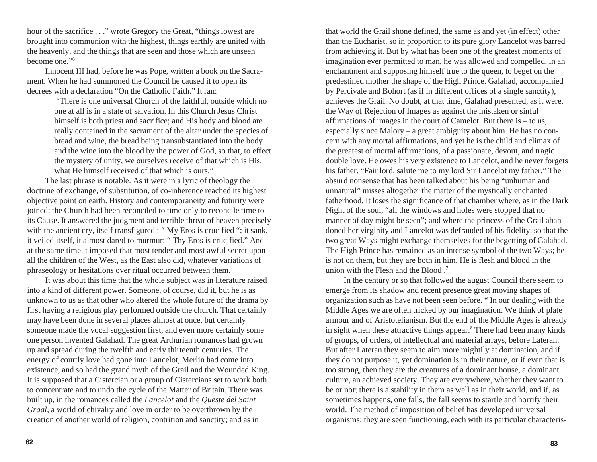hour of the sacrifice . . ." wrote Gregory the Great, "things lowest are brought into communion with the highest, things earthly are united with the heavenly, and the things that are seen and those which are unseen become one."6

Innocent III had, before he was Pope, written a book on the Sacrament. When he had summoned the Council he caused it to open its decrees with a declaration "On the Catholic Faith." It ran:

> "There is one universal Church of the faithful, outside which no one at all is in a state of salvation. In this Church Jesus Christ himself is both priest and sacrifice; and His body and blood are really contained in the sacrament of the altar under the species of bread and wine, the bread being transubstantiated into the body and the wine into the blood by the power of God, so that, to effect the mystery of unity, we ourselves receive of that which is His, what He himself received of that which is ours."

The last phrase is notable. As it were in a lyric of theology the doctrine of exchange, of substitution, of co-inherence reached its highest objective point on earth. History and contemporaneity and futurity were joined; the Church had been reconciled to time only to reconcile time to its Cause. It answered the judgment and terrible threat of heaven precisely with the ancient cry, itself transfigured : "My Eros is crucified "; it sank, it veiled itself, it almost dared to murmur: " Thy Eros is crucified." And at the same time it imposed that most tender and most awful secret upon all the children of the West, as the East also did, whatever variations of phraseology or hesitations over ritual occurred between them.

It was about this time that the whole subject was in literature raised into a kind of different power. Someone, of course, did it, but he is as unknown to us as that other who altered the whole future of the drama by first having a religious play performed outside the church. That certainly may have been done in several places almost at once, but certainly someone made the vocal suggestion first, and even more certainly some one person invented Galahad. The great Arthurian romances had grown up and spread during the twelfth and early thirteenth centuries. The energy of courtly love had gone into Lancelot, Merlin had come into existence, and so had the grand myth of the Grail and the Wounded King. It is supposed that a Cistercian or a group of Cistercians set to work both to concentrate and to undo the cycle of the Matter of Britain. There was built up, in the romances called the *Lancelot* and the *Queste del Saint Graal,* a world of chivalry and love in order to be overthrown by the creation of another world of religion, contrition and sanctity; and as in

that world the Grail shone defined, the same as and yet (in effect) other than the Eucharist, so in proportion to its pure glory Lancelot was barred from achieving it. But by what has been one of the greatest moments of imagination ever permitted to man, he was allowed and compelled, in an enchantment and supposing himself true to the queen, to beget on the predestined mother the shape of the High Prince. Galahad, accompanied by Percivale and Bohort (as if in different offices of a single sanctity), achieves the Grail. No doubt, at that time, Galahad presented, as it were, the Way of Rejection of Images as against the mistaken or sinful affirmations of images in the court of Camelot. But there is – to us, especially since Malory – a great ambiguity about him. He has no concern with any mortal affirmations, and yet he is the child and climax of the greatest of mortal affirmations, of a passionate, devout, and tragic double love. He owes his very existence to Lancelot, and he never forgets his father. "Fair lord, salute me to my lord Sir Lancelot my father." The absurd nonsense that has been talked about his being "unhuman and unnatural" misses altogether the matter of the mystically enchanted fatherhood. It loses the significance of that chamber where, as in the Dark Night of the soul, "all the windows and holes were stopped that no manner of day might be seen"; and where the princess of the Grail abandoned her virginity and Lancelot was defrauded of his fidelity, so that the two great Ways might exchange themselves for the begetting of Galahad. The High Prince has remained as an intense symbol of the two Ways; he is not on them, but they are both in him. He is flesh and blood in the union with the Flesh and the Blood .<sup>7</sup>

In the century or so that followed the august Council there seem to emerge from its shadow and recent presence great moving shapes of organization such as have not been seen before. " In our dealing with the Middle Ages we are often tricked by our imagination. We think of plate armour and of Aristotelianism. But the end of the Middle Ages is already in sight when these attractive things appear.<sup>8</sup> There had been many kinds of groups, of orders, of intellectual and material arrays, before Lateran. But after Lateran they seem to aim more mightily at domination, and if they do not purpose it, yet domination is in their nature, or if even that is too strong, then they are the creatures of a dominant house, a dominant culture, an achieved society. They are everywhere, whether they want to be or not; there is a stability in them as well as in their world, and if, as sometimes happens, one falls, the fall seems to startle and horrify their world. The method of imposition of belief has developed universal organisms; they are seen functioning, each with its particular characteris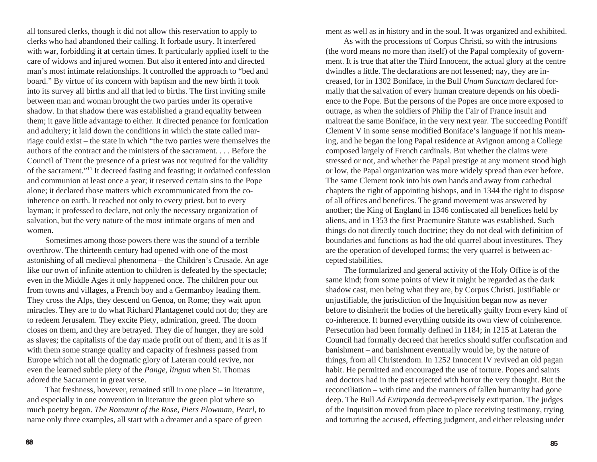all tonsured clerks, though it did not allow this reservation to apply to clerks who had abandoned their calling. It forbade usury. It interfered with war, forbidding it at certain times. It particularly applied itself to the care of widows and injured women. But also it entered into and directed man's most intimate relationships. It controlled the approach to "bed and board." By virtue of its concern with baptism and the new birth it took into its survey all births and all that led to births. The first inviting smile between man and woman brought the two parties under its operative shadow. In that shadow there was established a grand equality between them; it gave little advantage to either. It directed penance for fornication and adultery; it laid down the conditions in which the state called marriage could exist – the state in which "the two parties were themselves the authors of the contract and the ministers of the sacrament. . . . Before the Council of Trent the presence of a priest was not required for the validity of the sacrament."11 It decreed fasting and feasting; it ordained confession and communion at least once a year; it reserved certain sins to the Pope alone; it declared those matters which excommunicated from the coinherence on earth. It reached not only to every priest, but to every layman; it professed to declare, not only the necessary organization of salvation, but the very nature of the most intimate organs of men and women.

Sometimes among those powers there was the sound of a terrible overthrow. The thirteenth century had opened with one of the most astonishing of all medieval phenomena – the Children's Crusade. An age like our own of infinite attention to children is defeated by the spectacle; even in the Middle Ages it only happened once. The children pour out from towns and villages, a French boy and a Germanboy leading them. They cross the Alps, they descend on Genoa, on Rome; they wait upon miracles. They are to do what Richard Plantagenet could not do; they are to redeem Jerusalem. They excite Piety, admiration, greed. The doom closes on them, and they are betrayed. They die of hunger, they are sold as slaves; the capitalists of the day made profit out of them, and it is as if with them some strange quality and capacity of freshness passed from Europe which not all the dogmatic glory of Lateran could revive, nor even the learned subtle piety of the *Pange, lingua* when St. Thomas adored the Sacrament in great verse.

That freshness, however, remained still in one place – in literature, and especially in one convention in literature the green plot where so much poetry began. *The Romaunt of the Rose, Piers Plowman, Pearl,* to name only three examples, all start with a dreamer and a space of green

ment as well as in history and in the soul. It was organized and exhibited.

As with the processions of Corpus Christi, so with the intrusions (the word means no more than itself) of the Papal complexity of government. It is true that after the Third Innocent, the actual glory at the centre dwindles a little. The declarations are not lessened; nay, they are increased, for in 1302 Boniface, in the Bull *Unam Sanctam* declared formally that the salvation of every human creature depends on his obedience to the Pope. But the persons of the Popes are once more exposed to outrage, as when the soldiers of Philip the Fair of France insult and maltreat the same Boniface, in the very next year. The succeeding Pontiff Clement V in some sense modified Boniface's language if not his meaning, and he began the long Papal residence at Avignon among a College composed largely of French cardinals. But whether the claims were stressed or not, and whether the Papal prestige at any moment stood high or low, the Papal organization was more widely spread than ever before. The same Clement took into his own hands and away from cathedral chapters the right of appointing bishops, and in 1344 the right to dispose of all offices and benefices. The grand movement was answered by another; the King of England in 1346 confiscated all benefices held by aliens, and in 1353 the first Praemunire Statute was established. Such things do not directly touch doctrine; they do not deal with definition of boundaries and functions as had the old quarrel about investitures. They are the operation of developed forms; the very quarrel is between accepted stabilities.

The formularized and general activity of the Holy Office is of the same kind; from some points of view it might be regarded as the dark shadow cast, men being what they are, by Corpus Christi. justifiable or unjustifiable, the jurisdiction of the Inquisition began now as never before to disinherit the bodies of the heretically guilty from every kind of co-inherence. It burned everything outside its own view of coinherence. Persecution had been formally defined in 1184; in 1215 at Lateran the Council had formally decreed that heretics should suffer confiscation and banishment – and banishment eventually would be, by the nature of things, from all Christendom. In 1252 Innocent IV revived an old pagan habit. He permitted and encouraged the use of torture. Popes and saints and doctors had in the past rejected with horror the very thought. But the reconciliation – with time and the manners of fallen humanity had gone deep. The Bull *Ad Extirpanda* decreed-precisely extirpation. The judges of the Inquisition moved from place to place receiving testimony, trying and torturing the accused, effecting judgment, and either releasing under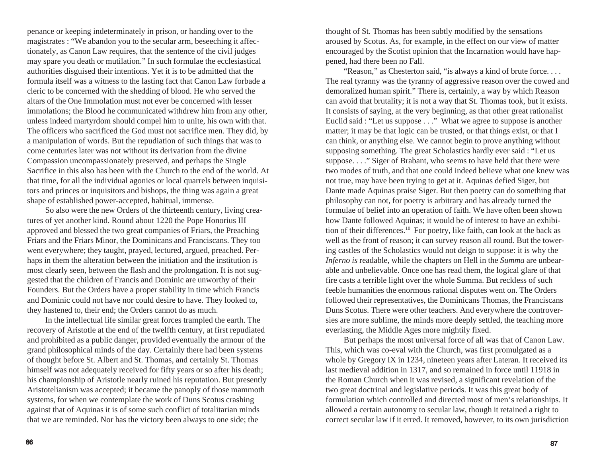penance or keeping indeterminately in prison, or handing over to the magistrates : "We abandon you to the secular arm, beseeching it affectionately, as Canon Law requires, that the sentence of the civil judges may spare you death or mutilation." In such formulae the ecclesiastical authorities disguised their intentions. Yet it is to be admitted that the formula itself was a witness to the lasting fact that Canon Law forbade a cleric to be concerned with the shedding of blood. He who served the altars of the One Immolation must not ever be concerned with lesser immolations; the Blood he communicated withdrew him from any other, unless indeed martyrdom should compel him to unite, his own with that. The officers who sacrificed the God must not sacrifice men. They did, by a manipulation of words. But the repudiation of such things that was to come centuries later was not without its derivation from the divine Compassion uncompassionately preserved, and perhaps the Single Sacrifice in this also has been with the Church to the end of the world. At that time, for all the individual agonies or local quarrels between inquisitors and princes or inquisitors and bishops, the thing was again a great shape of established power-accepted, habitual, immense.

So also were the new Orders of the thirteenth century, living creatures of yet another kind. Round about 1220 the Pope Honorius III approved and blessed the two great companies of Friars, the Preaching Friars and the Friars Minor, the Dominicans and Franciscans. They too went everywhere; they taught, prayed, lectured, argued, preached. Perhaps in them the alteration between the initiation and the institution is most clearly seen, between the flash and the prolongation. It is not suggested that the children of Francis and Dominic are unworthy of their Founders. But the Orders have a proper stability in time which Francis and Dominic could not have nor could desire to have. They looked to, they hastened to, their end; the Orders cannot do as much.

In the intellectual life similar great forces trampled the earth. The recovery of Aristotle at the end of the twelfth century, at first repudiated and prohibited as a public danger, provided eventually the armour of the grand philosophical minds of the day. Certainly there had been systems of thought before St. Albert and St. Thomas, and certainly St. Thomas himself was not adequately received for fifty years or so after his death; his championship of Aristotle nearly ruined his reputation. But presently Aristotelianism was accepted; it became the panoply of those mammoth systems, for when we contemplate the work of Duns Scotus crashing against that of Aquinas it is of some such conflict of totalitarian minds that we are reminded. Nor has the victory been always to one side; the

thought of St. Thomas has been subtly modified by the sensations aroused by Scotus. As, for example, in the effect on our view of matter encouraged by the Scotist opinion that the Incarnation would have happened, had there been no Fall.

"Reason," as Chesterton said, "is always a kind of brute force.... The real tyranny was the tyranny of aggressive reason over the cowed and demoralized human spirit." There is, certainly, a way by which Reason can avoid that brutality; it is not a way that St. Thomas took, but it exists. It consists of saying, at the very beginning, as that other great rationalist Euclid said : "Let us suppose . . ." What we agree to suppose is another matter; it may be that logic can be trusted, or that things exist, or that I can think, or anything else. We cannot begin to prove anything without supposing something. The great Scholastics hardly ever said : "Let us suppose. . . ." Siger of Brabant, who seems to have held that there were two modes of truth, and that one could indeed believe what one knew was not true, may have been trying to get at it. Aquinas defied Siger, but Dante made Aquinas praise Siger. But then poetry can do something that philosophy can not, for poetry is arbitrary and has already turned the formulae of belief into an operation of faith. We have often been shown how Dante followed Aquinas; it would be of interest to have an exhibition of their differences.10 For poetry, like faith, can look at the back as well as the front of reason; it can survey reason all round. But the towering castles of the Scholastics would not deign to suppose: it is why the *Inferno is* readable, while the chapters on Hell in the *Summa* are unbearable and unbelievable. Once one has read them, the logical glare of that fire casts a terrible light over the whole Summa. But reckless of such feeble humanities the enormous rational disputes went on. The Orders followed their representatives, the Dominicans Thomas, the Franciscans Duns Scotus. There were other teachers. And everywhere the controversies are more sublime, the minds more deeply settled, the teaching more everlasting, the Middle Ages more mightily fixed.

But perhaps the most universal force of all was that of Canon Law. This, which was co-eval with the Church, was first promulgated as a whole by Gregory IX in 1234, nineteen years after Lateran. It received its last medieval addition in 1317, and so remained in force until 11918 in the Roman Church when it was revised, a significant revelation of the two great doctrinal and legislative periods. It was this great body of formulation which controlled and directed most of men's relationships. It allowed a certain autonomy to secular law, though it retained a right to correct secular law if it erred. It removed, however, to its own jurisdiction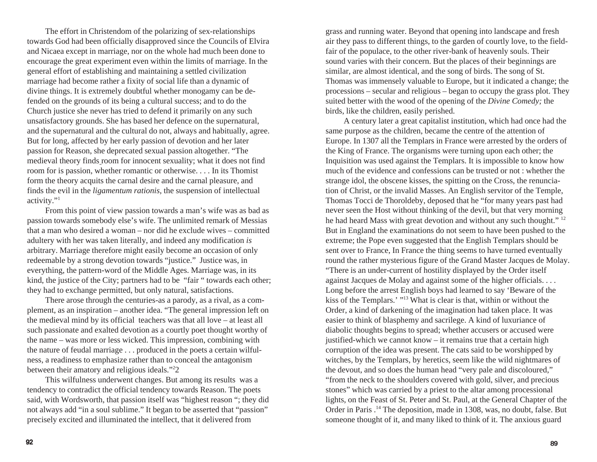The effort in Christendom of the polarizing of sex-relationships towards God had been officially disapproved since the Councils of Elvira and Nicaea except in marriage, nor on the whole had much been done to encourage the great experiment even within the limits of marriage. In the general effort of establishing and maintaining a settled civilization marriage had become rather a fixity of social life than a dynamic of divine things. It is extremely doubtful whether monogamy can be defended on the grounds of its being a cultural success; and to do the Church justice she never has tried to defend it primarily on any such unsatisfactory grounds. She has based her defence on the supernatural, and the supernatural and the cultural do not, always and habitually, agree. But for long, affected by her early passion of devotion and her later passion for Reason, she deprecated sexual passion altogether. "The medieval theory finds room for innocent sexuality; what it does not find room for is passion, whether romantic or otherwise. . . . In its Thomist form the theory acquits the carnal desire and the carnal pleasure, and finds the evil in the *ligamentum rationis,* the suspension of intellectual activity."1

From this point of view passion towards a man's wife was as bad as passion towards somebody else's wife. The unlimited remark of Messias that a man who desired a woman – nor did he exclude wives – committed adultery with her was taken literally, and indeed any modification *is* arbitrary. Marriage therefore might easily become an occasion of only redeemable by a strong devotion towards "justice." Justice was, in everything, the pattern-word of the Middle Ages. Marriage was, in its kind, the justice of the City; partners had to be "fair " towards each other; they had to exchange permitted, but only natural, satisfactions.

There arose through the centuries-as a parody, as a rival, as a complement, as an inspiration – another idea. "The general impression left on the medieval mind by its official teachers was that all love – at least all such passionate and exalted devotion as a courtly poet thought worthy of the name – was more or less wicked. This impression, combining with the nature of feudal marriage . . . produced in the poets a certain wilfulness, a readiness to emphasize rather than to conceal the antagonism between their amatory and religious ideals."22

This wilfulness underwent changes. But among its results was a tendency to contradict the official tendency towards Reason. The poets said, with Wordsworth, that passion itself was "highest reason "; they did not always add "in a soul sublime." It began to be asserted that "passion" precisely excited and illuminated the intellect, that it delivered from

grass and running water. Beyond that opening into landscape and fresh air they pass to different things, to the garden of courtly love, to the fieldfair of the populace, to the other river-bank of heavenly souls. Their sound varies with their concern. But the places of their beginnings are similar, are almost identical, and the song of birds. The song of St. Thomas was immensely valuable to Europe, but it indicated a change; the processions – secular and religious – began to occupy the grass plot. They suited better with the wood of the opening of the *Divine Comedy;* the birds, like the children, easily perished.

A century later a great capitalist institution, which had once had the same purpose as the children, became the centre of the attention of Europe. In 1307 all the Templars in France were arrested by the orders of the King of France. The organisms were turning upon each other; the Inquisition was used against the Templars. It is impossible to know how much of the evidence and confessions can be trusted or not : whether the strange idol, the obscene kisses, the spitting on the Cross, the renunciation of Christ, or the invalid Masses. An English servitor of the Temple, Thomas Tocci de Thoroldeby, deposed that he "for many years past had never seen the Host without thinking of the devil, but that very morning he had heard Mass with great devotion and without any such thought." 12 But in England the examinations do not seem to have been pushed to the extreme; the Pope even suggested that the English Templars should be sent over to France, In France the thing seems to have turned eventually round the rather mysterious figure of the Grand Master Jacques de Molay. "There is an under-current of hostility displayed by the Order itself against Jacques de Molay and against some of the higher officials. . . . Long before the arrest English boys had learned to say 'Beware of the kiss of the Templars.' "13 What is clear is that, within or without the Order, a kind of darkening of the imagination had taken place. It was easier to think of blasphemy and sacrilege. A kind of luxuriance of diabolic thoughts begins to spread; whether accusers or accused were justified-which we cannot know – it remains true that a certain high corruption of the idea was present. The cats said to be worshipped by witches, by the Templars, by heretics, seem like the wild nightmares of the devout, and so does the human head "very pale and discoloured," "from the neck to the shoulders covered with gold, silver, and precious stones" which was carried by a priest to the altar among processional lights, on the Feast of St. Peter and St. Paul, at the General Chapter of the Order in Paris .14 The deposition, made in 1308, was, no doubt, false. But someone thought of it, and many liked to think of it. The anxious guard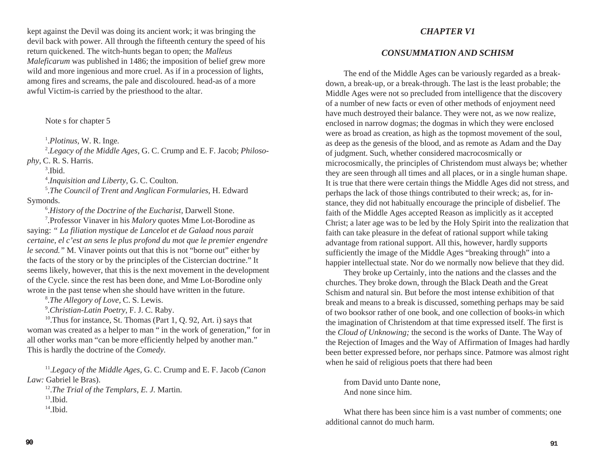kept against the Devil was doing its ancient work; it was bringing the devil back with power. All through the fifteenth century the speed of his return quickened. The witch-hunts began to open; the *Malleus Maleficarum* was published in 1486; the imposition of belief grew more wild and more ingenious and more cruel. As if in a procession of lights, among fires and screams, the pale and discoloured. head-as of a more awful Victim-is carried by the priesthood to the altar.

Note s for chapter 5

1 .*Plotinus,* W. R. Inge*.*

2 .*Legacy of the Middle Ages,* G. C. Crump and E. F. Jacob; *Philosophy,* C. R. S. Harris.

3.Ibid.

4 .*Inquisition and Liberty,* G. C. Coulton.

5 .*The Council of Trent and Anglican Formularies,* H. Edward Symonds.

6 .*History of the Doctrine of the Eucharist,* Darwell Stone.

7.Professor Vinaver in his *Malory* quotes Mme Lot-Borodine as saying: *" La filiation mystique de Lancelot et de Galaad nous parait certaine, el c'est an sens le plus profond du mot que le premier engendre le second."* M. Vinaver points out that this is not "borne out" either by the facts of the story or by the principles of the Cistercian doctrine." It seems likely, however, that this is the next movement in the development of the Cycle. since the rest has been done, and Mme Lot-Borodine only wrote in the past tense when she should have written in the future.

8 .*The Allegory of Love,* C. S. Lewis.

9 .*Christian-Latin Poetry,* F. J. C. Raby.

10.Thus for instance, St. Thomas (Part 1, Q. 92, Art. i) says that woman was created as a helper to man " in the work of generation," for in all other works man "can be more efficiently helped by another man." This is hardly the doctrine of the *Comedy.*

11.*Legacy of the Middle Ages,* G. C. Crump and E. F. Jacob *(Canon Law:* Gabriel le Bras).

12.*The Trial of the Templars, E. J.* Martin.  $13$ . Ibid.  $14$ . Ibid.

# *CHAPTER V1*

# *CONSUMMATION AND SCHISM*

The end of the Middle Ages can be variously regarded as a breakdown, a break-up, or a break-through. The last is the least probable; the Middle Ages were not so precluded from intelligence that the discovery of a number of new facts or even of other methods of enjoyment need have much destroyed their balance. They were not, as we now realize, enclosed in narrow dogmas; the dogmas in which they were enclosed were as broad as creation, as high as the topmost movement of the soul, as deep as the genesis of the blood, and as remote as Adam and the Day of judgment. Such, whether considered macrocosmically or microcosmically, the principles of Christendom must always be; whether they are seen through all times and all places, or in a single human shape. It is true that there were certain things the Middle Ages did not stress, and perhaps the lack of those things contributed to their wreck; as, for instance, they did not habitually encourage the principle of disbelief. The faith of the Middle Ages accepted Reason as implicitly as it accepted Christ; a later age was to be led by the Holy Spirit into the realization that faith can take pleasure in the defeat of rational support while taking advantage from rational support. All this, however, hardly supports sufficiently the image of the Middle Ages "breaking through" into a happier intellectual state. Nor do we normally now believe that they did.

They broke up Certainly, into the nations and the classes and the churches. They broke down, through the Black Death and the Great Schism and natural sin. But before the most intense exhibition of that break and means to a break is discussed, something perhaps may be said of two booksor rather of one book, and one collection of books-in which the imagination of Christendom at that time expressed itself. The first is the *Cloud of Unknowing;* the second is the works of Dante. The Way of the Rejection of Images and the Way of Affirmation of Images had hardly been better expressed before, nor perhaps since. Patmore was almost right when he said of religious poets that there had been

from David unto Dante none, And none since him.

What there has been since him is a vast number of comments; one additional cannot do much harm.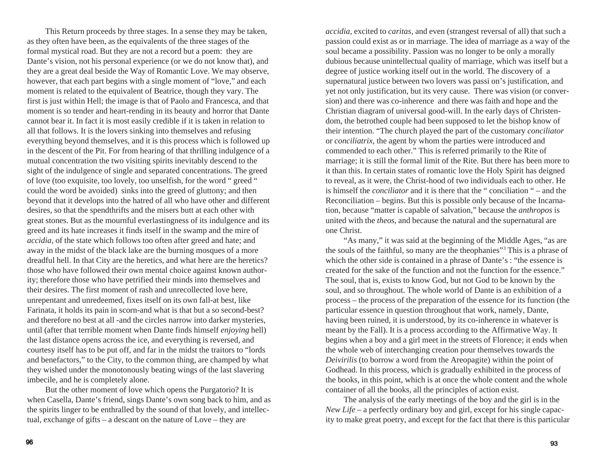This Return proceeds by three stages. In a sense they may be taken, as they often have been, as the equivalents of the three stages of the formal mystical road. But they are not a record but a poem: they are Dante's vision, not his personal experience (or we do not know that), and they are a great deal beside the Way of Romantic Love. We may observe, however, that each part begins with a single moment of "love," and each moment is related to the equivalent of Beatrice, though they vary. The first is just within Hell; the image is that of Paolo and Francesca, and that moment is so tender and heart-rending in its beauty and horror that Dante cannot bear it. In fact it is most easily credible if it is taken in relation to all that follows. It is the lovers sinking into themselves and refusing everything beyond themselves, and it is this process which is followed up in the descent of the Pit. For from hearing of that thrilling indulgence of a mutual concentration the two visiting spirits inevitably descend to the sight of the indulgence of single and separated concentrations. The greed of love (too exquisite, too lovely, too unselfish, for the word " greed " could the word be avoided) sinks into the greed of gluttony; and then beyond that it develops into the hatred of all who have other and different desires, so that the spendthrifts and the misers butt at each other with great stones. But as the mournful everlastingness of its indulgence and its greed and its hate increases it finds itself in the swamp and the mire of *accidia,* of the state which follows too often after greed and hate; and away in the midst of the black lake are the burning mosques of a more dreadful hell. In that City are the heretics, and what here are the heretics? those who have followed their own mental choice against known authority; therefore those who have petrified their minds into themselves and their desires. The first moment of rash and unrecollected love here, unrepentant and unredeemed, fixes itself on its own fall-at best, like Farinata, it holds its pain in scorn-and what is that but a so second-best? and therefore no best at all -and the circles narrow into darker mysteries, until (after that terrible moment when Dante finds himself *enjoying* hell) the last distance opens across the ice, and everything is reversed, and courtesy itself has to be put off, and far in the midst the traitors to "lords and benefactors," to the City, to the common thing, are champed by what they wished under the monotonously beating wings of the last slavering imbecile, and he is completely alone.

But the other moment of love which opens the Purgatorio? It is when Casella, Dante's friend, sings Dante's own song back to him, and as the spirits linger to be enthralled by the sound of that lovely, and intellectual, exchange of gifts – a descant on the nature of Love – they are

*accidia*, excited to *caritas*, and even (strangest reversal of all) that such a passion could exist as or in marriage. The idea of marriage as a way of the soul became a possibility. Passion was no longer to be only a morally dubious because unintellectual quality of marriage, which was itself but a degree of justice working itself out in the world. The discovery of a supernatural justice between two lovers was passi on's justification, and yet not only justification, but its very cause. There was vision (or conversion) and there was co-inherence and there was faith and hope and the Christian diagram of universal good-will. In the early days of Christendom, the betrothed couple had been supposed to let the bishop know of their intention. "The church played the part of the customary *conciliator* or *conciliatrix*, the agent by whom the parties were introduced and commended to each other." This is referred primarily to the Rite of marriage; it is still the formal limit of the Rite. But there has been more to it than this. In certain states of romantic love the Holy Spirit has deigned to reveal, as it were, the Christ-hood of two individuals each to other. He is himself the *conciliator* and it is there that the " conciliation " – and the Reconciliation – begins. But this is possible only because of the Incarnation, because "matter is capable of salvation," because the *anthropos* is united with the *theos*, and because the natural and the supernatural are one Christ.

"As many," it was said at the beginning of the Middle Ages, "as are the souls of the faithful, so many are the theophanies"3 This is a phrase of which the other side is contained in a phrase of Dante's : "the essence is created for the sake of the function and not the function for the essence." The soul, that is, exists to know God, but not God to be known by the soul, and so throughout. The whole world of Dante is an exhibition of a process – the process of the preparation of the essence for its function (the particular essence in question throughout that work, namely, Dante, having been ruined, it is understood, by its co-inherence in whatever is meant by the Fall). It is a process according to the Affirmative Way. It begins when a boy and a girl meet in the streets of Florence; it ends when the whole web of interchanging creation pour themselves towards the *Deivirilis* (to borrow a word from the Areopagite) within the point of Godhead. In this process, which is gradually exhibited in the process of the books, in this point, which is at once the whole content and the whole container of all the books, all the principles of action exist.

The analysis of the early meetings of the boy and the girl is in the *New Life* – a perfectly ordinary boy and girl, except for his single capacity to make great poetry, and except for the fact that there is this particular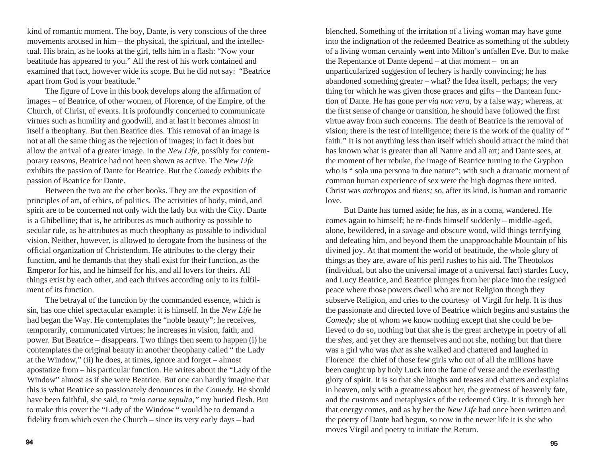kind of romantic moment. The boy, Dante, is very conscious of the three movements aroused in him – the physical, the spiritual, and the intellectual. His brain, as he looks at the girl, tells him in a flash: "Now your beatitude has appeared to you." All the rest of his work contained and examined that fact, however wide its scope. But he did not say: "Beatrice apart from God is your beatitude."

The figure of Love in this book develops along the affirmation of images – of Beatrice, of other women, of Florence, of the Empire, of the Church, of Christ, of events. It is profoundly concerned to communicate virtues such as humility and goodwill, and at last it becomes almost in itself a tbeophany. But then Beatrice dies. This removal of an image is not at all the same thing as the rejection of images; in fact it does but allow the arrival of a greater image. In the *New Life,* possibly for contemporary reasons, Beatrice had not been shown as active. The *New Life* exhibits the passion of Dante for Beatrice. But the *Comedy* exhibits the passion of Beatrice for Dante.

Between the two are the other books. They are the exposition of principles of art, of ethics, of politics. The activities of body, mind, and spirit are to be concerned not only with the lady but with the City. Dante is a Ghibelline; that is, he attributes as much authority as possible to secular rule, as he attributes as much theophany as possible to individual vision. Neither, however, is allowed to derogate from the business of the official organization of Christendom. He attributes to the clergy their function, and he demands that they shall exist for their function, as the Emperor for his, and he himself for his, and all lovers for theirs. All things exist by each other, and each thrives according only to its fulfilment of its function.

The betrayal of the function by the commanded essence, which is sin, has one chief spectacular example: it is himself. In the *New Life* he had began the Way. He contemplates the "noble beauty"; he receives, temporarily, communicated virtues; he increases in vision, faith, and power. But Beatrice – disappears. Two things then seem to happen (i) he contemplates the original beauty in another theophany called " the Lady at the Window," (ii) he does, at times, ignore and forget – almost apostatize from – his particular function. He writes about the "Lady of the Window" almost as if she were Beatrice. But one can hardly imagine that this is what Beatrice so passionately denounces in the *Comedy.* He should have been faithful, she said, to "*mia carne sepulta,"* my buried flesh. But to make this cover the "Lady of the Window " would be to demand a fidelity from which even the Church – since its very early days – had

blenched. Something of the irritation of a living woman may have gone into the indignation of the redeemed Beatrice as something of the subtlety of a living woman certainly went into Milton's unfallen Eve. But to make the Repentance of Dante depend – at that moment – on an unparticularized suggestion of lechery is hardly convincing; he has abandoned something greater – what? the Idea itself, perhaps; the very thing for which he was given those graces and gifts – the Dantean function of Dante. He has gone *per via non vera,* by a false way; whereas, at the first sense of change or transition, he should have followed the first virtue away from such concerns. The death of Beatrice is the removal of vision; there is the test of intelligence; there is the work of the quality of " faith." It is not anything less than itself which should attract the mind that has known what is greater than all Nature and all art; and Dante sees, at the moment of her rebuke, the image of Beatrice turning to the Gryphon who is " sola una persona in due nature"; with such a dramatic moment of common human experience of sex were the high dogmas there united. Christ was *anthropos* and *theos;* so, after its kind, is human and romantic love.

But Dante has turned aside; he has, as in a coma, wandered. He comes again to himself; he re-finds himself suddenly – middle-aged, alone, bewildered, in a savage and obscure wood, wild things terrifying and defeating him, and beyond them the unapproachable Mountain of his divined joy. At that moment the world of beatitude, the whole glory of things as they are, aware of his peril rushes to his aid. The Theotokos (individual, but also the universal image of a universal fact) startles Lucy, and Lucy Beatrice, and Beatrice plunges from her place into the resigned peace where those powers dwell who are not Religion though they subserve Religion, and cries to the courtesy of Virgil for help. It is thus the passionate and directed love of Beatrice which begins and sustains the *Comedy*; she of whom we know nothing except that she could be believed to do so, nothing but that she is the great archetype in poetry of all the *shes,* and yet they are themselves and not she, nothing but that there was a girl who was *that* as she walked and chattered and laughed in Florence the chief of those few girls who out of all the millions have been caught up by holy Luck into the fame of verse and the everlasting glory of spirit. It is so that she laughs and teases and chatters and explains in heaven, only with a greatness about her, the greatness of heavenly fate, and the customs and metaphysics of the redeemed City. It is through her that energy comes, and as by her the *New Life* had once been written and the poetry of Dante had begun, so now in the newer life it is she who moves Virgil and poetry to initiate the Return.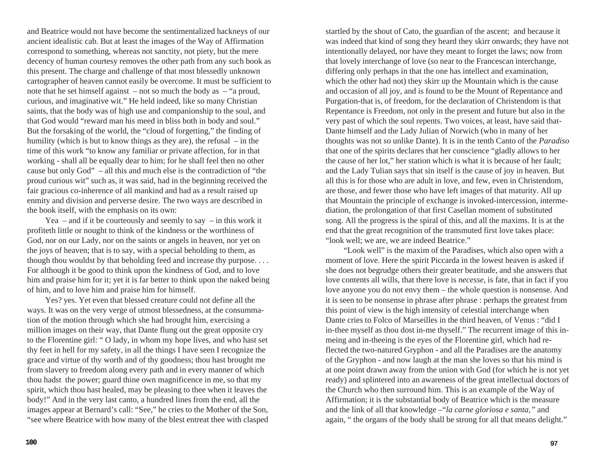and Beatrice would not have become the sentimentalized hackneys of our ancient idealistic cab. But at least the images of the Way of Affirmation correspond to something, whereas not sanctity, not piety, but the mere decency of human courtesy removes the other path from any such book as this present. The charge and challenge of that most blessedly unknown cartographer of heaven cannot easily be overcome. It must be sufficient to note that he set himself against – not so much the body as – "a proud, curious, and imaginative wit." He held indeed, like so many Christian saints, that the body was of high use and companionship to the soul, and that God would "reward man his meed in bliss both in body and soul." But the forsaking of the world, the "cloud of forgetting," the finding of humility (which is but to know things as they are), the refusal – in the time of this work "to know any familiar or private affection, for in that working - shall all be equally dear to him; for he shall feel then no other cause but only God" – all this and much else is the contradiction of "the proud curious wit" such as, it was said, had in the beginning received the fair gracious co-inherence of all mankind and had as a result raised up enmity and division and perverse desire. The two ways are described in the book itself, with the emphasis on its own:

Yea – and if it be courteously and seemly to say – in this work it profiteth little or nought to think of the kindness or the worthiness of God, nor on our Lady, nor on the saints or angels in heaven, nor yet on the joys of heaven; that is to say, with a special beholding to them, as though thou wouldst by that beholding feed and increase thy purpose. . . . For although it be good to think upon the kindness of God, and to love him and praise him for it; yet it is far better to think upon the naked being of him, and to love him and praise him for himself.

Yes? yes. Yet even that blessed creature could not define all the ways. It was on the very verge of utmost blessedness, at the consummation of the motion through which she had brought him, exercising a million images on their way, that Dante flung out the great opposite cry to the Florentine girl: " O lady, in whom my hope lives, and who hast set thy feet in hell for my safety, in all the things I have seen I recognize the grace and virtue of thy worth and of thy goodness; thou hast brought me from slavery to freedom along every path and in every manner of which thou hadst the power; guard thine own magnificence in me, so that my spirit, which thou hast healed, may be pleasing to thee when it leaves the body!" And in the very last canto, a hundred lines from the end, all the images appear at Bernard's call: "See," he cries to the Mother of the Son, "see where Beatrice with how many of the blest entreat thee with clasped startled by the shout of Cato, the guardian of the ascent; and because it was indeed that kind of song they heard they skirr onwards; they have not intentionally delayed, nor have they meant to forget the laws; now from that lovely interchange of love (so near to the Francescan interchange, differing only perhaps in that the one has intellect and examination, which the other had not) they skirr up the Mountain which is the cause and occasion of all joy, and is found to be the Mount of Repentance and Purgation-that is, of freedom, for the declaration of Christendom is that Repentance is Freedom, not only in the present and future but also in the very past of which the soul repents. Two voices, at least, have said that-Dante himself and the Lady Julian of Norwich (who in many of her thoughts was not so unlike Dante). It is in the tenth Canto of the *Paradiso* that one of the spirits declares that her conscience "gladly allows to her the cause of her lot," her station which is what it is because of her fault; and the Lady Tulian says that sin itself is the cause of joy in heaven. But all this is for those who are adult in love, and few, even in Christendom, are those, and fewer those who have left images of that maturity. All up that Mountain the principle of exchange is invoked-intercession, intermediation, the prolongation of that first Casellan moment of substituted song. All the progress is the spiral of this, and all the maxims. It is at the end that the great recognition of the transmuted first love takes place: "look well; we are, we are indeed Beatrice."

"Look well" is the maxim of the Paradises, which also open with a moment of love. Here the spirit Piccarda in the lowest heaven is asked if she does not begrudge others their greater beatitude, and she answers that love contents all wills, that there love is *necesse,* is fate, that in fact if you love anyone you do not envy them – the whole question is nonsense. And it is seen to be nonsense in phrase after phrase : perhaps the greatest from this point of view is the high intensity of celestial interchange when Dante cries to Folco of Marseilles in the third heaven, of Venus : "did I in-thee myself as thou dost in-me thyself." The recurrent image of this inmeing and in-theeing is the eyes of the Florentine girl, which had reflected the two-natured Gryphon - and all the Paradises are the anatomy of the Gryphon - and now laugh at the man she loves so that his mind is at one point drawn away from the union with God (for which he is not yet ready) and splintered into an awareness of the great intellectual doctors of the Church who then surround him. This is an example of the Way of Affirmation; it is the substantial body of Beatrice which is the measure and the link of all that knowledge –"*la carne gloriosa e santa,"* and again, " the organs of the body shall be strong for all that means delight."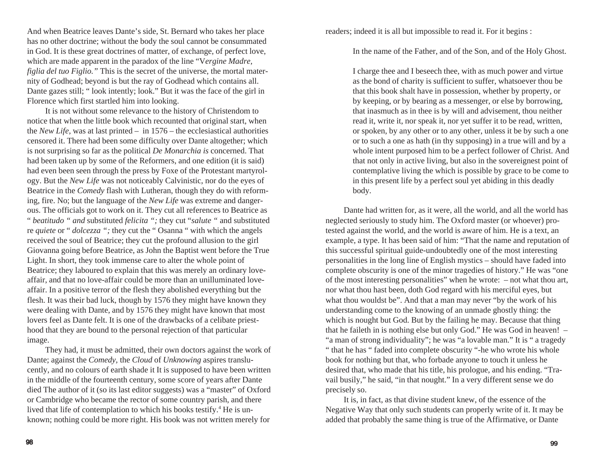And when Beatrice leaves Dante's side, St. Bernard who takes her place has no other doctrine; without the body the soul cannot be consummated in God. It is these great doctrines of matter, of exchange, of perfect love, which are made apparent in the paradox of the line "V*ergine Madre, figlia del tuo Figlio."* This is the secret of the universe, the mortal maternity of Godhead; beyond is but the ray of Godhead which contains all. Dante gazes still; " look intently; look." But it was the face of the girl in Florence which first startled him into looking.

It is not without some relevance to the history of Christendom to notice that when the little book which recounted that original start, when the *New Life,* was at last printed – in 1576 – the ecclesiastical authorities censored it. There had been some difficulty over Dante altogether; which is not surprising so far as the political *De Monarchia is* concerned. That had been taken up by some of the Reformers, and one edition (it is said) had even been seen through the press by Foxe of the Protestant martyrology. But the *New Life* was not noticeably Calvinistic, nor do the eyes of Beatrice in the *Comedy* flash with Lutheran, though they do with reforming, fire. No; but the language of the *New Life* was extreme and dangerous. The officials got to work on it. They cut all references to Beatrice as " *beatitudo " and* substituted *felicita ";* they cut "*salute "* and substituted re *quiete* or " *dolcezza ";* they cut the " Osanna " with which the angels received the soul of Beatrice; they cut the profound allusion to the girl Giovanna going before Beatrice, as John the Baptist went before the True Light. In short, they took immense care to alter the whole point of Beatrice; they laboured to explain that this was merely an ordinary loveaffair, and that no love-affair could be more than an unilluminated loveaffair. In a positive terror of the flesh they abolished everything but the flesh. It was their bad luck, though by 1576 they might have known they were dealing with Dante, and by 1576 they might have known that most lovers feel as Dante felt. It is one of the drawbacks of a celibate priesthood that they are bound to the personal rejection of that particular image.

They had, it must be admitted, their own doctors against the work of Dante; against the *Comedy,* the *Cloud* of *Unknowing* aspires translucently, and no colours of earth shade it It is supposed to have been written in the middle of the fourteenth century, some score of years after Dante died The author of it (so its last editor suggests) was a "master" of Oxford or Cambridge who became the rector of some country parish, and there lived that life of contemplation to which his books testify.<sup>4</sup> He is unknown; nothing could be more right. His book was not written merely for

readers; indeed it is all but impossible to read it. For it begins :

In the name of the Father, and of the Son, and of the Holy Ghost.

I charge thee and I beseech thee, with as much power and virtue as the bond of charity is sufficient to suffer, whatsoever thou be that this book shalt have in possession, whether by property, or by keeping, or by bearing as a messenger, or else by borrowing, that inasmuch as in thee is by will and advisement, thou neither read it, write it, nor speak it, nor yet suffer it to be read, written, or spoken, by any other or to any other, unless it be by such a one or to such a one as hath (in thy supposing) in a true will and by a whole intent purposed him to be a perfect follower of Christ. And that not only in active living, but also in the sovereignest point of contemplative living the which is possible by grace to be come to in this present life by a perfect soul yet abiding in this deadly body.

Dante had written for, as it were, all the world, and all the world has neglected seriously to study him. The Oxford master (or whoever) protested against the world, and the world is aware of him. He is a text, an example, a type. It has been said of him: "That the name and reputation of this successful spiritual guide-undoubtedly one of the most interesting personalities in the long line of English mystics – should have faded into complete obscurity is one of the minor tragedies of history." He was "one of the most interesting personalities" when he wrote: – not what thou art, nor what thou hast been, doth God regard with his merciful eyes, but what thou wouldst be". And that a man may never "by the work of his understanding come to the knowing of an unmade ghostly thing: the which is nought but God. But by the failing he may. Because that thing that he faileth in is nothing else but only God." He was God in heaven! – "a man of strong individuality"; he was "a lovable man." It is " a tragedy " that he has " faded into complete obscurity "-he who wrote his whole book for nothing but that, who forbade anyone to touch it unless he desired that, who made that his title, his prologue, and his ending. "Travail busily," he said, "in that nought." In a very different sense we do precisely so.

It is, in fact, as that divine student knew, of the essence of the Negative Way that only such students can properly write of it. It may be added that probably the same thing is true of the Affirmative, or Dante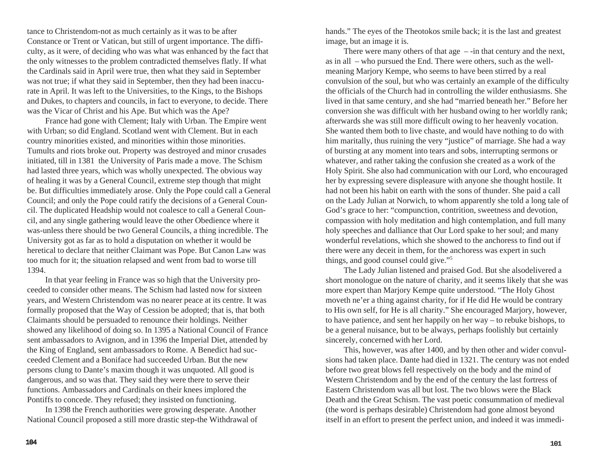tance to Christendom-not as much certainly as it was to be after Constance or Trent or Vatican, but still of urgent importance. The difficulty, as it were, of deciding who was what was enhanced by the fact that the only witnesses to the problem contradicted themselves flatly. If what the Cardinals said in April were true, then what they said in September was not true; if what they said in September, then they had been inaccurate in April. It was left to the Universities, to the Kings, to the Bishops and Dukes, to chapters and councils, in fact to everyone, to decide. There was the Vicar of Christ and his Ape. But which was the Ape?

France had gone with Clement; Italy with Urban. The Empire went with Urban; so did England. Scotland went with Clement. But in each country minorities existed, and minorities within those minorities. Tumults and riots broke out. Property was destroyed and minor crusades initiated, till in 1381 the University of Paris made a move. The Schism had lasted three years, which was wholly unexpected. The obvious way of healing it was by a General Council, extreme step though that might be. But difficulties immediately arose. Only the Pope could call a General Council; and only the Pope could ratify the decisions of a General Council. The duplicated Headship would not coalesce to call a General Council, and any single gathering would leave the other Obedience where it was-unless there should be two General Councils, a thing incredible. The University got as far as to hold a disputation on whether it would be heretical to declare that neither Claimant was Pope. But Canon Law was too much for it; the situation relapsed and went from bad to worse till 1394.

In that year feeling in France was so high that the University proceeded to consider other means. The Schism had lasted now for sixteen years, and Western Christendom was no nearer peace at its centre. It was formally proposed that the Way of Cession be adopted; that is, that both Claimants should be persuaded to renounce their holdings. Neither showed any likelihood of doing so. In 1395 a National Council of France sent ambassadors to Avignon, and in 1396 the Imperial Diet, attended by the King of England, sent ambassadors to Rome. A Benedict had succeeded Clement and a Boniface had succeeded Urban. But the new persons clung to Dante's maxim though it was unquoted. All good is dangerous, and so was that. They said they were there to serve their functions. Ambassadors and Cardinals on their knees implored the Pontiffs to concede. They refused; they insisted on functioning.

In 1398 the French authorities were growing desperate. Another National Council proposed a still more drastic step-the Withdrawal of hands." The eyes of the Theotokos smile back; it is the last and greatest image, but an image it is.

There were many others of that age  $-$ -in that century and the next, as in all – who pursued the End. There were others, such as the wellmeaning Marjory Kempe, who seems to have been stirred by a real convulsion of the soul, but who was certainly an example of the difficulty the officials of the Church had in controlling the wilder enthusiasms. She lived in that same century, and she had "married beneath her." Before her conversion she was difficult with her husband owing to her worldly rank; afterwards she was still more difficult owing to her heavenly vocation. She wanted them both to live chaste, and would have nothing to do with him maritally, thus ruining the very "justice" of marriage. She had a way of bursting at any moment into tears and sobs, interrupting sermons or whatever, and rather taking the confusion she created as a work of the Holy Spirit. She also had communication with our Lord, who encouraged her by expressing severe displeasure with anyone she thought hostile. It had not been his habit on earth with the sons of thunder. She paid a call on the Lady Julian at Norwich, to whom apparently she told a long tale of God's grace to her: "compunction, contrition, sweetness and devotion, compassion with holy meditation and high contemplation, and full many holy speeches and dalliance that Our Lord spake to her soul; and many wonderful revelations, which she showed to the anchoress to find out if there were any deceit in them, for the anchoress was expert in such things, and good counsel could give."5

The Lady Julian listened and praised God. But she alsodelivered a short monologue on the nature of charity, and it seems likely that she was more expert than Marjory Kempe quite understood. "The Holy Ghost moveth ne'er a thing against charity, for if He did He would be contrary to His own self, for He is all charity." She encouraged Marjory, however, to have patience, and sent her happily on her way – to rebuke bishops, to be a general nuisance, but to be always, perhaps foolishly but certainly sincerely, concerned with her Lord.

This, however, was after 1400, and by then other and wider convulsions had taken place. Dante had died in 1321. The century was not ended before two great blows fell respectively on the body and the mind of Western Christendom and by the end of the century the last fortress of Eastern Christendom was all but lost. The two blows were the Black Death and the Great Schism. The vast poetic consummation of medieval (the word is perhaps desirable) Christendom had gone almost beyond itself in an effort to present the perfect union, and indeed it was immedi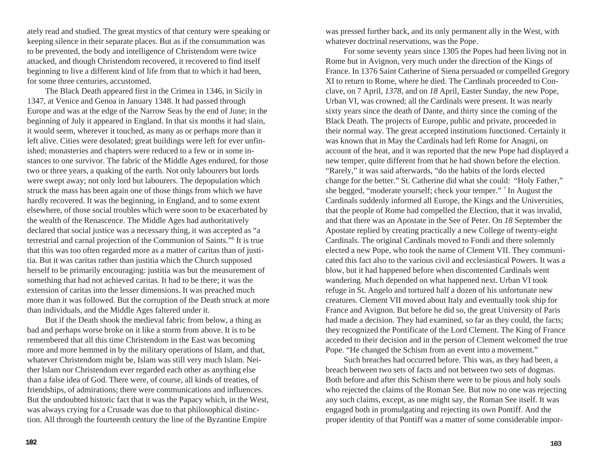ately read and studied. The great mystics of that century were speaking or keeping silence in their separate places. But as if the consummation was to be prevented, the body and intelligence of Christendom were twice attacked, and though Christendom recovered, it recovered to find itself beginning to live a different kind of life from that to which it had been, for some three centuries, accustomed.

The Black Death appeared first in the Crimea in 1346, in Sicily in 1347, at Venice and Genoa in January 1348. It had passed through Europe and was at the edge of the Narrow Seas by the end of June; in the beginning of July it appeared in England. In that six months it had slain, it would seem, wherever it touched, as many as or perhaps more than it left alive. Cities were desolated; great buildings were left for ever unfinished; monasteries and chapters were reduced to a few or in some instances to one survivor. The fabric of the Middle Ages endured, for those two or three years, a quaking of the earth. Not only labourers but lords were swept away; not only lord but labourers. The depopulation which struck the mass has been again one of those things from which we have hardly recovered. It was the beginning, in England, and to some extent elsewhere, of those social troubles which were soon to be exacerbated by the wealth of the Renascence. The Middle Ages had authoritatively declared that social justice was a necessary thing, it was accepted as "a terrestrial and carnal projection of the Communion of Saints."6 It is true that this was too often regarded more as a matter of caritas than of justitia. But it was caritas rather than justitia which the Church supposed herself to be primarily encouraging: justitia was but the measurement of something that had not achieved caritas. It had to be there; it was the extension of caritas into the lesser dimensions. It was preached much more than it was followed. But the corruption of the Death struck at more than individuals, and the Middle Ages faltered under it.

But if the Death shook the medieval fabric from below, a thing as bad and perhaps worse broke on it like a storm from above. It is to be remembered that all this time Christendom in the East was becoming more and more hemmed in by the military operations of Islam, and that, whatever Christendom might be, Islam was still very much Islam. Neither Islam nor Christendom ever regarded each other as anything else than a false idea of God. There were, of course, all kinds of treaties, of friendships, of admirations; there were communications and influences. But the undoubted historic fact that it was the Papacy which, in the West, was always crying for a Crusade was due to that philosophical distinction. All through the fourteenth century the line of the Byzantine Empire

was pressed further back, and its only permanent ally in the West, with whatever doctrinal reservations, was the Pope.

For some seventy years since 1305 the Popes had been living not in Rome but in Avignon, very much under the direction of the Kings of France. In 1376 Saint Catherine of Siena persuaded or compelled Gregory XI to return to Rome, where he died. The Cardinals proceeded to Conclave, on 7 April, *1378,* and on *18* April, Easter Sunday, the new Pope, Urban VI, was crowned; all the Cardinals were present. It was nearly sixty years since the death of Dante, and thirty since the coming of the Black Death. The projects of Europe, public and private, proceeded in their normal way. The great accepted institutions functioned. Certainly it was known that in May the Cardinals had left Rome for Anagni, on account of the heat, and it was reported that the new Pope had displayed a new temper, quite different from that he had shown before the election. "Rarely," it was said afterwards, "do the habits of the lords elected change for the better." St. Catherine did what she could: "Holy Father," she begged, "moderate yourself; check your temper." 7 In August the Cardinals suddenly informed all Europe, the Kings and the Universities, that the people of Rome had compelled the Election, that it was invalid, and that there was an Apostate in the See of Peter. On *18* September the Apostate replied by creating practically a new College of twenty-eight Cardinals. The original Cardinals moved to Fondi and there solemnly elected a new Pope, who took the name of Clement VII. They communicated this fact also to the various civil and ecclesiastical Powers. It was a blow, but it had happened before when discontented Cardinals went wandering. Much depended on what happened next. Urban VI took refuge in St. Angelo and tortured half a dozen of his unfortunate new creatures. Clement VII moved about Italy and eventually took ship for France and Avignon. But before he did so, the great University of Paris had made a decision. They had examined, so far as they could, the facts; they recognized the Pontificate of the Lord Clement. The King of France acceded to their decision and in the person of Clement welcomed the true Pope. "He changed the Schism from an event into a movement."

Such breaches had occurred before. This was, as they had been, a breach between two sets of facts and not between two sets of dogmas. Both before and after this Schism there were to be pious and holy souls who rejected the claims of the Roman See. But now no one was rejecting any such claims, except, as one might say, the Roman See itself. It was engaged both in promulgating and rejecting its own Pontiff. And the proper identity of that Pontiff was a matter of some considerable impor-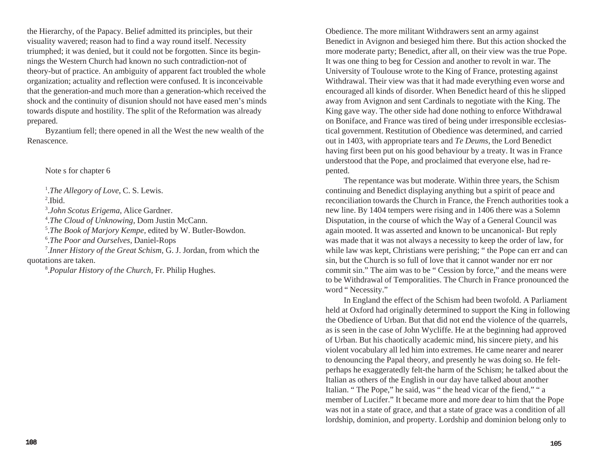the Hierarchy, of the Papacy. Belief admitted its principles, but their visuality wavered; reason had to find a way round itself. Necessity triumphed; it was denied, but it could not be forgotten. Since its beginnings the Western Church had known no such contradiction-not of theory-but of practice. An ambiguity of apparent fact troubled the whole organization; actuality and reflection were confused. It is inconceivable that the generation-and much more than a generation-which received the shock and the continuity of disunion should not have eased men's minds towards dispute and hostility. The split of the Reformation was already prepared.

Byzantium fell; there opened in all the West the new wealth of the Renascence.

Note s for chapter 6

1 .*The Allegory of Love*, C. S. Lewis.

2.Ibid.

3 .*John Scotus Erigema,* Alice Gardner.

4 .*The Cloud of Unknowing,* Dom Justin McCann.

5 .*The Book of Marjory Kempe,* edited by W. Butler-Bowdon.

6 .*The Poor and Ourselves,* Daniel-Rops

7 .*Inner History of the Great Schism,* G. J. Jordan, from which the quotations are taken.

8 .*Popular History of the Church,* Fr. Philip Hughes.

Obedience. The more militant Withdrawers sent an army against Benedict in Avignon and besieged him there. But this action shocked the more moderate party; Benedict, after all, on their view was the true Pope. It was one thing to beg for Cession and another to revolt in war. The University of Toulouse wrote to the King of France, protesting against Withdrawal. Their view was that it had made everything even worse and encouraged all kinds of disorder. When Benedict heard of this he slipped away from Avignon and sent Cardinals to negotiate with the King. The King gave way. The other side had done nothing to enforce Withdrawal on Boniface, and France was tired of being under irresponsible ecclesiastical government. Restitution of Obedience was determined, and carried out in 1403, with appropriate tears and *Te Deums,* the Lord Benedict having first been put on his good behaviour by a treaty. It was in France understood that the Pope, and proclaimed that everyone else, had repented.

The repentance was but moderate. Within three years, the Schism continuing and Benedict displaying anything but a spirit of peace and reconciliation towards the Church in France, the French authorities took a new line. By 1404 tempers were rising and in 1406 there was a Solemn Disputation, in the course of which the Way of a General Council was again mooted. It was asserted and known to be uncanonical- But reply was made that it was not always a necessity to keep the order of law, for while law was kept, Christians were perishing; "the Pope can err and can sin, but the Church is so full of love that it cannot wander nor err nor commit sin." The aim was to be " Cession by force," and the means were to be Withdrawal of Temporalities. The Church in France pronounced the word " Necessity."

In England the effect of the Schism had been twofold. A Parliament held at Oxford had originally determined to support the King in following the Obedience of Urban. But that did not end the violence of the quarrels, as is seen in the case of John Wycliffe. He at the beginning had approved of Urban. But his chaotically academic mind, his sincere piety, and his violent vocabulary all led him into extremes. He came nearer and nearer to denouncing the Papal theory, and presently he was doing so. He feltperhaps he exaggeratedly felt-the harm of the Schism; he talked about the Italian as others of the English in our day have talked about another Italian. " The Pope," he said, was " the head vicar of the fiend," " a member of Lucifer." It became more and more dear to him that the Pope was not in a state of grace, and that a state of grace was a condition of all lordship, dominion, and property. Lordship and dominion belong only to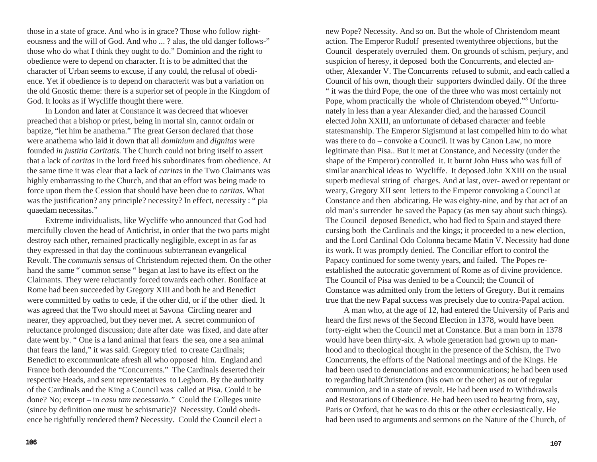those in a state of grace. And who is in grace? Those who follow righteousness and the will of God. And who ... ? alas, the old danger follows-" those who do what I think they ought to do." Dominion and the right to obedience were to depend on character. It is to be admitted that the character of Urban seems to excuse, if any could, the refusal of obedience. Yet if obedience is to depend on characterit was but a variation on the old Gnostic theme: there is a superior set of people in the Kingdom of God. It looks as if Wycliffe thought there were.

In London and later at Constance it was decreed that whoever preached that a bishop or priest, being in mortal sin, cannot ordain or baptize, "let him be anathema." The great Gerson declared that those were anathema who laid it down that all *dominium* and *dignitas* were founded *in justitia Caritatis.* The Church could not bring itself to assert that a lack of *caritas* in the lord freed his subordinates from obedience. At the same time it was clear that a lack of *caritas* in the Two Claimants was highly embarrassing to the Church, and that an effort was being made to force upon them the Cession that should have been due to *caritas.* What was the justification? any principle? necessity? In effect, necessity : " pia quaedam necessitas."

Extreme individualists, like Wycliffe who announced that God had mercifully cloven the head of Antichrist, in order that the two parts might destroy each other, remained practically negligible, except in as far as they expressed in that day the continuous subterranean evangelical Revolt. The *communis sensus* of Christendom rejected them. On the other hand the same " common sense " began at last to have its effect on the Claimants. They were reluctantly forced towards each other. Boniface at Rome had been succeeded by Gregory XIII and both he and Benedict were committed by oaths to cede, if the other did, or if the other died. It was agreed that the Two should meet at Savona Circling nearer and nearer, they approached, but they never met. A secret communion of reluctance prolonged discussion; date after date was fixed, and date after date went by. " One is a land animal that fears the sea, one a sea animal that fears the land," it was said. Gregory tried to create Cardinals; Benedict to excommunicate afresh all who opposed him. England and France both denounded the "Concurrents." The Cardinals deserted their respective Heads, and sent representatives to Leghorn. By the authority of the Cardinals and the King a Council was called at Pisa. Could it be done? No; except – in *casu tam necessario."* Could the Colleges unite (since by definition one must be schismatic)? Necessity. Could obedience be rightfully rendered them? Necessity. Could the Council elect a

new Pope? Necessity. And so on. But the whole of Christendom meant action. The Emperor Rudolf presented twentythree objections, but the Council desperately overruled them. On grounds of schism, perjury, and suspicion of heresy, it deposed both the Concurrents, and elected another, Alexander V. The Concurrents refused to submit, and each called a Council of his own, though their supporters dwindled daily. Of the three " it was the third Pope, the one of the three who was most certainly not Pope, whom practically the whole of Christendom obeyed."<sup>8</sup> Unfortunately in less than a year Alexander died, and the harassed Council elected John XXIII, an unfortunate of debased character and feeble statesmanship. The Emperor Sigismund at last compelled him to do what was there to do – convoke a Council. It was by Canon Law, no more legitimate than Pisa.. But it met at Constance, and Necessity (under the shape of the Emperor) controlled it. It burnt John Huss who was full of similar anarchical ideas to Wycliffe. It deposed John XXIII on the usual superb medieval string of charges. And at last, over- awed or repentant or weary, Gregory XII sent letters to the Emperor convoking a Council at Constance and then abdicating. He was eighty-nine, and by that act of an old man's surrender he saved the Papacy (as men say about such things). The Council deposed Benedict, who had fled to Spain and stayed there cursing both the Cardinals and the kings; it proceeded to a new election, and the Lord Cardinal Odo Colonna became Matin V. Necessity had done its work. It was promptly denied. The Conciliar effort to control the Papacy continued for some twenty years, and failed. The Popes reestablished the autocratic government of Rome as of divine providence. The Council of Pisa was denied to be a Council; the Council of Constance was admitted only from the letters of Gregory. But it remains true that the new Papal success was precisely due to contra-Papal action.

A man who, at the age of 12, had entered the University of Paris and heard the first news of the Second Election in 1378, would have been forty-eight when the Council met at Constance. But a man born in 1378 would have been thirty-six. A whole generation had grown up to manhood and to theological thought in the presence of the Schism, the Two Concurrents, the efforts of the National meetings and of the Kings. He had been used to denunciations and excommunications; he had been used to regarding halfChristendom (his own or the other) as out of regular communion, and in a state of revolt. He had been used to Withdrawals and Restorations of Obedience. He had been used to hearing from, say, Paris or Oxford, that he was to do this or the other ecclesiastically. He had been used to arguments and sermons on the Nature of the Church, of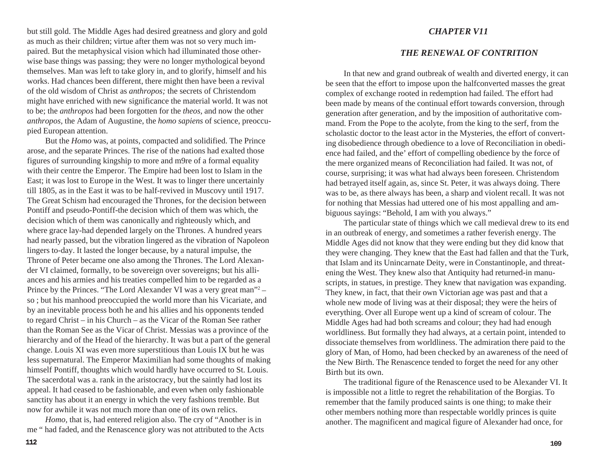### *CHAPTER V11*

but still gold. The Middle Ages had desired greatness and glory and gold as much as their children; virtue after them was not so very much impaired. But the metaphysical vision which had illuminated those otherwise base things was passing; they were no longer mythological beyond themselves. Man was left to take glory in, and to glorify, himself and his works. Had chances been different, there might then have been a revival of the old wisdom of Christ as *anthropos;* the secrets of Christendom might have enriched with new significance the material world. It was not to be; the *anthropos* had been forgotten for the *theos,* and now the other *anthropos,* the Adam of Augustine, the *homo sapiens* of science, preoccupied European attention.

But the *Homo* was, at points, compacted and solidified. The Prince arose, and the separate Princes. The rise of the nations had exalted those figures of surrounding kingship to more and m9re of a formal equality with their centre the Emperor. The Empire had been lost to Islam in the East; it was lost to Europe in the West. It was to linger there uncertainly till 1805, as in the East it was to be half-revived in Muscovy until 1917. The Great Schism had encouraged the Thrones, for the decision between Pontiff and pseudo-Pontiff-the decision which of them was which, the decision which of them was canonically and righteously which, and where grace lay-had depended largely on the Thrones. A hundred years had nearly passed, but the vibration lingered as the vibration of Napoleon lingers to-day. It lasted the longer because, by a natural impulse, the Throne of Peter became one also among the Thrones. The Lord Alexander VI claimed, formally, to be sovereign over sovereigns; but his alliances and his armies and his treaties compelled him to be regarded as a Prince by the Princes. "The Lord Alexander VI was a very great man"2 – so ; but his manhood preoccupied the world more than his Vicariate, and by an inevitable process both he and his allies and his opponents tended to regard Christ – in his Church – as the Vicar of the Roman See rather than the Roman See as the Vicar of Christ. Messias was a province of the hierarchy and of the Head of the hierarchy. It was but a part of the general change. Louis XI was even more superstitious than Louis IX but he was less supernatural. The Emperor Maximilian had some thoughts of making himself Pontiff, thoughts which would hardly have occurred to St. Louis. The sacerdotal was a. rank in the aristocracy, but the saintly had lost its appeal. It had ceased to be fashionable, and even when only fashionable sanctity has about it an energy in which the very fashions tremble. But now for awhile it was not much more than one of its own relics.

*Homo*, that is, had entered religion also. The cry of "Another is in me " had faded, and the Renascence glory was not attributed to the Acts

# *THE RENEWAL OF CONTRITION*

In that new and grand outbreak of wealth and diverted energy, it can be seen that the effort to impose upon the halfconverted masses the great complex of exchange rooted in redemption had failed. The effort had been made by means of the continual effort towards conversion, through generation after generation, and by the imposition of authoritative command. From the Pope to the acolyte, from the king to the serf, from the scholastic doctor to the least actor in the Mysteries, the effort of converting disobedience through obedience to a love of Reconciliation in obedience had failed, and the' effort of compelling obedience by the force of the mere organized means of Reconciliation had failed. It was not, of course, surprising; it was what had always been foreseen. Christendom had betrayed itself again, as, since St. Peter, it was always doing. There was to be, as there always has been, a sharp and violent recall. It was not for nothing that Messias had uttered one of his most appalling and ambiguous sayings: "Behold, I am with you always."

The particular state of things which we call medieval drew to its end in an outbreak of energy, and sometimes a rather feverish energy. The Middle Ages did not know that they were ending but they did know that they were changing. They knew that the East had fallen and that the Turk, that Islam and its Unincarnate Deity, were in Constantinople, and threatening the West. They knew also that Antiquity had returned-in manuscripts, in statues, in prestige. They knew that navigation was expanding. They knew, in fact, that their own Victorian age was past and that a whole new mode of living was at their disposal; they were the heirs of everything. Over all Europe went up a kind of scream of colour. The Middle Ages had had both screams and colour; they had had enough worldliness. But formally they had always, at a certain point, intended to dissociate themselves from worldliness. The admiration there paid to the glory of Man, of Homo, had been checked by an awareness of the need of the New Birth. The Renascence tended to forget the need for any other Birth but its own.

The traditional figure of the Renascence used to be Alexander VI. It is impossible not a little to regret the rehabilitation of the Borgias. To remember that the family produced saints is one thing; to make their other members nothing more than respectable worldly princes is quite another. The magnificent and magical figure of Alexander had once, for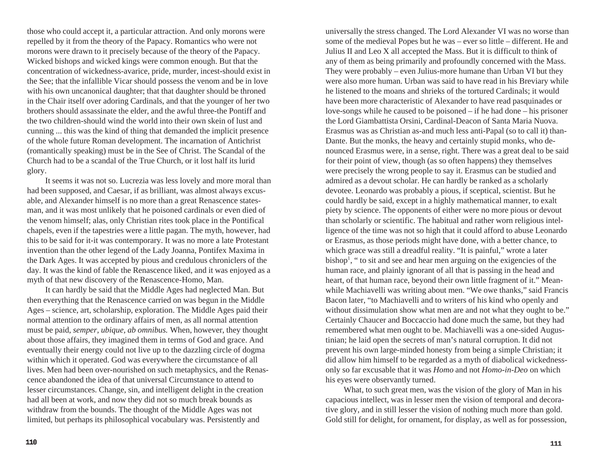those who could accept it, a particular attraction. And only morons were repelled by it from the theory of the Papacy. Romantics who were not morons were drawn to it precisely because of the theory of the Papacy. Wicked bishops and wicked kings were common enough. But that the concentration of wickedness-avarice, pride, murder, incest-should exist in the See; that the infallible Vicar should possess the venom and be in love with his own uncanonical daughter; that that daughter should be throned in the Chair itself over adoring Cardinals, and that the younger of her two brothers should assassinate the elder, and the awful three-the Pontiff and the two children-should wind the world into their own skein of lust and cunning ... this was the kind of thing that demanded the implicit presence of the whole future Roman development. The incarnation of Antichrist (romantically speaking) must be in the See of Christ. The Scandal of the Church had to be a scandal of the True Church, or it lost half its lurid glory.

It seems it was not so. Lucrezia was less lovely and more moral than had been supposed, and Caesar, if as brilliant, was almost always excusable, and Alexander himself is no more than a great Renascence statesman, and it was most unlikely that he poisoned cardinals or even died of the venom himself; alas, only Christian rites took place in the Pontifical chapels, even if the tapestries were a little pagan. The myth, however, had this to be said for it-it was contemporary. It was no more a late Protestant invention than the other legend of the Lady Joanna, Pontifex Maxima in the Dark Ages. It was accepted by pious and credulous chroniclers of the day. It was the kind of fable the Renascence liked, and it was enjoyed as a myth of that new discovery of the Renascence-Homo, Man.

It can hardly be said that the Middle Ages had neglected Man. But then everything that the Renascence carried on was begun in the Middle Ages – science, art, scholarship, exploration. The Middle Ages paid their normal attention to the ordinary affairs of men, as all normal attention must be paid, *semper, ubique, ab omnibus.* When, however, they thought about those affairs, they imagined them in terms of God and grace. And eventually their energy could not live up to the dazzling circle of dogma within which it operated. God was everywhere the circumstance of all lives. Men had been over-nourished on such metaphysics, and the Renascence abandoned the idea of that universal Circumstance to attend to lesser circumstances. Change, sin, and intelligent delight in the creation had all been at work, and now they did not so much break bounds as withdraw from the bounds. The thought of the Middle Ages was not limited, but perhaps its philosophical vocabulary was. Persistently and

universally the stress changed. The Lord Alexander VI was no worse than some of the medieval Popes but he was – ever so little – different. He and Julius II and Leo X all accepted the Mass. But it is difficult to think of any of them as being primarily and profoundly concerned with the Mass. They were probably – even Julius-more humane than Urban VI but they were also more human. Urban was said to have read in his Breviary while he listened to the moans and shrieks of the tortured Cardinals; it would have been more characteristic of Alexander to have read pasquinades or love-songs while he caused to be poisoned – if he had done – his prisoner the Lord Giambattista Orsini, Cardinal-Deacon of Santa Maria Nuova. Erasmus was as Christian as-and much less anti-Papal (so to call it) than-Dante. But the monks, the heavy and certainly stupid monks, who denounced Erasmus were, in a sense, right. There was a great deal to be said for their point of view, though (as so often happens) they themselves were precisely the wrong people to say it. Erasmus can be studied and admired as a devout scholar. He can hardly be ranked as a scholarly devotee. Leonardo was probably a pious, if sceptical, scientist. But he could hardly be said, except in a highly mathematical manner, to exalt piety by science. The opponents of either were no more pious or devout than scholarly or scientific. The habitual and rather worn religious intelligence of the time was not so high that it could afford to abuse Leonardo or Erasmus, as those periods might have done, with a better chance, to which grace was still a dreadful reality. "It is painful," wrote a later bishop1, " to sit and see and hear men arguing on the exigencies of the human race, and plainly ignorant of all that is passing in the head and heart, of that human race, beyond their own little fragment of it." Meanwhile Machiavelli was writing about men. "We owe thanks," said Francis Bacon later, "to Machiavelli and to writers of his kind who openly and without dissimulation show what men are and not what they ought to be." Certainly Chaucer and Boccaccio had done much the same, but they had remembered what men ought to be. Machiavelli was a one-sided Augustinian; he laid open the secrets of man's natural corruption. It did not prevent his own large-minded honesty from being a simple Christian; it did allow him himself to be regarded as a myth of diabolical wickednessonly so far excusable that it was *Homo* and not *Homo-in-Deo* on which his eyes were observantly turned.

What, to such great men, was the vision of the glory of Man in his capacious intellect, was in lesser men the vision of temporal and decorative glory, and in still lesser the vision of nothing much more than gold. Gold still for delight, for ornament, for display, as well as for possession,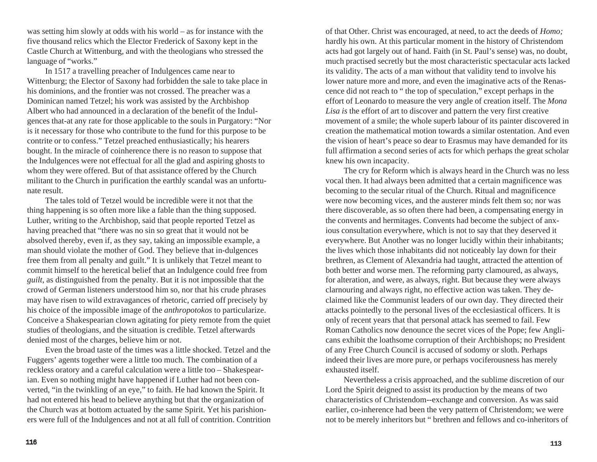was setting him slowly at odds with his world – as for instance with the five thousand relics which the Elector Frederick of Saxony kept in the Castle Church at Wittenburg, and with the theologians who stressed the language of "works."

In 1517 a travelling preacher of Indulgences came near to Wittenburg; the Elector of Saxony had forbidden the sale to take place in his dominions, and the frontier was not crossed. The preacher was a Dominican named Tetzel; his work was assisted by the Archbishop Albert who had announced in a declaration of the benefit of the Indulgences that-at any rate for those applicable to the souls in Purgatory: "Nor is it necessary for those who contribute to the fund for this purpose to be contrite or to confess." Tetzel preached enthusiastically; his hearers bought. In the miracle of coinherence there is no reason to suppose that the Indulgences were not effectual for all the glad and aspiring ghosts to whom they were offered. But of that assistance offered by the Church militant to the Church in purification the earthly scandal was an unfortunate result.

The tales told of Tetzel would be incredible were it not that the thing happening is so often more like a fable than the thing supposed. Luther, writing to the Archbishop, said that people reported Tetzel as having preached that "there was no sin so great that it would not be absolved thereby, even if, as they say, taking an impossible example, a man should violate the mother of God. They believe that in-dulgences free them from all penalty and guilt." It is unlikely that Tetzel meant to commit himself to the heretical belief that an Indulgence could free from *guilt*, as distinguished from the penalty. But it is not impossible that the crowd of German listeners understood him so, nor that his crude phrases may have risen to wild extravagances of rhetoric, carried off precisely by his choice of the impossible image of the *anthropotokos* to particularize. Conceive a Shakespearian clown agitating for piety remote from the quiet studies of theologians, and the situation is credible. Tetzel afterwards denied most of the charges, believe him or not.

Even the broad taste of the times was a little shocked. Tetzel and the Fuggers' agents together were a little too much. The combination of a reckless oratory and a careful calculation were a little too – Shakespearian. Even so nothing might have happened if Luther had not been converted, "in the twinkling of an eye," to faith. He had known the Spirit. It had not entered his head to believe anything but that the organization of the Church was at bottom actuated by the same Spirit. Yet his parishioners were full of the Indulgences and not at all full of contrition. Contrition

of that Other. Christ was encouraged, at need, to act the deeds of *Homo;* hardly his own. At this particular moment in the history of Christendom acts had got largely out of hand. Faith (in St. Paul's sense) was, no doubt, much practised secretly but the most characteristic spectacular acts lacked its validity. The acts of a man without that validity tend to involve his lower nature more and more, and even the imaginative acts of the Renascence did not reach to " the top of speculation," except perhaps in the effort of Leonardo to measure the very angle of creation itself. The *Mona Lisa is* the effort of art to discover and pattern the very first creative movement of a smile; the whole superb labour of its painter discovered in creation the mathematical motion towards a similar ostentation. And even the vision of heart's peace so dear to Erasmus may have demanded for its full affirmation a second series of acts for which perhaps the great scholar knew his own incapacity.

The cry for Reform which is always heard in the Church was no less vocal then. It had always been admitted that a certain magnificence was becoming to the secular ritual of the Church. Ritual and magnificence were now becoming vices, and the austerer minds felt them so; nor was there discoverable, as so often there had been, a compensating energy in the convents and hermitages. Convents had become the subject of anxious consultation everywhere, which is not to say that they deserved it everywhere. But Another was no longer lucidly within their inhabitants; the lives which those inhabitants did not noticeably lay down for their brethren, as Clement of Alexandria had taught, attracted the attention of both better and worse men. The reforming party clamoured, as always, for alteration, and were, as always, right. But because they were always clarnouring and always right, no effective action was taken. They declaimed like the Communist leaders of our own day. They directed their attacks pointedly to the personal lives of the ecclesiastical officers. It is only of recent years that that personal attack has seemed to fail. Few Roman Catholics now denounce the secret vices of the Pope; few Anglicans exhibit the loathsome corruption of their Archbishops; no President of any Free Church Council is accused of sodomy or sloth. Perhaps indeed their lives are more pure, or perhaps vociferousness has merely exhausted itself.

Nevertheless a crisis approached, and the sublime discretion of our Lord the Spirit deigned to assist its production by the means of two characteristics of Christendom--exchange and conversion. As was said earlier, co-inherence had been the very pattern of Christendom; we were not to be merely inheritors but " brethren and fellows and co-inheritors of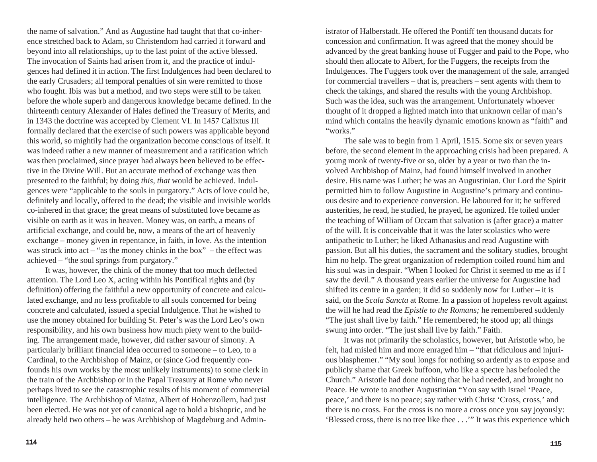the name of salvation." And as Augustine had taught that that co-inherence stretched back to Adam, so Christendom had carried it forward and beyond into all relationships, up to the last point of the active blessed. The invocation of Saints had arisen from it, and the practice of indulgences had defined it in action. The first Indulgences had been declared to the early Crusaders; all temporal penalties of sin were remitted to those who fought. Ibis was but a method, and two steps were still to be taken before the whole superb and dangerous knowledge became defined. In the thirteenth century Alexander of Hales defined the Treasury of Merits, and in 1343 the doctrine was accepted by Clement VI. In 1457 Calixtus III formally declared that the exercise of such powers was applicable beyond this world, so mightily had the organization become conscious of itself. It was indeed rather a new manner of measurement and a ratification which was then proclaimed, since prayer had always been believed to be effective in the Divine Will. But an accurate method of exchange was then presented to the faithful; by doing *this, that* would be achieved. Indulgences were "applicable to the souls in purgatory." Acts of love could be, definitely and locally, offered to the dead; the visible and invisible worlds co-inhered in that grace; the great means of substituted love became as visible on earth as it was in heaven. Money was, on earth, a means of artificial exchange, and could be, now, a means of the art of heavenly exchange – money given in repentance, in faith, in love. As the intention was struck into act – "as the money chinks in the box" – the effect was achieved – "the soul springs from purgatory."

It was, however, the chink of the money that too much deflected attention. The Lord Leo X, acting within his Pontifical rights and (by definition) offering the faithful a new opportunity of concrete and calculated exchange, and no less profitable to all souls concerned for being concrete and calculated, issued a special Indulgence. That he wished to use the money obtained for building St. Peter's was the Lord Leo's own responsibility, and his own business how much piety went to the building. The arrangement made, however, did rather savour of simony. A particularly brilliant financial idea occurred to someone – to Leo, to a Cardinal, to the Archbishop of Mainz, or (since God frequently confounds his own works by the most unlikely instruments) to some clerk in the train of the Archbishop or in the Papal Treasury at Rome who never perhaps lived to see the catastrophic results of his moment of commercial intelligence. The Archbishop of Mainz, Albert of Hohenzollern, had just been elected. He was not yet of canonical age to hold a bishopric, and he already held two others – he was Archbishop of Magdeburg and Admin-

istrator of Halberstadt. He offered the Pontiff ten thousand ducats for concession and confirmation. It was agreed that the money should be advanced by the great banking house of Fugger and paid to the Pope, who should then allocate to Albert, for the Fuggers, the receipts from the Indulgences. The Fuggers took over the management of the sale, arranged for commercial travellers – that is, preachers – sent agents with them to check the takings, and shared the results with the young Archbishop. Such was the idea, such was the arrangement. Unfortunately whoever thought of it dropped a lighted match into that unknown cellar of man's mind which contains the heavily dynamic emotions known as "faith" and "works."

The sale was to begin from 1 April, 1515. Some six or seven years before, the second element in the approaching crisis had been prepared. A young monk of twenty-five or so, older by a year or two than the involved Archbishop of Mainz, had found himself involved in another desire. His name was Luther; he was an Augustinian. Our Lord the Spirit permitted him to follow Augustine in Augustine's primary and continuous desire and to experience conversion. He laboured for it; he suffered austerities, he read, he studied, he prayed, he agonized. He toiled under the teaching of William of Occam that salvation is (after grace) a matter of the will. It is conceivable that it was the later scolastics who were antipathetic to Luther; he liked Athanasius and read Augustine with passion. But all his duties, the sacrament and the solitary studies, brought him no help. The great organization of redemption coiled round him and his soul was in despair. "When I looked for Christ it seemed to me as if I saw the devil." A thousand years earlier the universe for Augustine had shifted its centre in a garden; it did so suddenly now for Luther – it is said, on the *Scala Sancta* at Rome. In a passion of hopeless revolt against the will he had read the *Epistle to the Romans;* he remembered suddenly "The just shall live by faith." He remembered; he stood up; all things swung into order. "The just shall live by faith." Faith.

It was not primarily the scholastics, however, but Aristotle who, he felt, had misled him and more enraged him – "that ridiculous and injurious blasphemer." "My soul longs for nothing so ardently as to expose and publicly shame that Greek buffoon, who like a spectre has befooled the Church." Aristotle had done nothing that he had needed, and brought no Peace. He wrote to another Augustinian "You say with Israel 'Peace, peace,' and there is no peace; say rather with Christ 'Cross, cross,' and there is no cross. For the cross is no more a cross once you say joyously: 'Blessed cross, there is no tree like thee . . .'" It was this experience which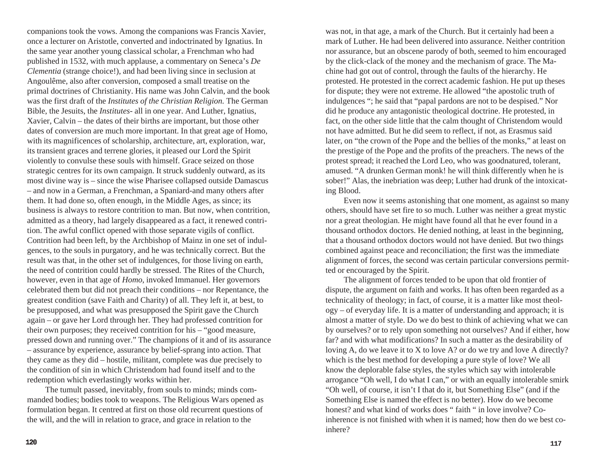companions took the vows. Among the companions was Francis Xavier, once a lecturer on Aristotle, converted and indoctrinated by Ignatius. In the same year another young classical scholar, a Frenchman who had published in 1532, with much applause, a commentary on Seneca's *De Clementia* (strange choice!), and had been living since in seclusion at Angoulême, also after conversion, composed a small treatise on the primal doctrines of Christianity. His name was John Calvin, and the book was the first draft of the *Institutes of the Christian Religion.* The German Bible, the Jesuits, the *Institutes-* all in one year. And Luther, Ignatius, Xavier, Calvin – the dates of their births are important, but those other dates of conversion are much more important. In that great age of Homo, with its magnificences of scholarship, architecture, art, exploration, war, its transient graces and terrene glories, it pleased our Lord the Spirit violently to convulse these souls with himself. Grace seized on those strategic centres for its own campaign. It struck suddenly outward, as its most divine way is – since the wise Pharisee collapsed outside Damascus – and now in a German, a Frenchman, a Spaniard-and many others after them. It had done so, often enough, in the Middle Ages, as since; its business is always to restore contrition to man. But now, when contrition, admitted as a theory, had largely disappeared as a fact, it renewed contrition. The awful conflict opened with those separate vigils of conflict. Contrition had been left, by the Archbishop of Mainz in one set of indulgences, to the souls in purgatory, and he was technically correct. But the result was that, in the other set of indulgences, for those living on earth, the need of contrition could hardly be stressed. The Rites of the Church, however, even in that age of *Homo*, invoked Immanuel. Her governors celebrated them but did not preach their conditions – nor Repentance, the greatest condition (save Faith and Charity) of all. They left it, at best, to be presupposed, and what was presupposed the Spirit gave the Church again – or gave her Lord through her. They had professed contrition for their own purposes; they received contrition for his – "good measure, pressed down and running over." The champions of it and of its assurance – assurance by experience, assurance by belief-sprang into action. That they came as they did – hostile, militant, complete was due precisely to the condition of sin in which Christendom had found itself and to the redemption which everlastingly works within her.

The tumult passed, inevitably, from souls to minds; minds commanded bodies; bodies took to weapons. The Religious Wars opened as formulation began. It centred at first on those old recurrent questions of the will, and the will in relation to grace, and grace in relation to the

was not, in that age, a mark of the Church. But it certainly had been a mark of Luther. He had been delivered into assurance. Neither contrition nor assurance, but an obscene parody of both, seemed to him encouraged by the click-clack of the money and the mechanism of grace. The Machine had got out of control, through the faults of the hierarchy. He protested. He protested in the correct academic fashion. He put up theses for dispute; they were not extreme. He allowed "the apostolic truth of indulgences "; he said that "papal pardons are not to be despised." Nor did he produce any antagonistic theological doctrine. He protested, in fact, on the other side little that the calm thought of Christendom would not have admitted. But he did seem to reflect, if not, as Erasmus said later, on "the crown of the Pope and the bellies of the monks," at least on the prestige of the Pope and the profits of the preachers. The news of the protest spread; it reached the Lord Leo, who was goodnatured, tolerant, amused. "A drunken German monk! he will think differently when he is sober!" Alas, the inebriation was deep; Luther had drunk of the intoxicating Blood.

Even now it seems astonishing that one moment, as against so many others, should have set fire to so much. Luther was neither a great mystic nor a great theologian. He might have found all that he ever found in a thousand orthodox doctors. He denied nothing, at least in the beginning, that a thousand orthodox doctors would not have denied. But two things combined against peace and reconciliation; the first was the immediate alignment of forces, the second was certain particular conversions permitted or encouraged by the Spirit.

The alignment of forces tended to be upon that old frontier of dispute, the argument on faith and works. It has often been regarded as a technicality of theology; in fact, of course, it is a matter like most theology – of everyday life. It is a matter of understanding and approach; it is almost a matter of style. Do we do best to think of achieving what we can by ourselves? or to rely upon something not ourselves? And if either, how far? and with what modifications? In such a matter as the desirability of loving A, do we leave it to X to love A? or do we try and love A directly? which is the best method for developing a pure style of love? We all know the deplorable false styles, the styles which say with intolerable arrogance "Oh well, I do what I can," or with an equally intolerable smirk "Oh well, of course, it isn't I that do it, but Something Else" (and if the Something Else is named the effect is no better). How do we become honest? and what kind of works does "faith " in love involve? Coinherence is not finished with when it is named; how then do we best coinhere?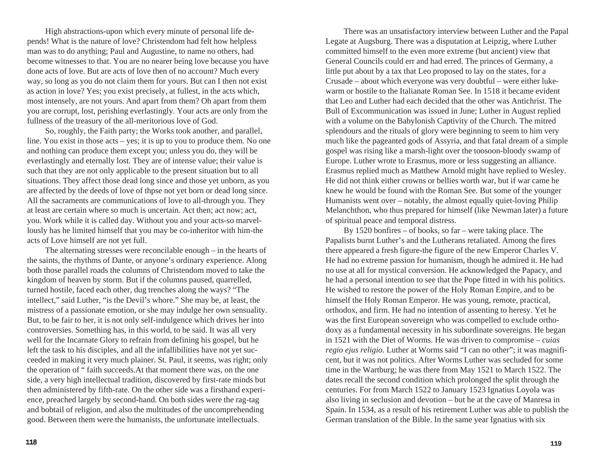High abstractions-upon which every minute of personal life depends! What is the nature of love? Christendom had felt how helpless man was to do anything; Paul and Augustine, to name no others, had become witnesses to that. You are no nearer being love because you have done acts of love. But are acts of love then of no account? Much every way, so long as you do not claim them for yours. But can I then not exist as action in love? Yes; you exist precisely, at fullest, in the acts which, most intensely, are not yours. And apart from them? Oh apart from them you are corrupt, lost, perishing everlastingly. Your acts are only from the fullness of the treasury of the all-meritorious love of God.

So, roughly, the Faith party; the Works took another, and parallel, line. You exist in those acts – yes; it is up to you to produce them. No one and nothing can produce them except you; unless you do, they will be everlastingly and eternally lost. They are of intense value; their value is such that they are not only applicable to the present situation but to all situations. They affect those dead long since and those yet unborn, as you are affected by the deeds of love of thpse not yet born or dead long since. All the sacraments are communications of love to all-through you. They at least are certain where so much is uncertain. Act then; act now; act, you. Work while it is called day. Without you and your acts-so marvellously has he limited himself that you may be co-inheritor with him-the acts of Love himself are not yet full.

The alternating stresses were reconcilable enough – in the hearts of the saints, the rhythms of Dante, or anyone's ordinary experience. Along both those parallel roads the columns of Christendom moved to take the kingdom of heaven by storm. But if the columns paused, quarrelled, turned hostile, faced each other, dug trenches along the ways? "The intellect," said Luther, "is the Devil's whore." She may be, at least, the mistress of a passionate emotion, or she may indulge her own sensuality. But, to be fair to her, it is not only self-indulgence which drives her into controversies. Something has, in this world, to be said. It was all very well for the Incarnate Glory to refrain from defining his gospel, but he left the task to his disciples, and all the infallibilities have not yet succeeded in making it very much plainer. St. Paul, it seems, was right; only the operation of " faith succeeds.At that moment there was, on the one side, a very high intellectual tradition, discovered by first-rate minds but then administered by fifth-rate. On the other side was a firsthand experience, preached largely by second-hand. On both sides were the rag-tag and bobtail of religion, and also the multitudes of the uncomprehending good. Between them were the humanists, the unfortunate intellectuals.

There was an unsatisfactory interview between Luther and the Papal Legate at Augsburg. There was a disputation at Leipzig, where Luther committed himself to the even more extreme (but ancient) view that General Councils could err and had erred. The princes of Germany, a little put about by a tax that Leo proposed to lay on the states, for a Crusade – about which everyone was very doubtful – were either lukewarm or hostile to the Italianate Roman See. In 1518 it became evident that Leo and Luther had each decided that the other was Antichrist. The Bull of Excommunication was issued in June; Luther in August replied with a volume on the Babylonish Captivity of the Church. The mitred splendours and the rituals of glory were beginning to seem to him very much like the pageanted gods of Assyria, and that fatal dream of a simple gospel was rising like a marsh-light over the toosoon-bloody swamp of Europe. Luther wrote to Erasmus, more or less suggesting an alliance. Erasmus replied much as Matthew Arnold might have replied to Wesley. He did not think either crowns or bellies worth war, but if war came he knew he would be found with the Roman See. But some of the younger Humanists went over – notably, the almost equally quiet-loving Philip Melanchthon, who thus prepared for himself (like Newman later) a future of spiritual peace and temporal distress.

By 1520 bonfires – of books, so far – were taking place. The Papalists burnt Luther's and the Lutherans retaliated. Among the fires there appeared a fresh figure-the figure of the new Emperor Charles V. He had no extreme passion for humanism, though he admired it. He had no use at all for mystical conversion. He acknowledged the Papacy, and he had a personal intention to see that the Pope fitted in with his politics. He wished to restore the power of the Holy Roman Empire, and to be himself the Holy Roman Emperor. He was young, remote, practical, orthodox, and firm. He had no intention of assenting to heresy. Yet he was the first European sovereign who was compelled to exclude orthodoxy as a fundamental necessity in his subordinate sovereigns. He began in 1521 with the Diet of Worms. He was driven to compromise – *cuias regio ejus religio.* Luther at Worms said "I can no other"; it was magnificent, but it was not politics. After Worms Luther was secluded for some time in the Wartburg; he was there from May 1521 to March 1522. The dates recall the second condition which prolonged the split through the centuries. For from March 1522 to January 1523 Ignatius Loyola was also living in seclusion and devotion – but he at the cave of Manresa in Spain. In 1534, as a result of his retirement Luther was able to publish the German translation of the Bible. In the same year Ignatius with six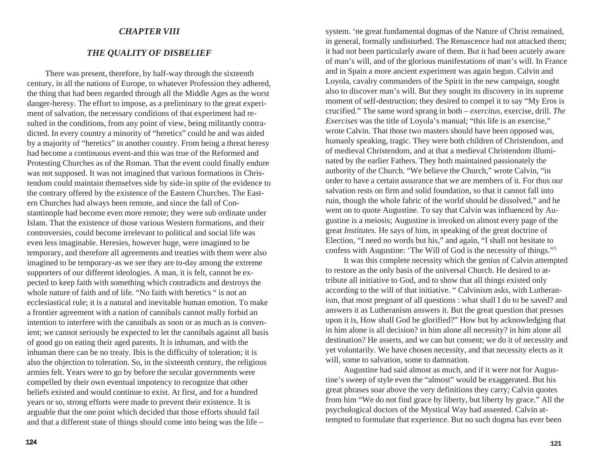### *CHAPTER VIII*

### *THE QUALITY OF DISBELIEF*

There was present, therefore, by half-way through the sixteenth century, in all the nations of Europe, to whatever Profession they adhered, the thing that had been regarded through all the Middle Ages as the worst danger-heresy. The effort to impose, as a preliminary to the great experiment of salvation, the necessary conditions of that experiment had resulted in the conditions, from any point of view, being militantly contradicted. In every country a minority of "heretics" could he and was aided by a majority of "heretics" in another country. From being a threat heresy had become a continuous event-and this was true of the Reformed and Protesting Churches as of the Roman. That the event could finally endure was not supposed. It was not imagined that various formations in Christendom could maintain themselves side by side-in spite of the evidence to the contrary offered by the existence of the Eastern Churches. The Eastern Churches had always been remote, and since the fall of Constantinople had become even more remote; they were sub ordinate under Islam. That the existence of those various Western formations, and their controversies, could become irrelevant to political and social life was even less imaginable. Heresies, however huge, were imagined to be temporary, and therefore all agreements and treaties with them were also imagined to be temporary-as we see they are to-day among the extreme supporters of our different ideologies. A man, it is felt, cannot be expected to keep faith with something which contradicts and destroys the whole nature of faith and of life. "No faith with heretics " is not an ecclesiastical rule; it is a natural and inevitable human emotion. To make a frontier agreement with a nation of cannibals cannot really forbid an intention to interfere with the cannibals as soon or as much as is convenient; we cannot seriously be expected to let the cannibals against all basis of good go on eating their aged parents. It is inhuman, and with the inhuman there can be no treaty. Ibis is the difficulty of toleration; it is also the objection to toleration. So, in the sixteenth century, the religious armies felt. Years were to go by before the secular governments were compelled by their own eventual impotency to recognize that other beliefs existed and would continue to exist. At first, and for a hundred years or so, strong efforts were made to prevent their existence. It is arguable that the one point which decided that those efforts should fail and that a different state of things should come into being was the life –

system. 'ne great fundamental dogmas of the Nature of Christ remained, in general, formally undisturbed. The Renascence had not attacked them; it had not been particularly aware of them. But it had been acutely aware of man's will, and of the glorious manifestations of man's will. In France and in Spain a more ancient experiment was again begun. Calvin and Loyola, cavalry commanders of the Spirit in the new campaign, sought also to discover man's will. But they sought its discovery in its supreme moment of self-destruction; they desired to compel it to say "My Eros is crucified." The same word sprang in both – *exercitus,* exercise, drill. *The Exercises* was the title of Loyola's manual; "this life is an exercise," wrote Calvin. That those two masters should have been opposed was, humanly speaking, tragic. They were both children of Christendom, and of medieval Christendom, and at that a medieval Christendom illuminated by the earlier Fathers. They both maintained passionately the authority of the Church. "We believe the Church," wrote Calvin, "in order to have a certain assurance that we are members of it. For thus our salvation rests on firm and solid foundation, so that it cannot fall into ruin, though the whole fabric of the world should be dissolved," and he went on to quote Augustine. To say that Calvin was influenced by Augustine is a meiosis; Augustine is invoked on almost every page of the great *Institutes.* He says of him, in speaking of the great doctrine of Election, "I need no words but his," and again, "I shall not hesitate to confess with Augustine: 'The Will of God is the necessity of things."3

It was this complete necessity which the genius of Calvin attempted to restore as the only basis of the universal Church. He desired to attribute all initiative to God, and to show that all things existed only according to the will of that initiative. " Calvinism asks, with Lutheranism, that most pregnant of all questions : what shall I do to be saved? and answers it as Lutheranism answers it. But the great question that presses upon it is, How shall God be glorified?" How but by acknowledging that in him alone is all decision? in him alone all necessity? in him alone all destination? He asserts, and we can but consent; we do it of necessity and yet voluntarily. We have chosen necessity, and that necessity elects as it will, some to salvation, some to damnation.

Augustine had said almost as much, and if it were not for Augustine's sweep of style even the "almost" would be exaggerated. But his great phrases soar above the very definitions they carry; Calvin quotes from him "We do not find grace by liberty, but liberty by grace." All the psychological doctors of the Mystical Way had assented. Calvin attempted to formulate that experience. But no such dogma has ever been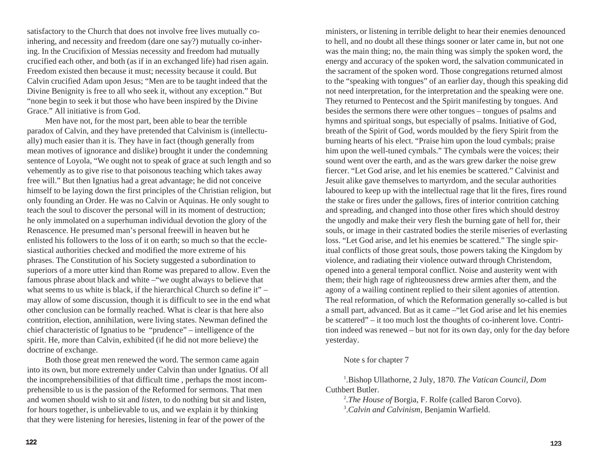satisfactory to the Church that does not involve free lives mutually coinhering, and necessity and freedom (dare one say?) mutually co-inhering. In the Crucifixion of Messias necessity and freedom had mutually crucified each other, and both (as if in an exchanged life) had risen again. Freedom existed then because it must; necessity because it could. But Calvin crucified Adam upon Jesus; "Men are to be taught indeed that the Divine Benignity is free to all who seek it, without any exception." But "none begin to seek it but those who have been inspired by the Divine Grace." All initiative is from God.

Men have not, for the most part, been able to bear the terrible paradox of Calvin, and they have pretended that Calvinism is (intellectually) much easier than it is. They have in fact (though generally from mean motives of ignorance and dislike) brought it under the condemning sentence of Loyola, "We ought not to speak of grace at such length and so vehemently as to give rise to that poisonous teaching which takes away free will." But then Ignatius had a great advantage; he did not conceive himself to be laying down the first principles of the Christian religion, but only founding an Order. He was no Calvin or Aquinas. He only sought to teach the soul to discover the personal will in its moment of destruction; he only immolated on a superhuman individual devotion the glory of the Renascence. He presumed man's personal freewill in heaven but he enlisted his followers to the loss of it on earth; so much so that the ecclesiastical authorities checked and modified the more extreme of his phrases. The Constitution of his Society suggested a subordination to superiors of a more utter kind than Rome was prepared to allow. Even the famous phrase about black and white –"we ought always to believe that what seems to us white is black, if the hierarchical Church so define it" – may allow of some discussion, though it is difficult to see in the end what other conclusion can be formally reached. What is clear is that here also contrition, election, annihilation, were living states. Newman defined the chief characteristic of Ignatius to be "prudence" – intelligence of the spirit. He, more than Calvin, exhibited (if he did not more believe) the doctrine of exchange.

Both those great men renewed the word. The sermon came again into its own, but more extremely under Calvin than under Ignatius. Of all the incomprehensibilities of that difficult time , perhaps the most incomprehensible to us is the passion of the Reformed for sermons. That men and women should wish to sit and *listen,* to do nothing but sit and listen, for hours together, is unbelievable to us, and we explain it by thinking that they were listening for heresies, listening in fear of the power of the

ministers, or listening in terrible delight to hear their enemies denounced to hell, and no doubt all these things sooner or later came in, but not one was the main thing; no, the main thing was simply the spoken word, the energy and accuracy of the spoken word, the salvation communicated in the sacrament of the spoken word. Those congregations returned almost to the "speaking with tongues" of an earlier day, though this speaking did not need interpretation, for the interpretation and the speaking were one. They returned to Pentecost and the Spirit manifesting by tongues. And besides the sermons there were other tongues – tongues of psalms and hymns and spiritual songs, but especially of psalms. Initiative of God, breath of the Spirit of God, words moulded by the fiery Spirit from the burning hearts of his elect. "Praise him upon the loud cymbals; praise him upon the well-tuned cymbals." The cymbals were the voices; their sound went over the earth, and as the wars grew darker the noise grew fiercer. "Let God arise, and let his enemies be scattered." Calvinist and Jesuit alike gave themselves to martyrdom, and the secular authorities laboured to keep up with the intellectual rage that lit the fires, fires round the stake or fires under the gallows, fires of interior contrition catching and spreading, and changed into those other fires which should destroy the ungodly and make their very flesh the burning gate of hell for, their souls, or image in their castrated bodies the sterile miseries of everlasting loss. "Let God arise, and let his enemies be scattered." The single spiritual conflicts of those great souls, those powers taking the Kingdom by violence, and radiating their violence outward through Christendom, opened into a general temporal conflict. Noise and austerity went with them; their high rage of righteousness drew armies after them, and the agony of a wailing continent replied to their silent agonies of attention. The real reformation, of which the Reformation generally so-called is but a small part, advanced. But as it came –"let God arise and let his enemies be scattered" – it too much lost the thoughts of co-inherent love. Contrition indeed was renewed – but not for its own day, only for the day before yesterday.

#### Note s for chapter 7

1.Bishop Ullathorne, 2 July, 1870. *The Vatican Council, Dom* Cuthbert Butler.

2 .*The House of* Borgia, F. Rolfe (called Baron Corvo).

3 .*Calvin and Calvinism*, Benjamin Warfield.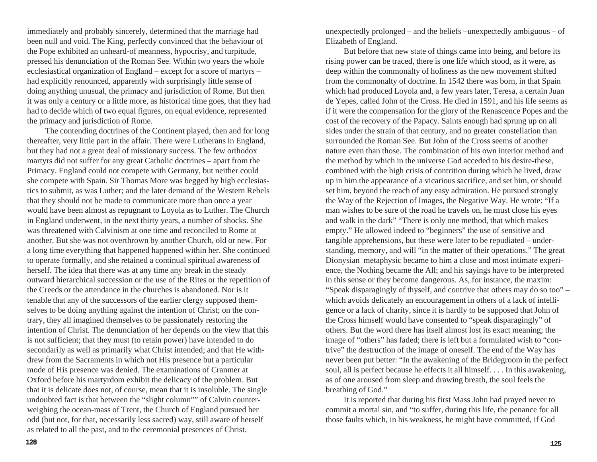immediately and probably sincerely, determined that the marriage had been null and void. The King, perfectly convinced that the behaviour of the Pope exhibited an unheard-of meanness, hypocrisy, and turpitude, pressed his denunciation of the Roman See. Within two years the whole ecclesiastical organization of England – except for a score of martyrs – had explicitly renounced, apparently with surprisingly little sense of doing anything unusual, the primacy and jurisdiction of Rome. But then it was only a century or a little more, as historical time goes, that they had had to decide which of two equal figures, on equal evidence, represented the primacy and jurisdiction of Rome.

The contending doctrines of the Continent played, then and for long thereafter, very little part in the affair. There were Lutherans in England, but they had not a great deal of missionary success. The few orthodox martyrs did not suffer for any great Catholic doctrines – apart from the Primacy. England could not compete with Germany, but neither could she compete with Spain. Sir Thomas More was begged by high ecclesiastics to submit, as was Luther; and the later demand of the Western Rebels that they should not be made to communicate more than once a year would have been almost as repugnant to Loyola as to Luther. The Church in England underwent, in the next thirty years, a number of shocks. She was threatened with Calvinism at one time and reconciled to Rome at another. But she was not overthrown by another Church, old or new. For a long time everything that happened happened within her. She continued to operate formally, and she retained a continual spiritual awareness of herself. The idea that there was at any time any break in the steady outward hierarchical succession or the use of the Rites or the repetition of the Creeds or the attendance in the churches is abandoned. Nor is it tenable that any of the successors of the earlier clergy supposed themselves to be doing anything against the intention of Christ; on the contrary, they all imagined themselves to be passionately restoring the intention of Christ. The denunciation of her depends on the view that this is not sufficient; that they must (to retain power) have intended to do secondarily as well as primarily what Christ intended; and that He withdrew from the Sacraments in which not His presence but a particular mode of His presence was denied. The examinations of Cranmer at Oxford before his martyrdom exhibit the delicacy of the problem. But that it is delicate does not, of course, mean that it is insoluble. The single undoubted fact is that between the "slight column"" of Calvin counterweighing the ocean-mass of Trent, the Church of England pursued her odd (but not, for that, necessarily less sacred) way, still aware of herself as related to all the past, and to the ceremonial presences of Christ.

unexpectedly prolonged – and the beliefs –unexpectedly ambiguous – of Elizabeth of England.

But before that new state of things came into being, and before its rising power can be traced, there is one life which stood, as it were, as deep within the commonalty of holiness as the new movement shifted from the commonalty of doctrine. In 1542 there was born, in that Spain which had produced Loyola and, a few years later, Teresa, a certain Juan de Yepes, called John of the Cross. He died in 1591, and his life seems as if it were the compensation for the glory of the Renascence Popes and the cost of the recovery of the Papacy. Saints enough had sprung up on all sides under the strain of that century, and no greater constellation than surrounded the Roman See. But John of the Cross seems of another nature even than those. The combination of his own interior method and the method by which in the universe God acceded to his desire-these, combined with the high crisis of contrition during which he lived, draw up in him the appearance of a vicarious sacrifice, and set him, or should set him, beyond the reach of any easy admiration. He pursued strongly the Way of the Rejection of Images, the Negative Way. He wrote: "If a man wishes to be sure of the road he travels on, he must close his eyes and walk in the dark" "There is only one method, that which makes empty." He allowed indeed to "beginners" the use of sensitive and tangible apprehensions, but these were later to be repudiated – understanding, memory, and will "in the matter of their operations." The great Dionysian metaphysic became to him a close and most intimate experience, the Nothing became the All; and his sayings have to be interpreted in this sense or they become dangerous. As, for instance, the maxim: "Speak disparagingly of thyself, and contrive that others may do so too" – which avoids delicately an encouragement in others of a lack of intelligence or a lack of charity, since it is hardly to be supposed that John of the Cross himself would have consented to "speak disparagingly" of others. But the word there has itself almost lost its exact meaning; the image of "others" has faded; there is left but a formulated wish to "contrive" the destruction of the image of oneself. The end of the Way has never been put better: "In the awakening of the Bridegroom in the perfect soul, all is perfect because he effects it all himself. . . . In this awakening, as of one aroused from sleep and drawing breath, the soul feels the breathing of God."

It is reported that during his first Mass John had prayed never to commit a mortal sin, and "to suffer, during this life, the penance for all those faults which, in his weakness, he might have committed, if God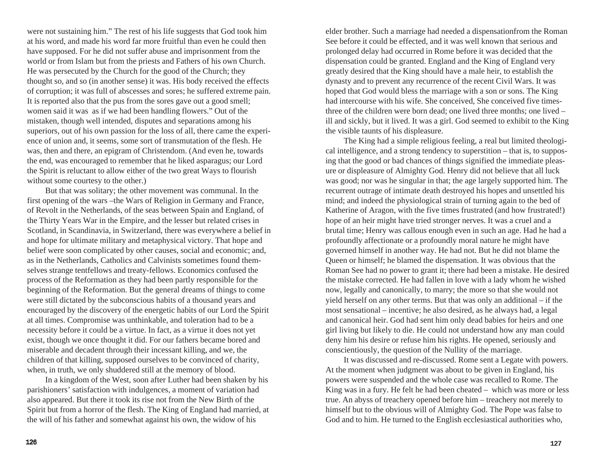were not sustaining him." The rest of his life suggests that God took him at his word, and made his word far more fruitful than even he could then have supposed. For he did not suffer abuse and imprisonment from the world or from Islam but from the priests and Fathers of his own Church. He was persecuted by the Church for the good of the Church; they thought so, and so (in another sense) it was. His body received the effects of corruption; it was full of abscesses and sores; he suffered extreme pain. It is reported also that the pus from the sores gave out a good smell; women said it was as if we had been handling flowers." Out of the mistaken, though well intended, disputes and separations among his superiors, out of his own passion for the loss of all, there came the experience of union and, it seems, some sort of transmutation of the flesh. He was, then and there, an epigram of Christendom. (And even he, towards the end, was encouraged to remember that he liked asparagus; our Lord the Spirit is reluctant to allow either of the two great Ways to flourish without some courtesy to the other.)

But that was solitary; the other movement was communal. In the first opening of the wars –the Wars of Religion in Germany and France, of Revolt in the Netherlands, of the seas between Spain and England, of the Thirty Years War in the Empire, and the lesser but related crises in Scotland, in Scandinavia, in Switzerland, there was everywhere a belief in and hope for ultimate military and metaphysical victory. That hope and belief were soon complicated by other causes, social and economic; and, as in the Netherlands, Catholics and Calvinists sometimes found themselves strange tentfellows and treaty-fellows. Economics confused the process of the Reformation as they had been partly responsible for the beginning of the Reformation. But the general dreams of things to come were still dictated by the subconscious habits of a thousand years and encouraged by the discovery of the energetic habits of our Lord the Spirit at all times. Compromise was unthinkable, and toleration had to be a necessity before it could be a virtue. In fact, as a virtue it does not yet exist, though we once thought it did. For our fathers became bored and miserable and decadent through their incessant killing, and we, the children of that killing, supposed ourselves to be convinced of charity, when, in truth, we only shuddered still at the memory of blood.

In a kingdom of the West, soon after Luther had been shaken by his parishioners' satisfaction with indulgences, a moment of variation had also appeared. But there it took its rise not from the New Birth of the Spirit but from a horror of the flesh. The King of England had married, at the will of his father and somewhat against his own, the widow of his

elder brother. Such a marriage had needed a dispensationfrom the Roman See before it could be effected, and it was well known that serious and prolonged delay had occurred in Rome before it was decided that the dispensation could be granted. England and the King of England very greatly desired that the King should have a male heir, to establish the dynasty and to prevent any recurrence of the recent Civil Wars. It was hoped that God would bless the marriage with a son or sons. The King had intercourse with his wife. She conceived, She conceived five timesthree of the children were born dead; one lived three months; one lived  $$ ill and sickly, but it lived. It was a girl. God seemed to exhibit to the King the visible taunts of his displeasure.

The King had a simple religious feeling, a real but limited theological intelligence, and a strong tendency to superstition – that is, to supposing that the good or bad chances of things signified the immediate pleasure or displeasure of Almighty God. Henry did not believe that all luck was good; nor was he singular in that; the age largely supported him. The recurrent outrage of intimate death destroyed his hopes and unsettled his mind; and indeed the physiological strain of turning again to the bed of Katherine of Aragon, with the five times frustrated (and how frustrated!) hope of an heir might have tried stronger nerves. It was a cruel and a brutal time; Henry was callous enough even in such an age. Had he had a profoundly affectionate or a profoundly moral nature he might have governed himself in another way. He had not. But he did not blame the Queen or himself; he blamed the dispensation. It was obvious that the Roman See had no power to grant it; there had been a mistake. He desired the mistake corrected. He had fallen in love with a lady whom he wished now, legally and canonically, to marry; the more so that she would not yield herself on any other terms. But that was only an additional – if the most sensational – incentive; he also desired, as he always had, a legal and canonical heir. God had sent him only dead babies for heirs and one girl living but likely to die. He could not understand how any man could deny him his desire or refuse him his rights. He opened, seriously and conscientiously, the question of the Nullity of the marriage.

It was discussed and re-discussed. Rome sent a Legate with powers. At the moment when judgment was about to be given in England, his powers were suspended and the whole case was recalled to Rome. The King was in a fury. He felt he had been cheated – which was more or less true. An abyss of treachery opened before him – treachery not merely to himself but to the obvious will of Almighty God. The Pope was false to God and to him. He turned to the English ecclesiastical authorities who,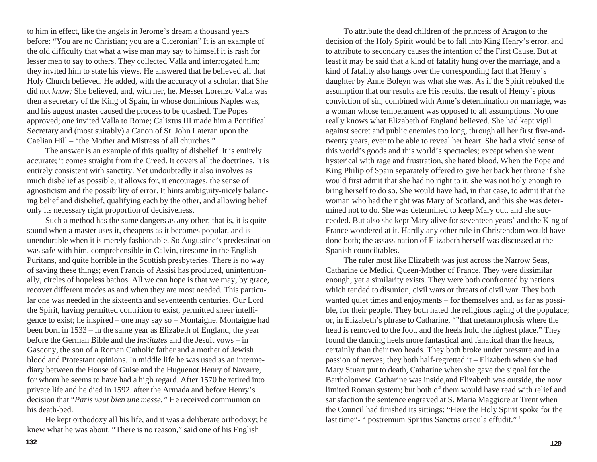to him in effect, like the angels in Jerome's dream a thousand years before: "You are no Christian; you are a Ciceronian" It is an example of the old difficulty that what a wise man may say to himself it is rash for lesser men to say to others. They collected Valla and interrogated him; they invited him to state his views. He answered that he believed all that Holy Church believed. He added, with the accuracy of a scholar, that She did not *know;* She believed, and, with her, he. Messer Lorenzo Valla was then a secretary of the King of Spain, in whose dominions Naples was, and his august master caused the process to be quashed. The Popes approved; one invited Valla to Rome; Calixtus III made him a Pontifical Secretary and (most suitably) a Canon of St. John Lateran upon the Caelian Hill – "the Mother and Mistress of all churches."

The answer is an example of this quality of disbelief. It is entirely accurate; it comes straight from the Creed. It covers all the doctrines. It is entirely consistent with sanctity. Yet undoubtedly it also involves as much disbelief as possible; it allows for, it encourages, the sense of agnosticism and the possibility of error. It hints ambiguity-nicely balancing belief and disbelief, qualifying each by the other, and allowing belief only its necessary right proportion of decisiveness.

Such a method has the same dangers as any other; that is, it is quite sound when a master uses it, cheapens as it becomes popular, and is unendurable when it is merely fashionable. So Augustine's predestination was safe with him, comprehensible in Calvin, tiresome in the English Puritans, and quite horrible in the Scottish presbyteries. There is no way of saving these things; even Francis of Assisi has produced, unintentionally, circles of hopeless bathos. All we can hope is that we may, by grace, recover different modes as and when they are most needed. This particular one was needed in the sixteenth and seventeenth centuries. Our Lord the Spirit, having permitted contrition to exist, permitted sheer intelligence to exist; he inspired – one may say so – Montaigne. Montaigne had been born in 1533 – in the same year as Elizabeth of England, the year before the German Bible and the *Institutes* and the Jesuit vows – in Gascony, the son of a Roman Catholic father and a mother of Jewish blood and Protestant opinions. In middle life he was used as an intermediary between the House of Guise and the Huguenot Henry of Navarre, for whom he seems to have had a high regard. After 1570 he retired into private life and he died in 1592, after the Armada and before Henry's decision that "*Paris vaut bien une messe."* He received communion on his death-bed.

He kept orthodoxy all his life, and it was a deliberate orthodoxy; he knew what he was about. "There is no reason," said one of his English

To attribute the dead children of the princess of Aragon to the decision of the Holy Spirit would be to fall into King Henry's error, and to attribute to secondary causes the intention of the First Cause. But at least it may be said that a kind of fatality hung over the marriage, and a kind of fatality also hangs over the corresponding fact that Henry's daughter by Anne Boleyn was what she was. As if the Spirit rebuked the assumption that our results are His results, the result of Henry's pious conviction of sin, combined with Anne's determination on marriage, was a woman whose temperament was opposed to all assumptions. No one really knows what Elizabeth of England believed. She had kept vigil against secret and public enemies too long, through all her first five-andtwenty years, ever to be able to reveal her heart. She had a vivid sense of this world's goods and this world's spectacles; except when she went hysterical with rage and frustration, she hated blood. When the Pope and King Philip of Spain separately offered to give her back her throne if she would first admit that she had no right to it, she was not holy enough to bring herself to do so. She would have had, in that case, to admit that the woman who had the right was Mary of Scotland, and this she was determined not to do. She was determined to keep Mary out, and she succeeded. But also she kept Mary alive for seventeen years' and the King of France wondered at it. Hardly any other rule in Christendom would have done both; the assassination of Elizabeth herself was discussed at the Spanish counciltables.

The ruler most like Elizabeth was just across the Narrow Seas, Catharine de Medici, Queen-Mother of France. They were dissimilar enough, yet a similarity exists. They were both confronted by nations which tended to disunion, civil wars or threats of civil war. They both wanted quiet times and enjoyments – for themselves and, as far as possible, for their people. They both hated the religious raging of the populace; or, in Elizabeth's phrase to Catharine, ""that metamorphosis where the head is removed to the foot, and the heels hold the highest place." They found the dancing heels more fantastical and fanatical than the heads, certainly than their two heads. They both broke under pressure and in a passion of nerves; they both half-regretted it – Elizabeth when she had Mary Stuart put to death, Catharine when she gave the signal for the Bartholomew. Catharine was inside,and Elizabeth was outside, the now limited Roman system; but both of them would have read with relief and satisfaction the sentence engraved at S. Maria Maggiore at Trent when the Council had finished its sittings: "Here the Holy Spirit spoke for the last time"- " postremum Spiritus Sanctus oracula effudit." <sup>1</sup>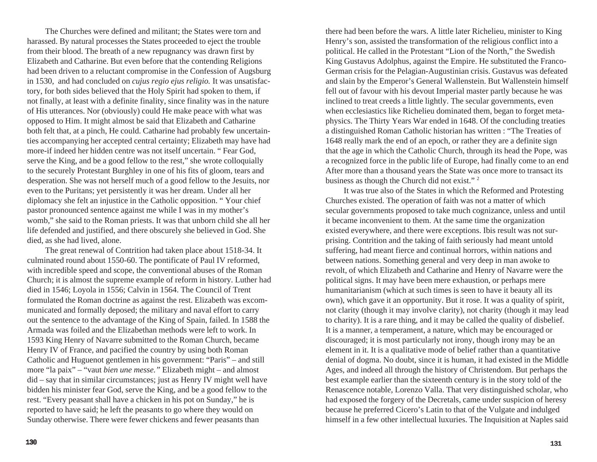The Churches were defined and militant; the States were torn and harassed. By natural processes the States proceeded to eject the trouble from their blood. The breath of a new repugnancy was drawn first by Elizabeth and Catharine. But even before that the contending Religions had been driven to a reluctant compromise in the Confession of Augsburg in 1530, and had concluded on *cujus regio ejus religio.* It was unsatisfactory, for both sides believed that the Holy Spirit had spoken to them, if not finally, at least with a definite finality, since finality was in the nature of His utterances. Nor (obviously) could He make peace with what was opposed to Him. It might almost be said that Elizabeth and Catharine both felt that, at a pinch, He could. Catharine had probably few uncertainties accompanying her accepted central certainty; Elizabeth may have had more-if indeed her hidden centre was not itself uncertain. " Fear God, serve the King, and be a good fellow to the rest," she wrote colloquially to the securely Protestant Burghley in one of his fits of gloom, tears and desperation. She was not herself much of a good fellow to the Jesuits, nor even to the Puritans; yet persistently it was her dream. Under all her diplomacy she felt an injustice in the Catholic opposition. " Your chief pastor pronounced sentence against me while I was in my mother's womb," she said to the Roman priests. It was that unborn child she all her life defended and justified, and there obscurely she believed in God. She died, as she had lived, alone.

The great renewal of Contrition had taken place about 1518-34. It culminated round about 1550-60. The pontificate of Paul IV reformed, with incredible speed and scope, the conventional abuses of the Roman Church; it is almost the supreme example of reform in history. Luther had died in 1546; Loyola in 1556; Calvin in 1564. The Council of Trent formulated the Roman doctrine as against the rest. Elizabeth was excommunicated and formally deposed; the military and naval effort to carry out the sentence to the advantage of the King of Spain, failed. In 1588 the Armada was foiled and the Elizabethan methods were left to work. In 1593 King Henry of Navarre submitted to the Roman Church, became Henry IV of France, and pacified the country by using both Roman Catholic and Huguenot gentlemen in his government: "Paris" – and still more "la paix" – "vaut *bien une messe."* Elizabeth might – and almost did – say that in similar circumstances; just as Henry IV might well have bidden his minister fear God, serve the King, and be a good fellow to the rest. "Every peasant shall have a chicken in his pot on Sunday," he is reported to have said; he left the peasants to go where they would on Sunday otherwise. There were fewer chickens and fewer peasants than

there had been before the wars. A little later Richelieu, minister to King Henry's son, assisted the transformation of the religious conflict into a political. He called in the Protestant "Lion of the North," the Swedish King Gustavus Adolphus, against the Empire. He substituted the Franco-German crisis for the Pelagian-Augustinian crisis. Gustavus was defeated and slain by the Emperor's General Wallenstein. But Wallenstein himself fell out of favour with his devout Imperial master partly because he was inclined to treat creeds a little lightly. The secular governments, even when ecclesiastics like Richelieu dominated them, began to forget metaphysics. The Thirty Years War ended in 1648. Of the concluding treaties a distinguished Roman Catholic historian has written : "The Treaties of 1648 really mark the end of an epoch, or rather they are a definite sign that the age in which the Catholic Church, through its head the Pope, was a recognized force in the public life of Europe, had finally come to an end After more than a thousand years the State was once more to transact its business as though the Church did not exist." 2

It was true also of the States in which the Reformed and Protesting Churches existed. The operation of faith was not a matter of which secular governments proposed to take much cognizance, unless and until it became inconvenient to them. At the same time the organization existed everywhere, and there were exceptions. Ibis result was not surprising. Contrition and the taking of faith seriously had meant untold suffering, had meant fierce and continual horrors, within nations and between nations. Something general and very deep in man awoke to revolt, of which Elizabeth and Catharine and Henry of Navarre were the political signs. It may have been mere exhaustion, or perhaps mere humanitarianism (which at such times is seen to have it beauty all its own), which gave it an opportunity. But it rose. It was a quality of spirit, not clarity (though it may involve clarity), not charity (though it may lead to charity). It is a rare thing, and it may be called the quality of disbelief. It is a manner, a temperament, a nature, which may be encouraged or discouraged; it is most particularly not irony, though irony may be an element in it. It is a qualitative mode of belief rather than a quantitative denial of dogma. No doubt, since it is human, it had existed in the Middle Ages, and indeed all through the history of Christendom. But perhaps the best example earlier than the sixteenth century is in the story told of the Renascence notable, Lorenzo Valla. That very distinguished scholar, who had exposed the forgery of the Decretals, came under suspicion of heresy because he preferred Cicero's Latin to that of the Vulgate and indulged himself in a few other intellectual luxuries. The Inquisition at Naples said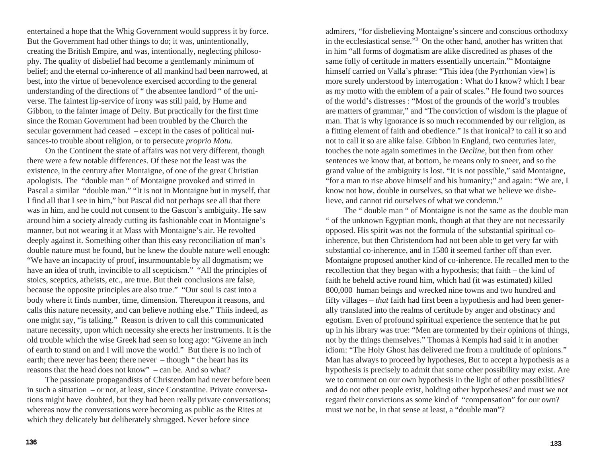entertained a hope that the Whig Government would suppress it by force. But the Government had other things to do; it was, unintentionally, creating the British Empire, and was, intentionally, neglecting philosophy. The quality of disbelief had become a gentlemanly minimum of belief; and the eternal co-inherence of all mankind had been narrowed, at best, into the virtue of benevolence exercised according to the general understanding of the directions of " the absentee landlord " of the universe. The faintest lip-service of irony was still paid, by Hume and Gibbon, to the fainter image of Deity. But practically for the first time since the Roman Government had been troubled by the Church the secular government had ceased – except in the cases of political nuisances-to trouble about religion, or to persecute *proprio Motu.*

On the Continent the state of affairs was not very different, though there were a few notable differences. Of these not the least was the existence, in the century after Montaigne, of one of the great Christian apologists. The "double man " of Montaigne provoked and stirred in Pascal a similar "double man." "It is not in Montaigne but in myself, that I find all that I see in him," but Pascal did not perhaps see all that there was in him, and he could not consent to the Gascon's ambiguity. He saw around him a society already cutting its fashionable coat in Montaigne's manner, but not wearing it at Mass with Montaigne's air. He revolted deeply against it. Something other than this easy reconciliation of man's double nature must be found, but he knew the double nature well enough: "We have an incapacity of proof, insurmountable by all dogmatism; we have an idea of truth, invincible to all scepticism." "All the principles of stoics, sceptics, atheists, etc., are true. But their conclusions are false, because the opposite principles are also true." "Our soul is cast into a body where it finds number, time, dimension. Thereupon it reasons, and calls this nature necessity, and can believe nothing else." Thiis indeed, as one might say, "is talking." Reason is driven to call this communicated nature necessity, upon which necessity she erects her instruments. It is the old trouble which the wise Greek had seen so long ago: "Giveme an inch of earth to stand on and I will move the world." But there is no inch of earth; there never has been; there never – though " the heart has its reasons that the head does not know" – can be. And so what?

The passionate propagandists of Christendom had never before been in such a situation – or not, at least, since Constantine. Private conversations might have doubted, but they had been really private conversations; whereas now the conversations were becoming as public as the Rites at which they delicately but deliberately shrugged. Never before since

admirers, "for disbelieving Montaigne's sincere and conscious orthodoxy in the ecclesiastical sense."3 On the other hand, another has written that in him "all forms of dogmatism are alike discredited as phases of the same folly of certitude in matters essentially uncertain."4 Montaigne himself carried on Valla's phrase: "This idea (the Pyrrhonian view) is more surely understood by interrogation : What do I know? which I bear as my motto with the emblem of a pair of scales." He found two sources of the world's distresses : "Most of the grounds of the world's troubles are matters of grammar," and "The conviction of wisdom is the plague of man. That is why ignorance is so much recommended by our religion, as a fitting element of faith and obedience." Is that ironical? to call it so and not to call it so are alike false. Gibbon in England, two centuries later, touches the note again sometimes in the *Decline,* but then from other sentences we know that, at bottom, he means only to sneer, and so the grand value of the ambiguity is lost. "It is not possible," said Montaigne, "for a man to rise above himself and his humanity;" and again: "We are, I know not how, double in ourselves, so that what we believe we disbelieve, and cannot rid ourselves of what we condemn."

The " double man " of Montaigne is not the same as the double man " of the unknown Egyptian monk, though at that they are not necessarily opposed. His spirit was not the formula of the substantial spiritual coinherence, but then Christendom had not been able to get very far with substantial co-inherence, and in 1580 it seemed farther off than ever. Montaigne proposed another kind of co-inherence. He recalled men to the recollection that they began with a hypothesis; that faith – the kind of faith he beheld active round him, which had (it was estimated) killed 800,000 human beings and wrecked nine towns and two hundred and fifty villages – *that* faith had first been a hypothesis and had been generally translated into the realms of certitude by anger and obstinacy and egotism. Even of profound spiritual experience the sentence that he put up in his library was true: "Men are tormented by their opinions of things, not by the things themselves." Thomas à Kempis had said it in another idiom: "The Holy Ghost has delivered me from a multitude of opinions." Man has always to proceed by hypotheses, But to accept a hypothesis as a hypothesis is precisely to admit that some other possibility may exist. Are we to comment on our own hypothesis in the light of other possibilities? and do not other people exist, holding other hypotheses? and must we not regard their convictions as some kind of "compensation" for our own? must we not be, in that sense at least, a "double man"?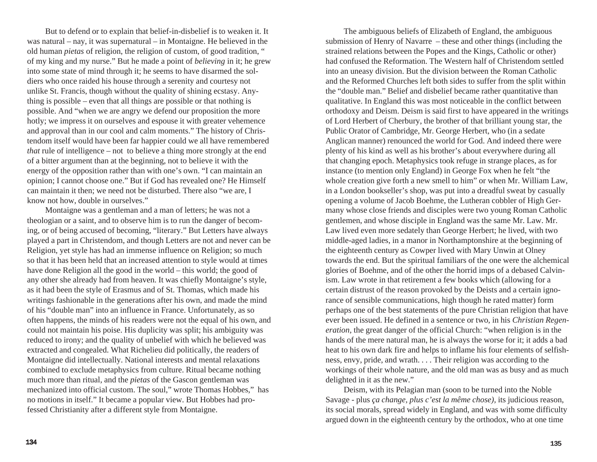But to defend or to explain that belief-in-disbelief is to weaken it. It was natural – nay, it was supernatural – in Montaigne. He believed in the old human *pietas* of religion, the religion of custom, of good tradition, " of my king and my nurse." But he made a point of *believing* in it; he grew into some state of mind through it; he seems to have disarmed the soldiers who once raided his house through a serenity and courtesy not unlike St. Francis, though without the quality of shining ecstasy. Anything is possible – even that all things are possible or that nothing is possible. And "when we are angry we defend our proposition the more hotly; we impress it on ourselves and espouse it with greater vehemence and approval than in our cool and calm moments." The history of Christendom itself would have been far happier could we all have remembered *that* rule of intelligence – not to believe a thing more strongly at the end of a bitter argument than at the beginning, not to believe it with the energy of the opposition rather than with one's own. "I can maintain an opinion; I cannot choose one." But if God has revealed one? He Himself can maintain it then; we need not be disturbed. There also "we are, I know not how, double in ourselves."

Montaigne was a gentleman and a man of letters; he was not a theologian or a saint, and to observe him is to run the danger of becoming, or of being accused of becoming, "literary." But Letters have always played a part in Christendom, and though Letters are not and never can be Religion, yet style has had an immense influence on Religion; so much so that it has been held that an increased attention to style would at times have done Religion all the good in the world – this world; the good of any other she already had from heaven. It was chiefly Montaigne's style, as it had been the style of Erasmus and of St. Thomas, which made his writings fashionable in the generations after his own, and made the mind of his "double man" into an influence in France. Unfortunately, as so often happens, the minds of his readers were not the equal of his own, and could not maintain his poise. His duplicity was split; his ambiguity was reduced to irony; and the quality of unbelief with which he believed was extracted and congealed. What Richelieu did politically, the readers of Montaigne did intellectually. National interests and mental relaxations combined to exclude metaphysics from culture. Ritual became nothing much more than ritual, and the *pietas* of the Gascon gentleman was mechanized into official custom. The soul," wrote Thomas Hobbes," has no motions in itself." It became a popular view. But Hobbes had professed Christianity after a different style from Montaigne.

The ambiguous beliefs of Elizabeth of England, the ambiguous submission of Henry of Navarre – these and other things (including the strained relations between the Popes and the Kings, Catholic or other) had confused the Reformation. The Western half of Christendom settled into an uneasy division. But the division between the Roman Catholic and the Reformed Churches left both sides to suffer from the split within the "double man." Belief and disbelief became rather quantitative than qualitative. In England this was most noticeable in the conflict between orthodoxy and Deism. Deism is said first to have appeared in the writings of Lord Herbert of Cherbury, the brother of that brilliant young star, the Public Orator of Cambridge, Mr. George Herbert, who (in a sedate Anglican manner) renounced the world for God. And indeed there were plenty of his kind as well as his brother's about everywhere during all that changing epoch. Metaphysics took refuge in strange places, as for instance (to mention only England) in George Fox when he felt "the whole creation give forth a new smell to him" or when Mr. William Law, in a London bookseller's shop, was put into a dreadful sweat by casually opening a volume of Jacob Boehme, the Lutheran cobbler of High Germany whose close friends and disciples were two young Roman Catholic gentlemen, and whose disciple in England was the same Mr. Law. Mr. Law lived even more sedately than George Herbert; he lived, with two middle-aged ladies, in a manor in Northamptonshire at the beginning of the eighteenth century as Cowper lived with Mary Unwin at Olney towards the end. But the spiritual familiars of the one were the alchemical glories of Boehme, and of the other the horrid imps of a debased Calvinism. Law wrote in that retirement a few books which (allowing for a certain distrust of the reason provoked by the Deists and a certain ignorance of sensible communications, high though he rated matter) form perhaps one of the best statements of the pure Christian religion that have ever been issued. He defined in a sentence or two, in his *Christian Regeneration,* the great danger of the official Church: "when religion is in the hands of the mere natural man, he is always the worse for it; it adds a bad heat to his own dark fire and helps to inflame his four elements of selfishness, envy, pride, and wrath. . . . Their religion was according to the workings of their whole nature, and the old man was as busy and as much delighted in it as the new."

Deism, with its Pelagian man (soon to be turned into the Noble Savage - plus *ça change, plus c'est la même chose),* its judicious reason, its social morals, spread widely in England, and was with some difficulty argued down in the eighteenth century by the orthodox, who at one time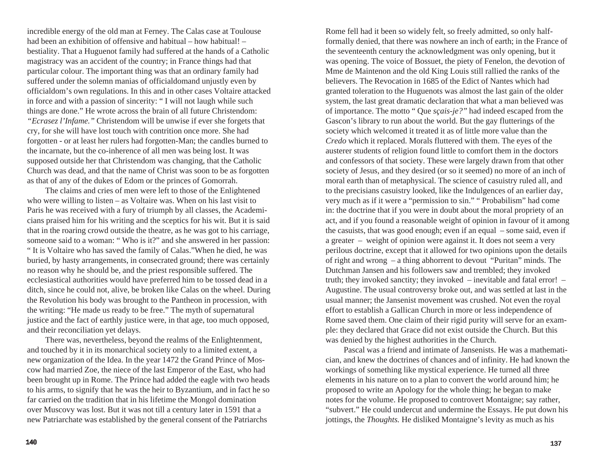incredible energy of the old man at Ferney. The Calas case at Toulouse had been an exhibition of offensive and habitual – how habitual! – bestiality. That a Huguenot family had suffered at the hands of a Catholic magistracy was an accident of the country; in France things had that particular colour. The important thing was that an ordinary family had suffered under the solemn manias of officialdomand unjustly even by officialdom's own regulations. In this and in other cases Voltaire attacked in force and with a passion of sincerity: " I will not laugh while such things are done." He wrote across the brain of all future Christendom: *"Ecrasez l'Infame."* Christendom will be unwise if ever she forgets that cry, for she will have lost touch with contrition once more. She had forgotten - or at least her rulers had forgotten-Man; the candles burned to the incarnate, but the co-inherence of all men was being lost. It was supposed outside her that Christendom was changing, that the Catholic Church was dead, and that the name of Christ was soon to be as forgotten as that of any of the dukes of Edom or the princes of Gomorrah.

The claims and cries of men were left to those of the Enlightened who were willing to listen – as Voltaire was. When on his last visit to Paris he was received with a fury of triumph by all classes, the Academicians praised him for his writing and the sceptics for his wit. But it is said that in the roaring crowd outside the theatre, as he was got to his carriage, someone said to a woman: " Who is it?" and she answered in her passion: " It is Voltaire who has saved the family of Calas."When he died, he was buried, by hasty arrangements, in consecrated ground; there was certainly no reason why he should be, and the priest responsible suffered. The ecclesiastical authorities would have preferred him to be tossed dead in a ditch, since he could not, alive, be broken like Calas on the wheel. During the Revolution his body was brought to the Pantheon in procession, with the writing: "He made us ready to be free." The myth of supernatural justice and the fact of earthly justice were, in that age, too much opposed, and their reconciliation yet delays.

There was, nevertheless, beyond the realms of the Enlightenment, and touched by it in its monarchical society only to a limited extent, a new organization of the Idea. In the year 1472 the Grand Prince of Moscow had married Zoe, the niece of the last Emperor of the East, who had been brought up in Rome. The Prince had added the eagle with two heads to his arms, to signify that he was the heir to Byzantium, and in fact he so far carried on the tradition that in his lifetime the Mongol domination over Muscovy was lost. But it was not till a century later in 1591 that a new Patriarchate was established by the general consent of the Patriarchs

Rome fell had it been so widely felt, so freely admitted, so only halfformally denied, that there was nowhere an inch of earth; in the France of the seventeenth century the acknowledgment was only opening, but it was opening. The voice of Bossuet, the piety of Fenelon, the devotion of Mme de Maintenon and the old King Louis still rallied the ranks of the believers. The Revocation in 1685 of the Edict of Nantes which had granted toleration to the Huguenots was almost the last gain of the older system, the last great dramatic declaration that what a man believed was of importance. The motto " Que *sçais-je?"* had indeed escaped from the Gascon's library to run about the world. But the gay flutterings of the society which welcomed it treated it as of little more value than the *Credo* which it replaced. Morals fluttered with them. The eyes of the austerer students of religion found little to comfort them in the doctors and confessors of that society. These were largely drawn from that other society of Jesus, and they desired (or so it seemed) no more of an inch of moral earth than of metaphysical. The science of casuistry ruled all, and to the precisians casuistry looked, like the Indulgences of an earlier day, very much as if it were a "permission to sin." " Probabilism" had come in: the doctrine that if you were in doubt about the moral propriety of an act, and if you found a reasonable weight of opinion in favour of it among the casuists, that was good enough; even if an equal – some said, even if a greater – weight of opinion were against it. It does not seem a very perilous doctrine, except that it allowed for two opinions upon the details of right and wrong – a thing abhorrent to devout "Puritan" minds. The Dutchman Jansen and his followers saw and trembled; they invoked truth; they invoked sanctity; they invoked – inevitable and fatal error! – Augustine. The usual controversy broke out, and was settled at last in the usual manner; the Jansenist movement was crushed. Not even the royal effort to establish a Gallican Church in more or less independence of Rome saved them. One claim of their rigid purity will serve for an example: they declared that Grace did not exist outside the Church. But this was denied by the highest authorities in the Church.

Pascal was a friend and intimate of Jansenists. He was a mathematician, and knew the doctrines of chances and of infinity. He had known the workings of something like mystical experience. He turned all three elements in his nature on to a plan to convert the world around him; he proposed to write an Apology for the whole thing; he began to make notes for the volume. He proposed to controvert Montaigne; say rather, "subvert." He could undercut and undermine the Essays. He put down his jottings, the *Thoughts.* He disliked Montaigne's levity as much as his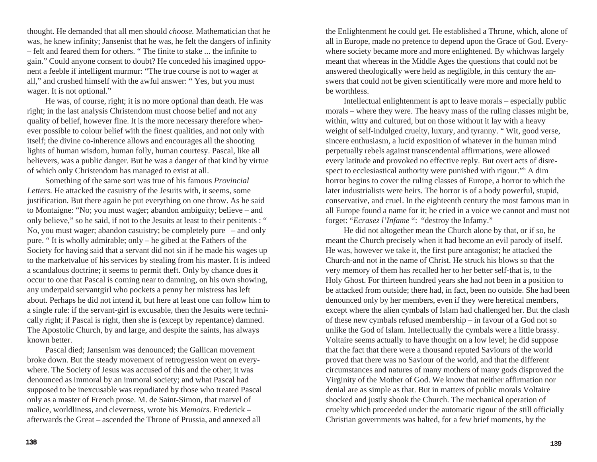thought. He demanded that all men should *choose.* Mathematician that he was, he knew infinity; Jansenist that he was, he felt the dangers of infinity – felt and feared them for others. " The finite to stake *...* the infinite to gain." Could anyone consent to doubt? He conceded his imagined opponent a feeble if intelligent murmur: "The true course is not to wager at all," and crushed himself with the awful answer: " Yes, but you must wager. It is not optional."

He was, of course, right; it is no more optional than death. He was right; in the last analysis Christendom must choose belief and not any quality of belief, however fine. It is the more necessary therefore whenever possible to colour belief with the finest qualities, and not only with itself; the divine co-inherence allows and encourages all the shooting lights of human wisdom, human folly, human courtesy. Pascal, like all believers, was a public danger. But he was a danger of that kind by virtue of which only Christendom has managed to exist at all.

Something of the same sort was true of his famous *Provincial* Letters. He attacked the casuistry of the Jesuits with, it seems, some justification. But there again he put everything on one throw. As he said to Montaigne: "No; you must wager; abandon ambiguity; believe – and only believe," so he said, if not to the Jesuits at least to their penitents : " No, you must wager; abandon casuistry; be completely pure – and only pure. " It is wholly admirable; only – he gibed at the Fathers of the Society for having said that a servant did not sin if he made his wages up to the marketvalue of his services by stealing from his master. It is indeed a scandalous doctrine; it seems to permit theft. Only by chance does it occur to one that Pascal is coming near to damning, on his own showing, any underpaid servantgirl who pockets a penny her mistress has left about. Perhaps he did not intend it, but here at least one can follow him to a single rule: if the servant-girl is excusable, then the Jesuits were technically right; if Pascal is right, then she is (except by repentance) damned. The Apostolic Church, by and large, and despite the saints, has always known better.

Pascal died; Jansenism was denounced; the Gallican movement broke down. But the steady movement of retrogression went on everywhere. The Society of Jesus was accused of this and the other; it was denounced as immoral by an immoral society; and what Pascal had supposed to be inexcusable was repudiated by those who treated Pascal only as a master of French prose. M. de Saint-Simon, that marvel of malice, worldliness, and cleverness, wrote his *Memoirs.* Frederick – afterwards the Great – ascended the Throne of Prussia, and annexed all

the Enlightenment he could get. He established a Throne, which, alone of all in Europe, made no pretence to depend upon the Grace of God. Everywhere society became more and more enlightened. By whichwas largely meant that whereas in the Middle Ages the questions that could not be answered theologically were held as negligible, in this century the answers that could not be given scientifically were more and more held to be worthless.

Intellectual enlightenment is apt to leave morals – especially public morals – where they were. The heavy mass of the ruling classes might be, within, witty and cultured, but on those without it lay with a heavy weight of self-indulged cruelty, luxury, and tyranny. " Wit, good verse, sincere enthusiasm, a lucid exposition of whatever in the human mind perpetually rebels against transcendental affirmations, were allowed every latitude and provoked no effective reply. But overt acts of disrespect to ecclesiastical authority were punished with rigour."5 A dim horror begins to cover the ruling classes of Europe, a horror to which the later industrialists were heirs. The horror is of a body powerful, stupid, conservative, and cruel. In the eighteenth century the most famous man in all Europe found a name for it; he cried in a voice we cannot and must not forget: "*Ecrasez l'Infame* ": "destroy the Infamy."

He did not altogether mean the Church alone by that, or if so, he meant the Church precisely when it had become an evil parody of itself. He was, however we take it, the first pure antagonist; he attacked the Church-and not in the name of Christ. He struck his blows so that the very memory of them has recalled her to her better self-that is, to the Holy Ghost. For thirteen hundred years she had not been in a position to be attacked from outside; there had, in fact, been no outside. She had been denounced only by her members, even if they were heretical members, except where the alien cymbals of Islam had challenged her. But the clash of these new cymbals refused membership – in favour of a God not so unlike the God of Islam. Intellectually the cymbals were a little brassy. Voltaire seems actually to have thought on a low level; he did suppose that the fact that there were a thousand reputed Saviours of the world proved that there was no Saviour of the world, and that the different circumstances and natures of many mothers of many gods disproved the Virginity of the Mother of God. We know that neither affirmation nor denial are as simple as that. But in matters of public morals Voltaire shocked and justly shook the Church. The mechanical operation of cruelty which proceeded under the automatic rigour of the still officially Christian governments was halted, for a few brief moments, by the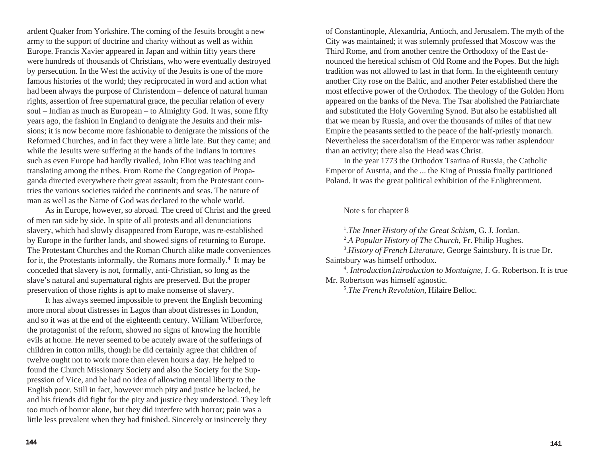ardent Quaker from Yorkshire. The coming of the Jesuits brought a new army to the support of doctrine and charity without as well as within Europe. Francis Xavier appeared in Japan and within fifty years there were hundreds of thousands of Christians, who were eventually destroyed by persecution. In the West the activity of the Jesuits is one of the more famous histories of the world; they reciprocated in word and action what had been always the purpose of Christendom – defence of natural human rights, assertion of free supernatural grace, the peculiar relation of every soul – Indian as much as European – to Almighty God. It was, some fifty years ago, the fashion in England to denigrate the Jesuits and their missions; it is now become more fashionable to denigrate the missions of the Reformed Churches, and in fact they were a little late. But they came; and while the Jesuits were suffering at the hands of the Indians in tortures such as even Europe had hardly rivalled, John Eliot was teaching and translating among the tribes. From Rome the Congregation of Propaganda directed everywhere their great assault; from the Protestant countries the various societies raided the continents and seas. The nature of man as well as the Name of God was declared to the whole world.

As in Europe, however, so abroad. The creed of Christ and the greed of men ran side by side. In spite of all protests and all denunciations slavery, which had slowly disappeared from Europe, was re-established by Europe in the further lands, and showed signs of returning to Europe. The Protestant Churches and the Roman Church alike made conveniences for it, the Protestants informally, the Romans more formally.4 It may be conceded that slavery is not, formally, anti-Christian, so long as the slave's natural and supernatural rights are preserved. But the proper preservation of those rights is apt to make nonsense of slavery.

It has always seemed impossible to prevent the English becoming more moral about distresses in Lagos than about distresses in London, and so it was at the end of the eighteenth century. William Wilberforce, the protagonist of the reform, showed no signs of knowing the horrible evils at home. He never seemed to be acutely aware of the sufferings of children in cotton mills, though he did certainly agree that children of twelve ought not to work more than eleven hours a day. He helped to found the Church Missionary Society and also the Society for the Suppression of Vice, and he had no idea of allowing mental liberty to the English poor. Still in fact, however much pity and justice he lacked, he and his friends did fight for the pity and justice they understood. They left too much of horror alone, but they did interfere with horror; pain was a little less prevalent when they had finished. Sincerely or insincerely they

of Constantinople, Alexandria, Antioch, and Jerusalem. The myth of the City was maintained; it was solemnly professed that Moscow was the Third Rome, and from another centre the Orthodoxy of the East denounced the heretical schism of Old Rome and the Popes. But the high tradition was not allowed to last in that form. In the eighteenth century another City rose on the Baltic, and another Peter established there the most effective power of the Orthodox. The theology of the Golden Horn appeared on the banks of the Neva. The Tsar abolished the Patriarchate and substituted the Holy Governing Synod. But also he established all that we mean by Russia, and over the thousands of miles of that new Empire the peasants settled to the peace of the half-priestly monarch. Nevertheless the sacerdotalism of the Emperor was rather asplendour than an activity; there also the Head was Christ.

In the year 1773 the Orthodox Tsarina of Russia, the Catholic Emperor of Austria, and the ... the King of Prussia finally partitioned Poland. It was the great political exhibition of the Enlightenment.

Note s for chapter 8

1 .*The Inner History of the Great Schism,* G. J. Jordan.

2 .*A Popular History of The Church*, Fr. Philip Hughes.

3 .*History of French Literature,* George Saintsbury. It is true Dr. Saintsbury was himself orthodox.

4 . *Introduction1niroduction to Montaigne,* J. G. Robertson. It is true Mr. Robertson was himself agnostic.

5 .*The French Revolution,* Hilaire Belloc.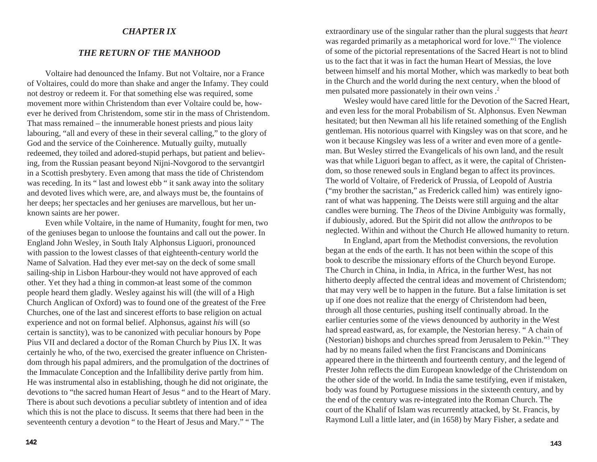## *CHAPTER IX*

#### *THE RETURN OF THE MANHOOD*

Voltaire had denounced the Infamy. But not Voltaire, nor a France of Voltaires, could do more than shake and anger the Infamy. They could not destroy or redeem it. For that something else was required, some movement more within Christendom than ever Voltaire could be, however he derived from Christendom, some stir in the mass of Christendom. That mass remained – the innumerable honest priests and pious laity labouring, "all and every of these in their several calling," to the glory of God and the service of the Coinherence. Mutually guilty, mutually redeemed, they toiled and adored-stupid perhaps, but patient and believing, from the Russian peasant beyond Nijni-Novgorod to the servantgirl in a Scottish presbytery. Even among that mass the tide of Christendom was receding. In its "last and lowest ebb" it sank away into the solitary and devoted lives which were, are, and always must be, the fountains of her deeps; her spectacles and her geniuses are marvellous, but her unknown saints are her power.

Even while Voltaire, in the name of Humanity, fought for men, two of the geniuses began to unloose the fountains and call out the power. In England John Wesley, in South Italy Alphonsus Liguori, pronounced with passion to the lowest classes of that eighteenth-century world the Name of Salvation. Had they ever met-say on the deck of some small sailing-ship in Lisbon Harbour-they would not have approved of each other. Yet they had a thing in common-at least some of the common people heard them gladly. Wesley against his will (the will of a High Church Anglican of Oxford) was to found one of the greatest of the Free Churches, one of the last and sincerest efforts to base religion on actual experience and not on formal belief. Alphonsus, against *his* will (so certain is sanctity), was to be canonized with peculiar honours by Pope Pius VII and declared a doctor of the Roman Church by Pius IX. It was certainly he who, of the two, exercised the greater influence on Christendom through his papal admirers, and the promulgation of the doctrines of the Immaculate Conception and the Infallibility derive partly from him. He was instrumental also in establishing, though he did not originate, the devotions to "the sacred human Heart of Jesus " and to the Heart of Mary. There is about such devotions a peculiar subtlety of intention and of idea which this is not the place to discuss. It seems that there had been in the seventeenth century a devotion " to the Heart of Jesus and Mary." " The

extraordinary use of the singular rather than the plural suggests that *heart* was regarded primarily as a metaphorical word for love."1 The violence of some of the pictorial representations of the Sacred Heart is not to blind us to the fact that it was in fact the human Heart of Messias, the love between himself and his mortal Mother, which was markedly to beat both in the Church and the world during the next century, when the blood of men pulsated more passionately in their own veins .<sup>2</sup>

Wesley would have cared little for the Devotion of the Sacred Heart, and even less for the moral Probabilism of St. Alphonsus. Even Newman hesitated; but then Newman all his life retained something of the English gentleman. His notorious quarrel with Kingsley was on that score, and he won it because Kingsley was less of a writer and even more of a gentleman. But Wesley stirred the Evangelicals of his own land, and the result was that while Liguori began to affect, as it were, the capital of Christendom, so those renewed souls in England began to affect its provinces. The world of Voltaire, of Frederick of Prussia, of Leopold of Austria ("my brother the sacristan," as Frederick called him) was entirely ignorant of what was happening. The Deists were still arguing and the altar candles were burning. The *Theos* of the Divine Ambiguity was formally, if dubiously, adored. But the Spirit did not allow the *anthropos* to be neglected. Within and without the Church He allowed humanity to return.

In England, apart from the Methodist conversions, the revolution began at the ends of the earth. It has not been within the scope of this book to describe the missionary efforts of the Church beyond Europe. The Church in China, in India, in Africa, in the further West, has not hitherto deeply affected the central ideas and movement of Christendom; that may very well be to happen in the future. But a false limitation is set up if one does not realize that the energy of Christendom had been, through all those centuries, pushing itself continually abroad. In the earlier centuries some of the views denounced by authority in the West had spread eastward, as, for example, the Nestorian heresy. " A chain of (Nestorian) bishops and churches spread from Jerusalem to Pekin."3 They had by no means failed when the first Franciscans and Dominicans appeared there in the thirteenth and fourteenth century, and the legend of Prester John reflects the dim European knowledge of the Christendom on the other side of the world. In India the same testifying, even if mistaken, body was found by Portuguese missions in the sixteenth century, and by the end of the century was re-integrated into the Roman Church. The court of the Khalif of Islam was recurrently attacked, by St. Francis, by Raymond Lull a little later, and (in 1658) by Mary Fisher, a sedate and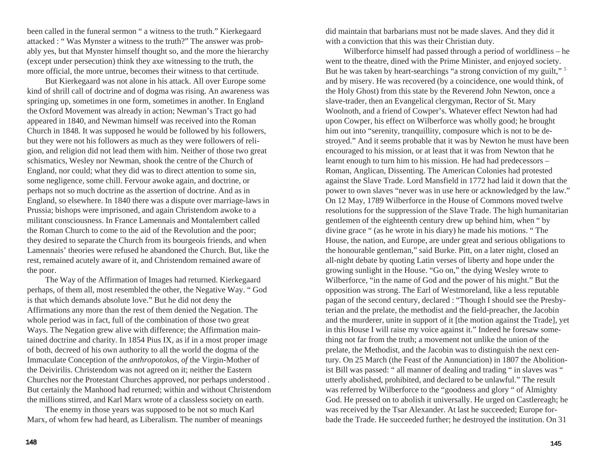been called in the funeral sermon " a witness to the truth." Kierkegaard attacked : " Was Mynster a witness to the truth?" The answer was probably yes, but that Mynster himself thought so, and the more the hierarchy (except under persecution) think they axe witnessing to the truth, the more official, the more untrue, becomes their witness to that certitude.

But Kierkegaard was not alone in his attack. All over Europe some kind of shrill call of doctrine and of dogma was rising. An awareness was springing up, sometimes in one form, sometimes in another. In England the Oxford Movement was already in action; Newman's Tract go had appeared in 1840, and Newman himself was received into the Roman Church in 1848. It was supposed he would be followed by his followers, but they were not his followers as much as they were followers of religion, and religion did not lead them with him. Neither of those two great schismatics, Wesley nor Newman, shook the centre of the Church of England, nor could; what they did was to direct attention to some sin, some negligence, some chill. Fervour awoke again, and doctrine, or perhaps not so much doctrine as the assertion of doctrine. And as in England, so elsewhere. In 1840 there was a dispute over marriage-laws in Prussia; bishops were imprisoned, and again Christendom awoke to a militant consciousness. In France Lamennais and Montalembert called the Roman Church to come to the aid of the Revolution and the poor; they desired to separate the Church from its bourgeois friends, and when Lamennais' theories were refused he abandoned the Church. But, like the rest, remained acutely aware of it, and Christendom remained aware of the poor.

The Way of the Affirmation of Images had returned. Kierkegaard perhaps, of them all, most resembled the other, the Negative Way. " God is that which demands absolute love." But he did not deny the Affirmations any more than the rest of them denied the Negation. The whole period was in fact, full of the combination of those two great Ways. The Negation grew alive with difference; the Affirmation maintained doctrine and charity. In 1854 Pius IX, as if in a most proper image of both, decreed of his own authority to all the world the dogma of the Immaculate Conception of the *anthropotokos, of* the Virgin-Mother of the Deivirilis. Christendom was not agreed on it; neither the Eastern Churches nor the Protestant Churches approved, nor perhaps understood . But certainly the Manhood had returned; within and without Christendom the millions stirred, and Karl Marx wrote of a classless society on earth.

The enemy in those years was supposed to be not so much Karl Marx, of whom few had heard, as Liberalism. The number of meanings did maintain that barbarians must not be made slaves. And they did it with a conviction that this was their Christian duty.

Wilberforce himself had passed through a period of worldliness – he went to the theatre, dined with the Prime Minister, and enjoyed society. But he was taken by heart-searchings "a strong conviction of my guilt," <sup>5</sup> and by misery. He was recovered (by a coincidence, one would think, of the Holy Ghost) from this state by the Reverend John Newton, once a slave-trader, then an Evangelical clergyman, Rector of St. Mary Woolnoth, and a friend of Cowper's. Whatever effect Newton had had upon Cowper, his effect on Wilberforce was wholly good; he brought him out into "serenity, tranquillity, composure which is not to be destroyed." And it seems probable that it was by Newton he must have been encouraged to his mission, or at least that it was from Newton that he learnt enough to turn him to his mission. He had had predecessors – Roman, Anglican, Dissenting. The American Colonies had protested against the Slave Trade. Lord Mansfield in 1772 had laid it down that the power to own slaves "never was in use here or acknowledged by the law." On 12 May, 1789 Wilberforce in the House of Commons moved twelve resolutions for the suppression of the Slave Trade. The high humanitarian gentlemen of the eighteenth century drew up behind him, when " by divine grace " (as he wrote in his diary) he made his motions. " The House, the nation, and Europe, are under great and serious obligations to the honourable gentleman," said Burke. Pitt, on a later night, closed an all-night debate by quoting Latin verses of liberty and hope under the growing sunlight in the House. "Go on," the dying Wesley wrote to Wilberforce, "in the name of God and the power of his might." But the opposition was strong. The Earl of Westmoreland, like a less reputable pagan of the second century, declared : "Though I should see the Presbyterian and the prelate, the methodist and the field-preacher, the Jacobin and the murderer, unite in support of it [the motion against the Trade], yet in this House I will raise my voice against it." Indeed he foresaw something not far from the truth; a movement not unlike the union of the prelate, the Methodist, and the Jacobin was to distinguish the next century. On 25 March (the Feast of the Annunciation) in 1807 the Abolitionist Bill was passed: " all manner of dealing and trading " in slaves was " utterly abolished, prohibited, and declared to be unlawful." The result was referred by Wilberforce to the "goodness and glory " of Almighty God. He pressed on to abolish it universally. He urged on Castlereagh; he was received by the Tsar Alexander. At last he succeeded; Europe forbade the Trade. He succeeded further; he destroyed the institution. On 31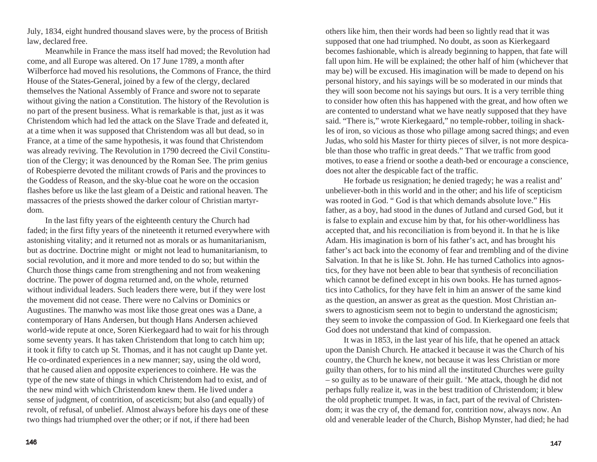July, 1834, eight hundred thousand slaves were, by the process of British law, declared free.

Meanwhile in France the mass itself had moved; the Revolution had come, and all Europe was altered. On 17 June 1789, a month after Wilberforce had moved his resolutions, the Commons of France, the third House of the States-General, joined by a few of the clergy, declared themselves the National Assembly of France and swore not to separate without giving the nation a Constitution. The history of the Revolution is no part of the present business. What is remarkable is that, just as it was Christendom which had led the attack on the Slave Trade and defeated it, at a time when it was supposed that Christendom was all but dead, so in France, at a time of the same hypothesis, it was found that Christendom was already reviving. The Revolution in 1790 decreed the Civil Constitution of the Clergy; it was denounced by the Roman See. The prim genius of Robespierre devoted the militant crowds of Paris and the provinces to the Goddess of Reason, and the sky-blue coat he wore on the occasion flashes before us like the last gleam of a Deistic and rational heaven. The massacres of the priests showed the darker colour of Christian martyrdom.

In the last fifty years of the eighteenth century the Church had faded; in the first fifty years of the nineteenth it returned everywhere with astonishing vitality; and it returned not as morals or as humanitarianism, but as doctrine. Doctrine might or might not lead to humanitarianism, to social revolution, and it more and more tended to do so; but within the Church those things came from strengthening and not from weakening doctrine. The power of dogma returned and, on the whole, returned without individual leaders. Such leaders there were, but if they were lost the movement did not cease. There were no Calvins or Dominics or Augustines. The manwho was most like those great ones was a Dane, a contemporary of Hans Andersen, but though Hans Andersen achieved world-wide repute at once, Soren Kierkegaard had to wait for his through some seventy years. It has taken Christendom that long to catch him up; it took it fifty to catch up St. Thomas, and it has not caught up Dante yet. He co-ordinated experiences in a new manner; say, using the old word, that he caused alien and opposite experiences to coinhere. He was the type of the new state of things in which Christendom had to exist, and of the new mind with which Christendom knew them. He lived under a sense of judgment, of contrition, of asceticism; but also (and equally) of revolt, of refusal, of unbelief. Almost always before his days one of these two things had triumphed over the other; or if not, if there had been

others like him, then their words had been so lightly read that it was supposed that one had triumphed. No doubt, as soon as Kierkegaard becomes fashionable, which is already beginning to happen, that fate will fall upon him. He will be explained; the other half of him (whichever that may be) will be excused. His imagination will be made to depend on his personal history, and his sayings will be so moderated in our minds that they will soon become not his sayings but ours. It is a very terrible thing to consider how often this has happened with the great, and how often we are contented to understand what we have neatly supposed that they have said. "There is," wrote Kierkegaard," no temple-robber, toiling in shackles of iron, so vicious as those who pillage among sacred things; and even Judas, who sold his Master for thirty pieces of silver, is not more despicable than those who traffic in great deeds." That we traffic from good motives, to ease a friend or soothe a death-bed or encourage a conscience, does not alter the despicable fact of the traffic.

He forbade us resignation; he denied tragedy; he was a realist and' unbeliever-both in this world and in the other; and his life of scepticism was rooted in God. " God is that which demands absolute love." His father, as a boy, had stood in the dunes of Jutland and cursed God, but it is false to explain and excuse him by that, for his other-worldliness has accepted that, and his reconciliation is from beyond it. In that he is like Adam. His imagination is born of his father's act, and has brought his father's act back into the economy of fear and trembling and of the divine Salvation. In that he is like St. John. He has turned Catholics into agnostics, for they have not been able to bear that synthesis of reconciliation which cannot be defined except in his own books. He has turned agnostics into Catholics, for they have felt in him an answer of the same kind as the question, an answer as great as the question. Most Christian answers to agnosticism seem not to begin to understand the agnosticism; they seem to invoke the compassion of God. In Kierkegaard one feels that God does not understand that kind of compassion.

It was in 1853, in the last year of his life, that he opened an attack upon the Danish Church. He attacked it because it was the Church of his country, the Church he knew, not because it was less Christian or more guilty than others, for to his mind all the instituted Churches were guilty – so guilty as to be unaware of their guilt. 'Me attack, though he did not perhaps fully realize it, was in the best tradition of Christendom; it blew the old prophetic trumpet. It was, in fact, part of the revival of Christendom; it was the cry of, the demand for, contrition now, always now. An old and venerable leader of the Church, Bishop Mynster, had died; he had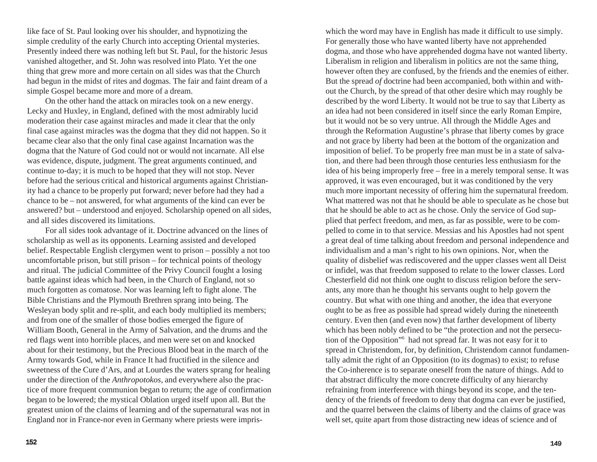like face of St. Paul looking over his shoulder, and hypnotizing the simple credulity of the early Church into accepting Oriental mysteries. Presently indeed there was nothing left but St. Paul, for the historic Jesus vanished altogether, and St. John was resolved into Plato. Yet the one thing that grew more and more certain on all sides was that the Church had begun in the midst of rites and dogmas. The fair and faint dream of a simple Gospel became more and more of a dream.

On the other hand the attack on miracles took on a new energy. Lecky and Huxley, in England, defined with the most admirably lucid moderation their case against miracles and made it clear that the only final case against miracles was the dogma that they did not happen. So it became clear also that the only final case against Incarnation was the dogma that the Nature of God could not or would not incarnate. All else was evidence, dispute, judgment. The great arguments continued, and continue to-day; it is much to be hoped that they will not stop. Never before had the serious critical and historical arguments against Christianity had a chance to be properly put forward; never before had they had a chance to be – not answered, for what arguments of the kind can ever be answered? but – understood and enjoyed. Scholarship opened on all sides, and all sides discovered its limitations.

For all sides took advantage of it. Doctrine advanced on the lines of scholarship as well as its opponents. Learning assisted and developed belief. Respectable English clergymen went to prison – possibly a not too uncomfortable prison, but still prison – for technical points of theology and ritual. The judicial Committee of the Privy Council fought a losing battle against ideas which had been, in the Church of England, not so much forgotten as comatose. Nor was learning left to fight alone. The Bible Christians and the Plymouth Brethren sprang into being. The Wesleyan body split and re-split, and each body multiplied its members; and from one of the smaller of those bodies emerged the figure of William Booth, General in the Army of Salvation, and the drums and the red flags went into horrible places, and men were set on and knocked about for their testimony, but the Precious Blood beat in the march of the Army towards God, while in France It had fructified in the silence and sweetness of the Cure d'Ars, and at Lourdes the waters sprang for healing under the direction of the *Anthropotokos,* and everywhere also the practice of more frequent communion began to return; the age of confirmation began to be lowered; the mystical Oblation urged itself upon all. But the greatest union of the claims of learning and of the supernatural was not in England nor in France-nor even in Germany where priests were impris-

which the word may have in English has made it difficult to use simply. For generally those who have wanted liberty have not apprehended dogma, and those who have apprehended dogma have not wanted liberty. Liberalism in religion and liberalism in politics are not the same thing, however often they are confused, by the friends and the enemies of either. But the spread *of* doctrine had been accompanied, both within and without the Church, by the spread of that other desire which may roughly be described by the word Liberty. It would not be true to say that Liberty as an idea had not been considered in itself since the early Roman Empire, but it would not be so very untrue. All through the Middle Ages and through the Reformation Augustine's phrase that liberty comes by grace and not grace by liberty had been at the bottom of the organization and imposition of belief. To be properly free man must be in a state of salvation, and there had been through those centuries less enthusiasm for the idea of his being improperly free – free in a merely temporal sense. It was approved, it was even encouraged, but it was conditioned by the very much more important necessity of offering him the supernatural freedom. What mattered was not that he should be able to speculate as he chose but that he should be able to act as he chose. Only the service of God supplied that perfect freedom, and men, as far as possible, were to be compelled to come in to that service. Messias and his Apostles had not spent a great deal of time talking about freedom and personal independence and individualism and a man's right to his own opinions. Nor, when the quality of disbelief was rediscovered and the upper classes went all Deist or infidel, was that freedom supposed to relate to the lower classes. Lord Chesterfield did not think one ought to discuss religion before the servants, any more than he thought his servants ought to help govern the country. But what with one thing and another, the idea that everyone ought to be as free as possible had spread widely during the nineteenth century. Even then (and even now) that farther development of liberty which has been nobly defined to be "the protection and not the persecution of the Opposition"6 had not spread far. It was not easy for it to spread in Christendom, for, by definition, Christendom cannot fundamentally admit the right of an Opposition (to its dogmas) to exist; to refuse the Co-inherence is to separate oneself from the nature of things. Add to that abstract difficulty the more concrete difficulty of any hierarchy refraining from interference with things beyond its scope, and the tendency of the friends of freedom to deny that dogma can ever be justified, and the quarrel between the claims of liberty and the claims of grace was well set, quite apart from those distracting new ideas of science and of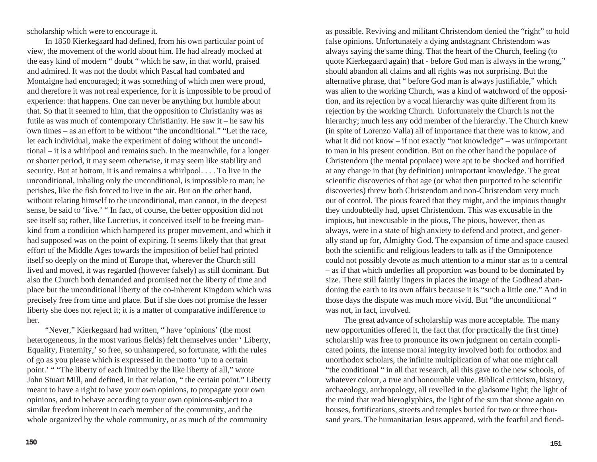scholarship which were to encourage it.

In 1850 Kierkegaard had defined, from his own particular point of view, the movement of the world about him. He had already mocked at the easy kind of modern " doubt " which he saw, in that world, praised and admired. It was not the doubt which Pascal had combated and Montaigne had encouraged; it was something of which men were proud, and therefore it was not real experience, for it is impossible to be proud of experience: that happens. One can never be anything but humble about that. So that it seemed to him, that the opposition to Christianity was as futile as was much of contemporary Christianity. He saw it – he saw his own times – as an effort to be without "the unconditional." "Let the race, let each individual, make the experiment of doing without the unconditional – it is a whirlpool and remains such. In the meanwhile, for a longer or shorter period, it may seem otherwise, it may seem like stability and security. But at bottom, it is and remains a whirlpool. . . . To live in the unconditional, inhaling only the unconditional, is impossible to man; he perishes, like the fish forced to live in the air. But on the other hand, without relating himself to the unconditional, man cannot, in the deepest sense, be said to 'live.' " In fact, of course, the better opposition did not see itself so; rather, like Lucretius, it conceived itself to be freeing mankind from a condition which hampered its proper movement, and which it had supposed was on the point of expiring. It seems likely that that great effort of the Middle Ages towards the imposition of belief had printed itself so deeply on the mind of Europe that, wherever the Church still lived and moved, it was regarded (however falsely) as still dominant. But also the Church both demanded and promised not the liberty of time and place but the unconditional liberty of the co-inherent Kingdom which was precisely free from time and place. But if she does not promise the lesser liberty she does not reject it; it is a matter of comparative indifference to her.

"Never," Kierkegaard had written, " have 'opinions' (the most heterogeneous, in the most various fields) felt themselves under ' Liberty, Equality, Fraternity,' so free, so unhampered, so fortunate, with the rules of go as you please which is expressed in the motto 'up to a certain point.' " "The liberty of each limited by the like liberty of all," wrote John Stuart Mill, and defined, in that relation, " the certain point." Liberty meant to have a right to have your own opinions, to propagate your own opinions, and to behave according to your own opinions-subject to a similar freedom inherent in each member of the community, and the whole organized by the whole community, or as much of the community

as possible. Reviving and militant Christendom denied the "right" to hold false opinions. Unfortunately a dying andstagnant Christendom was always saying the same thing. That the heart of the Church, feeling (to quote Kierkegaard again) that - before God man is always in the wrong," should abandon all claims and all rights was not surprising. But the alternative phrase, that " before God man is always justifiable," which was alien to the working Church, was a kind of watchword of the opposition, and its rejection by a vocal hierarchy was quite different from its rejection by the working Church. Unfortunately the Church is not the hierarchy; much less any odd member of the hierarchy. The Church knew (in spite of Lorenzo Valla) all of importance that there was to know, and what it did not know – if not exactly "not knowledge" – was unimportant to man in his present condition. But on the other hand the populace of Christendom (the mental populace) were apt to be shocked and horrified at any change in that (by definition) unimportant knowledge. The great scientific discoveries of that age (or what then purported to be scientific discoveries) threw both Christendom and non-Christendom very much out of control. The pious feared that they might, and the impious thought they undoubtedly had, upset Christendom. This was excusable in the impious, but inexcusable in the pious, The pious, however, then as always, were in a state of high anxiety to defend and protect, and generally stand up for, Almighty God. The expansion of time and space caused both the scientific and religious leaders to talk as if the Omnipotence could not possibly devote as much attention to a minor star as to a central – as if that which underlies all proportion was bound to be dominated by size. There still faintly lingers in places the image of the Godhead abandoning the earth to its own affairs because it is "such a little one." And in those days the dispute was much more vivid. But "the unconditional " was not, in fact, involved.

The great advance of scholarship was more acceptable. The many new opportunities offered it, the fact that (for practically the first time) scholarship was free to pronounce its own judgment on certain complicated points, the intense moral integrity involved both for orthodox and unorthodox scholars, the infinite multiplication of what one might call "the conditional " in all that research, all this gave to the new schools, of whatever colour, a true and honourable value. Biblical criticism, history, archaeology, anthropology, all revelled in the gladsome light; the light of the mind that read hieroglyphics, the light of the sun that shone again on houses, fortifications, streets and temples buried for two or three thousand years. The humanitarian Jesus appeared, with the fearful and fiend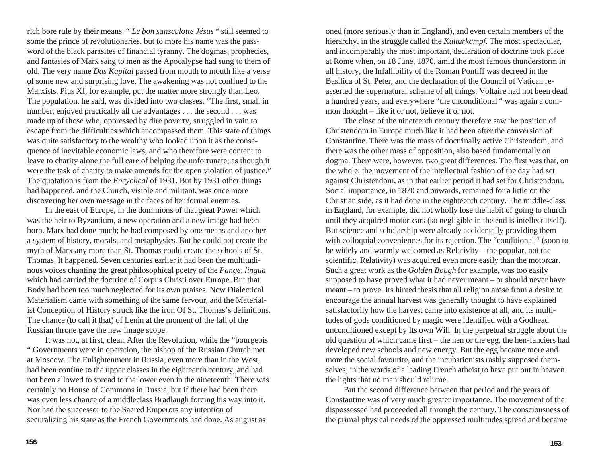rich bore rule by their means. " *Le bon sansculotte Jésus* " still seemed to some the prince of revolutionaries, but to more his name was the password of the black parasites of financial tyranny. The dogmas, prophecies, and fantasies of Marx sang to men as the Apocalypse had sung to them of old. The very name *Das Kapital* passed from mouth to mouth like a verse of some new and surprising love. The awakening was not confined to the Marxists. Pius XI, for example, put the matter more strongly than Leo. The population, he said, was divided into two classes. "The first, small in number, enjoyed practically all the advantages . . . the second . . . was made up of those who, oppressed by dire poverty, struggled in vain to escape from the difficulties which encompassed them. This state of things was quite satisfactory to the wealthy who looked upon it as the consequence of inevitable economic laws, and who therefore were content to leave to charity alone the full care of helping the unfortunate; as though it were the task of charity to make amends for the open violation of justice." The quotation is from the *Encyclical* of 1931. But by 1931 other things had happened, and the Church, visible and militant, was once more discovering her own message in the faces of her formal enemies.

In the east of Europe, in the dominions of that great Power which was the heir to Byzantium, a new operation and a new image had been born. Marx had done much; he had composed by one means and another a system of history, morals, and metaphysics. But he could not create the myth of Marx any more than St. Thomas could create the schools of St. Thomas. It happened. Seven centuries earlier it had been the multitudinous voices chanting the great philosophical poetry of the *Pange, lingua* which had carried the doctrine of Corpus Christi over Europe. But that Body had been too much neglected for its own praises. Now Dialectical Materialism came with something of the same fervour, and the Materialist Conception of History struck like the iron Of St. Thomas's definitions. The chance (to call it that) of Lenin at the moment of the fall of the Russian throne gave the new image scope.

It was not, at first, clear. After the Revolution, while the "bourgeois " Governments were in operation, the bishop of the Russian Church met at Moscow. The Enlightenment in Russia, even more than in the West, had been confine to the upper classes in the eighteenth century, and had not been allowed to spread to the lower even in the nineteenth. There was certainly no House of Commons in Russia, but if there had been there was even less chance of a middleclass Bradlaugh forcing his way into it. Nor had the successor to the Sacred Emperors any intention of securalizing his state as the French Governments had done. As august as

oned (more seriously than in England), and even certain members of the hierarchy, in the struggle called the *Kulturkampf*. The most spectacular, and incomparably the most important, declaration of doctrine took place at Rome when, on 18 June, 1870, amid the most famous thunderstorm in all history, the Infallibility of the Roman Pontiff was decreed in the Basilica of St. Peter, and the declaration of the Council of Vatican reasserted the supernatural scheme of all things. Voltaire had not been dead a hundred years, and everywhere "the unconditional " was again a common thought – like it or not, believe it or not.

The close of the nineteenth century therefore saw the position of Christendom in Europe much like it had been after the conversion of Constantine. There was the mass of doctrinally active Christendom, and there was the other mass of opposition, also based fundamentally on dogma. There were, however, two great differences. The first was that, on the whole, the movement of the intellectual fashion of the day had set against Christendom, as in that earlier period it had set for Christendom. Social importance, in 1870 and onwards, remained for a little on the Christian side, as it had done in the eighteenth century. The middle-class in England, for example, did not wholly lose the habit of going to church until they acquired motor-cars (so negligible in the end is intellect itself). But science and scholarship were already accidentally providing them with colloquial conveniences for its rejection. The "conditional " (soon to be widely and warmly welcomed as Relativity – the popular, not the scientific, Relativity) was acquired even more easily than the motorcar. Such a great work as the *Golden Bough* for example, was too easily supposed to have proved what it had never meant – or should never have meant – to prove. Its hinted thesis that all religion arose from a desire to encourage the annual harvest was generally thought to have explained satisfactorily how the harvest came into existence at all, and its multitudes of gods conditioned by magic were identified with a Godhead unconditioned except by Its own Will. In the perpetual struggle about the old question of which came first – the hen or the egg, the hen-fanciers had developed new schools and new energy. But the egg became more and more the social favourite, and the incubationists rashly supposed themselves, in the words of a leading French atheist,to have put out in heaven the lights that no man should relume.

But the second difference between that period and the years of Constantine was of very much greater importance. The movement of the dispossessed had proceeded all through the century. The consciousness of the primal physical needs of the oppressed multitudes spread and became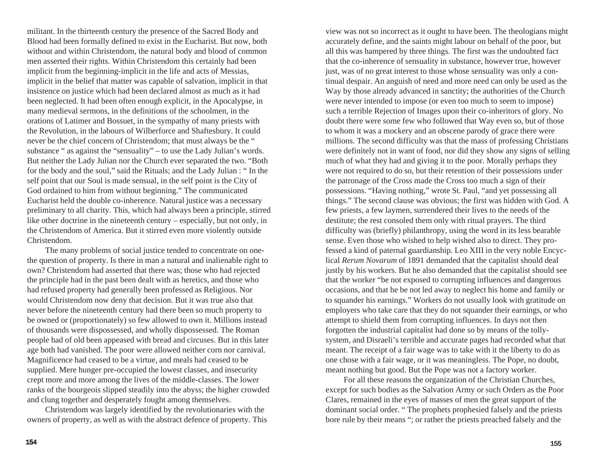militant. In the thirteenth century the presence of the Sacred Body and Blood had been formally defined to exist in the Eucharist. But now, both without and within Christendom, the natural body and blood of common men asserted their rights. Within Christendom this certainly had been implicit from the beginning-implicit in the life and acts of Messias, implicit in the belief that matter was capable of salvation, implicit in that insistence on justice which had been declared almost as much as it had been neglected. It had been often enough explicit, in the Apocalypse, in many medieval sermons, in the definitions of the schoolmen, in the orations of Latimer and Bossuet, in the sympathy of many priests with the Revolution, in the labours of Wilberforce and Shaftesbury. It could never be the chief concern of Christendom; that must always be the " substance " as against the "sensuality" – to use the Lady Julian's words. But neither the Lady Julian nor the Church ever separated the two. "Both for the body and the soul," said the Rituals; and the Lady Julian : " In the self point that our Soul is made sensual, in the self point is the City of God ordained to him from without beginning." The communicated Eucharist held the double co-inherence. Natural justice was a necessary preliminary to all charity. This, which had always been a principle, stirred like other doctrine in the nineteenth century – especially, but not only, in the Christendom of America. But it stirred even more violently outside Christendom.

The many problems of social justice tended to concentrate on onethe question of property. Is there in man a natural and inalienable right to own? Christendom had asserted that there was; those who had rejected the principle had in the past been dealt with as heretics, and those who had refused property had generally been professed as Religious. Nor would Christendom now deny that decision. But it was true also that never before the nineteenth century had there been so much property to be owned or (proportionately) so few allowed to own it. Millions instead of thousands were dispossessed, and wholly dispossessed. The Roman people had of old been appeased with bread and circuses. But in this later age both had vanished. The poor were allowed neither corn nor carnival. Magnificence had ceased to be a virtue, and meals had ceased to be supplied. Mere hunger pre-occupied the lowest classes, and insecurity crept more and more among the lives of the middle-classes. The lower ranks of the bourgeois slipped steadily into the abyss; the higher crowded and clung together and desperately fought among themselves.

Christendom was largely identified by the revolutionaries with the owners of property, as well as with the abstract defence of property. This view was not so incorrect as it ought to have been. The theologians might accurately define, and the saints might labour on behalf of the poor, but all this was hampered by three things. The first was the undoubted fact that the co-inherence of sensuality in substance, however true, however just, was of no great interest to those whose sensuality was only a continual despair. An anguish of need and more need can only be used as the Way by those already advanced in sanctity; the authorities of the Church were never intended to impose (or even too much to seem to impose) such a terrible Rejection of Images upon their co-inheritors of glory. No doubt there were some few who followed that Way even so, but of those to whom it was a mockery and an obscene parody of grace there were millions. The second difficulty was that the mass of professing Christians were definitely not in want of food, nor did they show any signs of selling much of what they had and giving it to the poor. Morally perhaps they were not required to do so, but their retention of their possessions under the patronage of the Cross made the Cross too much a sign of their possessions. "Having nothing," wrote St. Paul, "and yet possessing all things." The second clause was obvious; the first was hidden with God. A few priests, a few laymen, surrendered their lives to the needs of the destitute; the rest consoled them only with ritual prayers. The third difficulty was (briefly) philanthropy, using the word in its less bearable sense. Even those who wished to help wished also to direct. They professed a kind of paternal guardianship. Leo XIII in the very noble Encyclical *Rerum Novarum* of 1891 demanded that the capitalist should deal justly by his workers. But he also demanded that the capitalist should see that the worker "be not exposed to corrupting influences and dangerous occasions, and that he be not led away to neglect his home and family or to squander his earnings." Workers do not usually look with gratitude on employers who take care that they do not squander their earnings, or who attempt to shield them from corrupting influences. In days not then forgotten the industrial capitalist had done so by means of the tollysystem, and Disraeli's terrible and accurate pages had recorded what that meant. The receipt of a fair wage was to take with it the liberty to do as one chose with a fair wage, or it was meaningless. The Pope, no doubt, meant nothing but good. But the Pope was not a factory worker.

For all these reasons the organization of the Christian Churches, except for such bodies as the Salvation Army or such Orders as the Poor Clares, remained in the eyes of masses of men the great support of the dominant social order. " The prophets prophesied falsely and the priests bore rule by their means "; or rather the priests preached falsely and the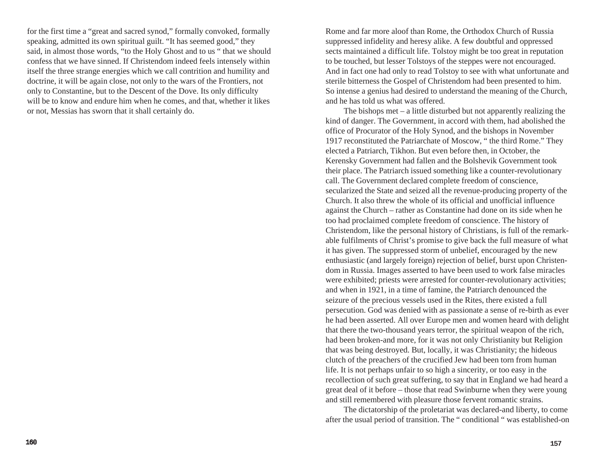for the first time a "great and sacred synod," formally convoked, formally speaking, admitted its own spiritual guilt. "It has seemed good," they said, in almost those words, "to the Holy Ghost and to us " that we should confess that we have sinned. If Christendom indeed feels intensely within itself the three strange energies which we call contrition and humility and doctrine, it will be again close, not only to the wars of the Frontiers, not only to Constantine, but to the Descent of the Dove. Its only difficulty will be to know and endure him when he comes, and that, whether it likes or not, Messias has sworn that it shall certainly do.

Rome and far more aloof than Rome, the Orthodox Church of Russia suppressed infidelity and heresy alike. A few doubtful and oppressed sects maintained a difficult life. Tolstoy might be too great in reputation to be touched, but lesser Tolstoys of the steppes were not encouraged. And in fact one had only to read Tolstoy to see with what unfortunate and sterile bitterness the Gospel of Christendom had been presented to him. So intense a genius had desired to understand the meaning of the Church, and he has told us what was offered.

The bishops met – a little disturbed but not apparently realizing the kind of danger. The Government, in accord with them, had abolished the office of Procurator of the Holy Synod, and the bishops in November 1917 reconstituted the Patriarchate of Moscow, " the third Rome." They elected a Patriarch, Tikhon. But even before then, in October, the Kerensky Government had fallen and the Bolshevik Government took their place. The Patriarch issued something like a counter-revolutionary call. The Government declared complete freedom of conscience, secularized the State and seized all the revenue-producing property of the Church. It also threw the whole of its official and unofficial influence against the Church – rather as Constantine had done on its side when he too had proclaimed complete freedom of conscience. The history of Christendom, like the personal history of Christians, is full of the remarkable fulfilments of Christ's promise to give back the full measure of what it has given. The suppressed storm of unbelief, encouraged by the new enthusiastic (and largely foreign) rejection of belief, burst upon Christendom in Russia. Images asserted to have been used to work false miracles were exhibited; priests were arrested for counter-revolutionary activities; and when in 1921, in a time of famine, the Patriarch denounced the seizure of the precious vessels used in the Rites, there existed a full persecution. God was denied with as passionate a sense of re-birth as ever he had been asserted. All over Europe men and women heard with delight that there the two-thousand years terror, the spiritual weapon of the rich, had been broken-and more, for it was not only Christianity but Religion that was being destroyed. But, locally, it was Christianity; the hideous clutch of the preachers of the crucified Jew had been torn from human life. It is not perhaps unfair to so high a sincerity, or too easy in the recollection of such great suffering, to say that in England we had heard a great deal of it before – those that read Swinburne when they were young and still remembered with pleasure those fervent romantic strains.

The dictatorship of the proletariat was declared-and liberty, to come after the usual period of transition. The " conditional " was established-on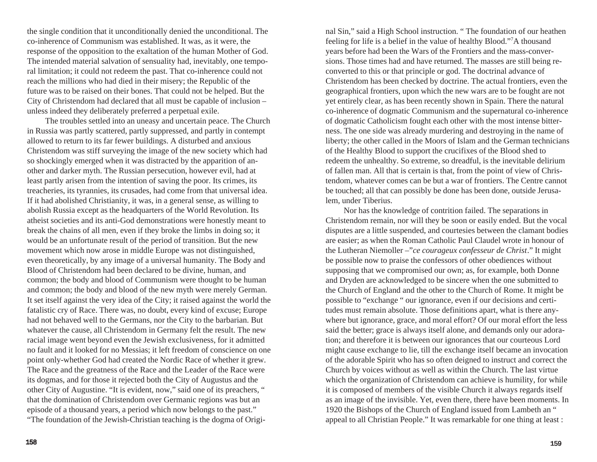the single condition that it unconditionally denied the unconditional. The co-inherence of Communism was established. It was, as it were, the response of the opposition to the exaltation of the human Mother of God. The intended material salvation of sensuality had, inevitably, one temporal limitation; it could not redeem the past. That co-inherence could not reach the millions who had died in their misery; the Republic of the future was to be raised on their bones. That could not be helped. But the City of Christendom had declared that all must be capable of inclusion – unless indeed they deliberately preferred a perpetual exile.

The troubles settled into an uneasy and uncertain peace. The Church in Russia was partly scattered, partly suppressed, and partly in contempt allowed to return to its far fewer buildings. A disturbed and anxious Christendom was stiff surveying the image of the new society which had so shockingly emerged when it was distracted by the apparition of another and darker myth. The Russian persecution, however evil, had at least partly arisen from the intention of saving the poor. Its crimes, its treacheries, its tyrannies, its crusades, had come from that universal idea. If it had abolished Christianity, it was, in a general sense, as willing to abolish Russia except as the headquarters of the World Revolution. Its atheist societies and its anti-God demonstrations were honestly meant to break the chains of all men, even if they broke the limbs in doing so; it would be an unfortunate result of the period of transition. But the new movement which now arose in middle Europe was not distinguished, even theoretically, by any image of a universal humanity. The Body and Blood of Christendom had been declared to be divine, human, and common; the body and blood of Communism were thought to be human and common; the body and blood of the new myth were merely German. It set itself against the very idea of the City; it raised against the world the fatalistic cry of Race. There was, no doubt, every kind of excuse; Europe had not behaved well to the Germans, nor the City to the barbarian. But whatever the cause, all Christendom in Germany felt the result. The new racial image went beyond even the Jewish exclusiveness, for it admitted no fault and it looked for no Messias; it left freedom of conscience on one point only-whether God had created the Nordic Race of whether it grew. The Race and the greatness of the Race and the Leader of the Race were its dogmas, and for those it rejected both the City of Augustus and the other City of Augustine. "It is evident, now," said one of its preachers, " that the domination of Christendom over Germanic regions was but an episode of a thousand years, a period which now belongs to the past." "The foundation of the Jewish-Christian teaching is the dogma of Original Sin," said a High School instruction. " The foundation of our heathen feeling for life is a belief in the value of healthy Blood."7A thousand years before had been the Wars of the Frontiers and the mass-conversions. Those times had and have returned. The masses are still being reconverted to this or that principle or god. The doctrinal advance of Christendom has been checked by doctrine. The actual frontiers, even the geographical frontiers, upon which the new wars are to be fought are not yet entirely clear, as has been recently shown in Spain. There the natural co-inherence of dogmatic Communism and the supernatural co-inherence of dogmatic Catholicism fought each other with the most intense bitterness. The one side was already murdering and destroying in the name of liberty; the other called in the Moors of Islam and the German technicians of the Healthy Blood to support the crucifixes of the Blood shed to redeem the unhealthy. So extreme, so dreadful, is the inevitable delirium of fallen man. All that is certain is that, from the point of view of Christendom, whatever comes can be but a war of frontiers. The Centre cannot be touched; all that can possibly be done has been done, outside Jerusalem, under Tiberius.

Nor has the knowledge of contrition failed. The separations in Christendom remain, nor will they be soon or easily ended. But the vocal disputes are a little suspended, and courtesies between the clamant bodies are easier; as when the Roman Catholic Paul Claudel wrote in honour of the Lutheran Niemoller –"*ce courageux confesseur de Christ*." It might be possible now to praise the confessors of other obediences without supposing that we compromised our own; as, for example, both Donne and Dryden are acknowledged to be sincere when the one submitted to the Church of England and the other to the Church of Rome. It might be possible to "exchange " our ignorance, even if our decisions and certitudes must remain absolute. Those definitions apart, what is there anywhere but ignorance, grace, and moral effort? Of our moral effort the less said the better; grace is always itself alone, and demands only our adoration; and therefore it is between our ignorances that our courteous Lord might cause exchange to lie, till the exchange itself became an invocation of the adorable Spirit who has so often deigned to instruct and correct the Church by voices without as well as within the Church. The last virtue which the organization of Christendom can achieve is humility, for while it is composed of members of the visible Church it always regards itself as an image of the invisible. Yet, even there, there have been moments. In 1920 the Bishops of the Church of England issued from Lambeth an " appeal to all Christian People." It was remarkable for one thing at least :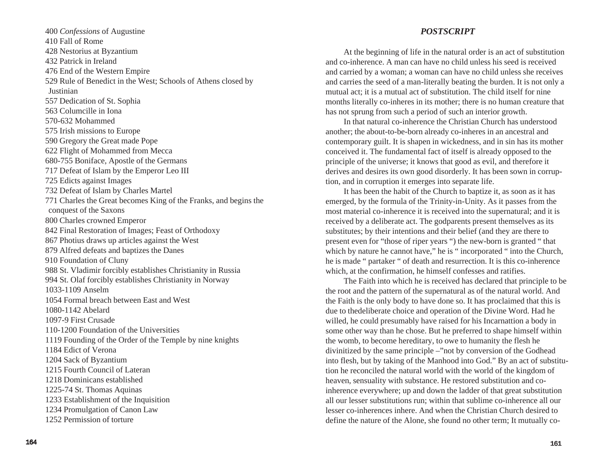## *POSTSCRIPT*

At the beginning of life in the natural order is an act of substitution and co-inherence. A man can have no child unless his seed is received and carried by a woman; a woman can have no child unless she receives and carries the seed of a man-literally beating the burden. It is not only a mutual act; it is a mutual act of substitution. The child itself for nine months literally co-inheres in its mother; there is no human creature that has not sprung from such a period of such an interior growth.

In that natural co-inherence the Christian Church has understood another; the about-to-be-born already co-inheres in an ancestral and contemporary guilt. It is shapen in wickedness, and in sin has its mother conceived it. The fundamental fact of itself is already opposed to the principle of the universe; it knows that good as evil, and therefore it derives and desires its own good disorderly. It has been sown in corruption, and in corruption it emerges into separate life.

It has been the habit of the Church to baptize it, as soon as it has emerged, by the formula of the Trinity-in-Unity. As it passes from the most material co-inherence it is received into the supernatural; and it is received by a deliberate act. The godparents present themselves as its substitutes; by their intentions and their belief (and they are there to present even for "those of riper years ") the new-born is granted " that which by nature he cannot have," he is " incorporated " into the Church, he is made " partaker " of death and resurrection. It is this co-inherence which, at the confirmation, he himself confesses and ratifies.

The Faith into which he is received has declared that principle to be the root and the pattern of the supernatural as of the natural world. And the Faith is the only body to have done so. It has proclaimed that this is due to thedeliberate choice and operation of the Divine Word. Had he willed, he could presumably have raised for his Incarnattion a body in some other way than he chose. But he preferred to shape himself within the womb, to become hereditary, to owe to humanity the flesh he divinitized by the same principle –"not by conversion of the Godhead into flesh, but by taking of the Manhood into God." By an act of substitution he reconciled the natural world with the world of the kingdom of heaven, sensuality with substance. He restored substitution and coinherence everywhere; up and down the ladder of that great substitution all our lesser substitutions run; within that sublime co-inherence all our lesser co-inherences inhere. And when the Christian Church desired to define the nature of the Alone, she found no other term; It mutually co-

400 *Confessions* of Augustine 410 Fall of Rome 428 Nestorius at Byzantium 432 Patrick in Ireland 476 End of the Western Empire 529 Rule of Benedict in the West; Schools of Athens closed by Justinian 557 Dedication of St. Sophia 563 Columcille in Iona 570-632 Mohammed 575 Irish missions to Europe 590 Gregory the Great made Pope 622 Flight of Mohammed from Mecca 680-755 Boniface, Apostle of the Germans 717 Defeat of Islam by the Emperor Leo III 725 Edicts against Images 732 Defeat of Islam by Charles Martel 771 Charles the Great becomes King of the Franks, and begins the conquest of the Saxons 800 Charles crowned Emperor 842 Final Restoration of Images; Feast of Orthodoxy 867 Photius draws up articles against the West 879 Alfred defeats and baptizes the Danes 910 Foundation of Cluny 988 St. Vladimir forcibly establishes Christianity in Russia 994 St. Olaf forcibly establishes Christianity in Norway 1033-1109 Anselm 1054 Formal breach between East and West 1080-1142 Abelard 1097-9 First Crusade 110-1200 Foundation of the Universities 1119 Founding of the Order of the Temple by nine knights 1184 Edict of Verona 1204 Sack of Byzantium 1215 Fourth Council of Lateran 1218 Dominicans established 1225-74 St. Thomas Aquinas 1233 Establishment of the Inquisition 1234 Promulgation of Canon Law 1252 Permission of torture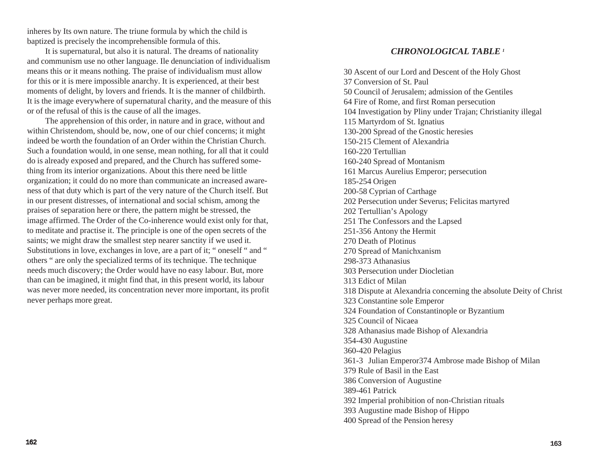inheres by Its own nature. The triune formula by which the child is baptized is precisely the incomprehensible formula of this.

It is supernatural, but also it is natural. The dreams of nationality and communism use no other language. Ile denunciation of individualism means this or it means nothing. The praise of individualism must allow for this or it is mere impossible anarchy. It is experienced, at their best moments of delight, by lovers and friends. It is the manner of childbirth. It is the image everywhere of supernatural charity, and the measure of this or of the refusal of this is the cause of all the images.

The apprehension of this order, in nature and in grace, without and within Christendom, should be, now, one of our chief concerns; it might indeed be worth the foundation of an Order within the Christian Church. Such a foundation would, in one sense, mean nothing, for all that it could do is already exposed and prepared, and the Church has suffered something from its interior organizations. About this there need be little organization; it could do no more than communicate an increased awareness of that duty which is part of the very nature of the Church itself. But in our present distresses, of international and social schism, among the praises of separation here or there, the pattern might be stressed, the image affirmed. The Order of the Co-inherence would exist only for that, to meditate and practise it. The principle is one of the open secrets of the saints; we might draw the smallest step nearer sanctity if we used it. Substitutions in love, exchanges in love, are a part of it; " oneself " and " others " are only the specialized terms of its technique. The technique needs much discovery; the Order would have no easy labour. But, more than can be imagined, it might find that, in this present world, its labour was never more needed, its concentration never more important, its profit never perhaps more great.

## *CHRONOLOGICAL TABLE 1*

30 Ascent of our Lord and Descent of the Holy Ghost 37 Conversion of St. Paul 50 Council of Jerusalem; admission of the Gentiles 64 Fire of Rome, and first Roman persecution 104 Investigation by Pliny under Trajan; Christianity illegal 115 Martyrdom of St. Ignatius 130-200 Spread of the Gnostic heresies 150-215 Clement of Alexandria 160-220 Tertullian 160-240 Spread of Montanism 161 Marcus Aurelius Emperor; persecution 185-254 Origen 200-58 Cyprian of Carthage 202 Persecution under Severus; Felicitas martyred 202 Tertullian's Apology 251 The Confessors and the Lapsed 251-356 Antony the Hermit 270 Death of Plotinus 270 Spread of Manichxanism 298-373 Athanasius 303 Persecution under Diocletian 313 Edict of Milan 318 Dispute at Alexandria concerning the absolute Deity of Christ 323 Constantine sole Emperor 324 Foundation of Constantinople or Byzantium 325 Council of Nicaea 328 Athanasius made Bishop of Alexandria 354-430 Augustine 360-420 Pelagius 361-3 Julian Emperor374 Ambrose made Bishop of Milan 379 Rule of Basil in the East 386 Conversion of Augustine 389-461 Patrick 392 Imperial prohibition of non-Christian rituals 393 Augustine made Bishop of Hippo 400 Spread of the Pension heresy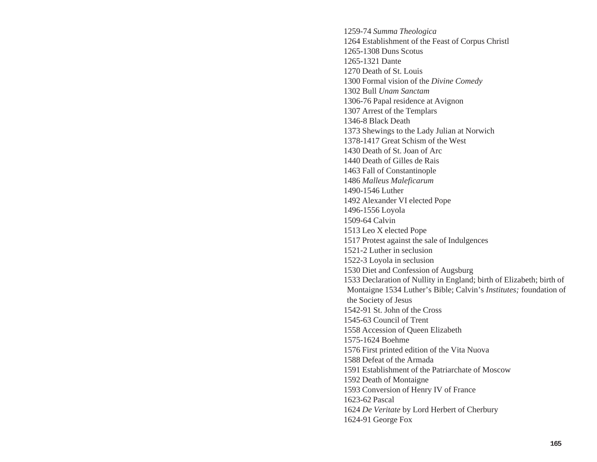1259-74 *Summa Theologica* 1264 Establishment of the Feast of Corpus Christl 1265-1308 Duns Scotus 1265-1321 Dante 1270 Death of St. Louis 1300 Formal vision of the *Divine Comedy* 1302 Bull *Unam Sanctam* 1306-76 Papal residence at Avignon 1307 Arrest of the Templars 1346-8 Black Death 1373 Shewings to the Lady Julian at Norwich 1378-1417 Great Schism of the West 1430 Death of St. Joan of Arc 1440 Death of Gilles de Rais 1463 Fall of Constantinople 1486 *Malleus Maleficarum* 1490-1546 Luther 1492 Alexander VI elected Pope 1496-1556 Loyola 1509-64 Calvin 1513 Leo X elected Pope 1517 Protest against the sale of Indulgences 1521-2 Luther in seclusion 1522-3 Loyola in seclusion 1530 Diet and Confession of Augsburg 1533 Declaration of Nullity in England; birth of Elizabeth; birth of Montaigne 1534 Luther's Bible; Calvin's *Institutes;* foundation of the Society of Jesus 1542-91 St. John of the Cross 1545-63 Council of Trent 1558 Accession of Queen Elizabeth 1575-1624 Boehme 1576 First printed edition of the Vita Nuova 1588 Defeat of the Armada 1591 Establishment of the Patriarchate of Moscow 1592 Death of Montaigne 1593 Conversion of Henry IV of France 1623-62 Pascal 1624 *De Veritate* by Lord Herbert of Cherbury 1624-91 George Fox